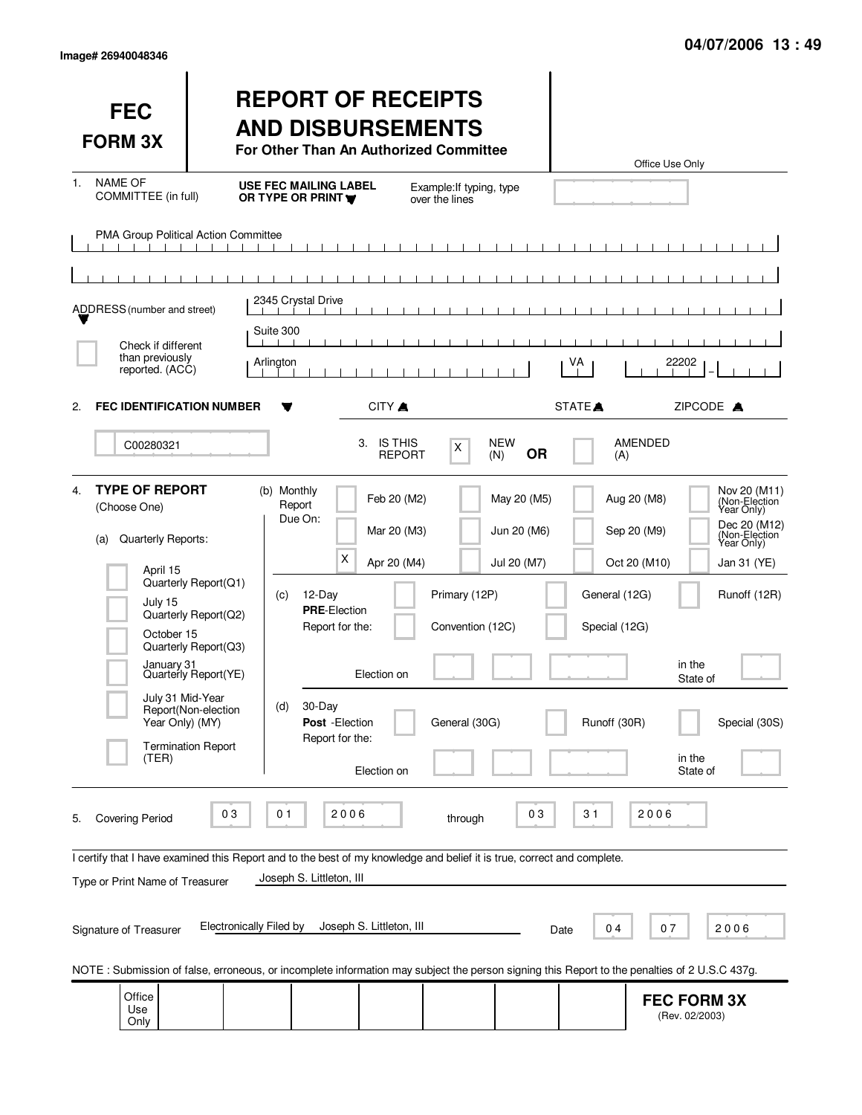| <b>FEC</b><br><b>FORM 3X</b>                                                                                                                                                                                                                                              |                                                                                                                                                  | <b>REPORT OF RECEIPTS</b><br><b>AND DISBURSEMENTS</b><br>For Other Than An Authorized Committee                                                                                                                                              |                                                    |                                                                                             | Office Use Only                                                                                                                                                                                                                      |
|---------------------------------------------------------------------------------------------------------------------------------------------------------------------------------------------------------------------------------------------------------------------------|--------------------------------------------------------------------------------------------------------------------------------------------------|----------------------------------------------------------------------------------------------------------------------------------------------------------------------------------------------------------------------------------------------|----------------------------------------------------|---------------------------------------------------------------------------------------------|--------------------------------------------------------------------------------------------------------------------------------------------------------------------------------------------------------------------------------------|
| <b>NAME OF</b><br>1.<br>COMMITTEE (in full)                                                                                                                                                                                                                               |                                                                                                                                                  | <b>USE FEC MAILING LABEL</b><br>OR TYPE OR PRINT                                                                                                                                                                                             | Example: If typing, type<br>over the lines         |                                                                                             |                                                                                                                                                                                                                                      |
| PMA Group Political Action Committee                                                                                                                                                                                                                                      |                                                                                                                                                  |                                                                                                                                                                                                                                              |                                                    |                                                                                             |                                                                                                                                                                                                                                      |
|                                                                                                                                                                                                                                                                           |                                                                                                                                                  | 2345 Crystal Drive                                                                                                                                                                                                                           |                                                    |                                                                                             |                                                                                                                                                                                                                                      |
| ADDRESS (number and street)                                                                                                                                                                                                                                               |                                                                                                                                                  | $\blacksquare$<br>Suite 300                                                                                                                                                                                                                  |                                                    |                                                                                             |                                                                                                                                                                                                                                      |
| Check if different<br>than previously<br>reported. (ACC)                                                                                                                                                                                                                  |                                                                                                                                                  | Arlington                                                                                                                                                                                                                                    |                                                    | VA                                                                                          | 22202                                                                                                                                                                                                                                |
| <b>FEC IDENTIFICATION NUMBER</b><br>2.                                                                                                                                                                                                                                    |                                                                                                                                                  | CITY A                                                                                                                                                                                                                                       |                                                    | STATE <sup></sup>                                                                           | ZIPCODE A                                                                                                                                                                                                                            |
| C00280321                                                                                                                                                                                                                                                                 |                                                                                                                                                  | 3. IS THIS                                                                                                                                                                                                                                   | <b>NEW</b><br>Χ<br>(N)<br><b>REPORT</b>            | <b>OR</b><br>(A)                                                                            | AMENDED                                                                                                                                                                                                                              |
| <b>TYPE OF REPORT</b><br>4.<br>(Choose One)<br>Quarterly Reports:<br>(a)<br>April 15<br>July 15<br>October 15<br>January 31<br>July 31 Mid-Year<br>Year Only) (MY)<br>(TER)                                                                                               | Quarterly Report(Q1)<br>Quarterly Report(Q2)<br>Quarterly Report(Q3)<br>Quarterly Report(YE)<br>Report(Non-election<br><b>Termination Report</b> | (b) Monthly<br>Feb 20 (M2)<br>Report<br>Due On:<br>Mar 20 (M3)<br>$\times$<br>Apr 20 (M4)<br>$12$ -Day<br>(c)<br><b>PRE-Election</b><br>Report for the:<br>Election on<br>30-Day<br>(d)<br>Post - Election<br>Report for the:<br>Election on | Primary (12P)<br>Convention (12C)<br>General (30G) | May 20 (M5)<br>Jun 20 (M6)<br>Jul 20 (M7)<br>General (12G)<br>Special (12G)<br>Runoff (30R) | Nov 20 (M11)<br>(Non-Election<br>Year Only)<br>Aug 20 (M8)<br>Dec 20 (M12)<br>Sep 20 (M9)<br>(Non-Election<br>Year Only)<br>Oct 20 (M10)<br>Jan 31 (YE)<br>Runoff (12R)<br>in the<br>State of<br>Special (30S)<br>in the<br>State of |
| 2006<br>03<br>2006<br>03<br>01<br>31<br><b>Covering Period</b><br>through<br>5.<br>I certify that I have examined this Report and to the best of my knowledge and belief it is true, correct and complete.<br>Joseph S. Littleton, III<br>Type or Print Name of Treasurer |                                                                                                                                                  |                                                                                                                                                                                                                                              |                                                    |                                                                                             |                                                                                                                                                                                                                                      |
| Signature of Treasurer                                                                                                                                                                                                                                                    | <b>Electronically Filed by</b><br>Joseph S. Littleton, III<br>07<br>2006<br>04<br>Date                                                           |                                                                                                                                                                                                                                              |                                                    |                                                                                             |                                                                                                                                                                                                                                      |
|                                                                                                                                                                                                                                                                           |                                                                                                                                                  | NOTE: Submission of false, erroneous, or incomplete information may subject the person signing this Report to the penalties of 2 U.S.C 437g.                                                                                                 |                                                    |                                                                                             |                                                                                                                                                                                                                                      |
| Office<br>Use<br>Only                                                                                                                                                                                                                                                     |                                                                                                                                                  |                                                                                                                                                                                                                                              |                                                    |                                                                                             | <b>FEC FORM 3X</b><br>(Rev. 02/2003)                                                                                                                                                                                                 |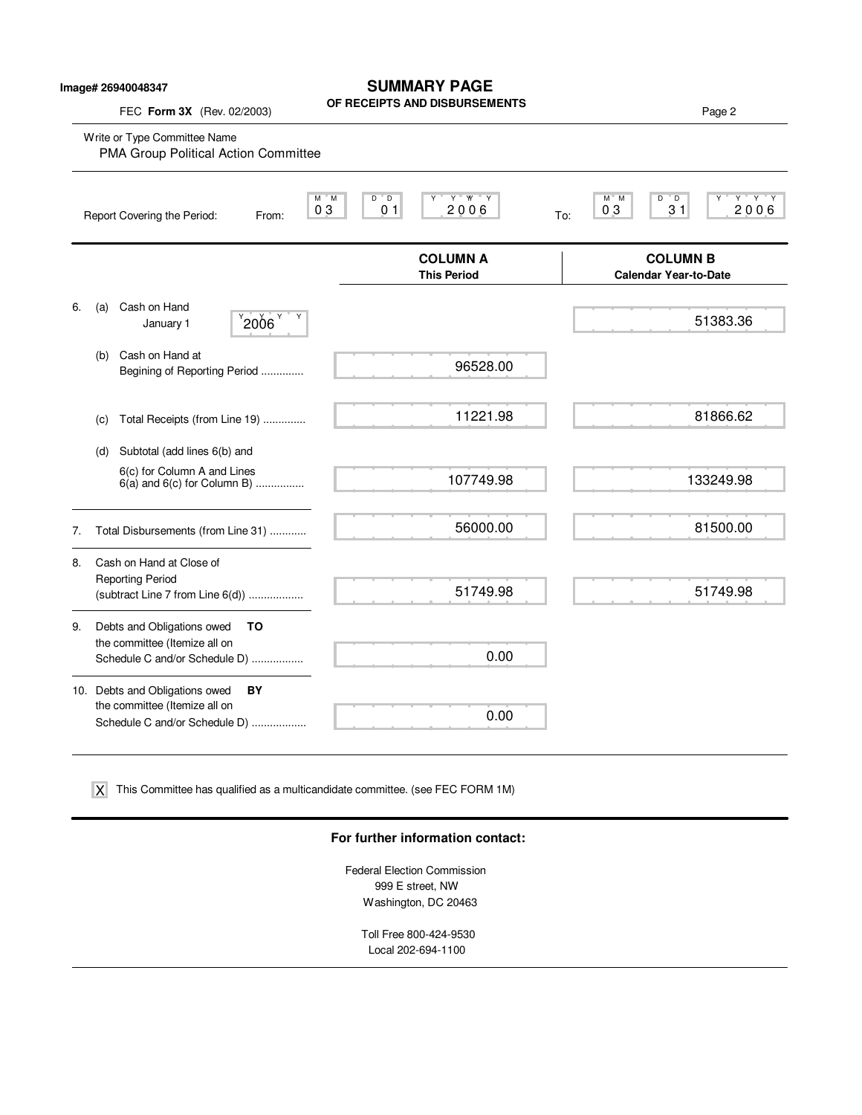### **SUMMARY PAGE**

**OF RECEIPTS AND DISBURSEMENTS**

FEC **Form 3X** (Rev. 02/2003) **Page 2 Properties AND DISBUNSEMENTS** 

|    |     | Write or Type Committee Name<br>PMA Group Political Action Committee                                   |                                                                        |                                                                    |
|----|-----|--------------------------------------------------------------------------------------------------------|------------------------------------------------------------------------|--------------------------------------------------------------------|
|    |     | Report Covering the Period:<br>From:                                                                   | Y W Y<br>$M^*M$<br>$D^{\prime}$ D<br>Υ<br>2006<br>03<br>0 <sub>1</sub> | $Y$ $Y$ $Y$<br>$M^*$ M<br>D<br>" D<br>Y<br>2006<br>03<br>31<br>To: |
|    |     |                                                                                                        | <b>COLUMN A</b><br><b>This Period</b>                                  | <b>COLUMN B</b><br><b>Calendar Year-to-Date</b>                    |
| 6. | (a) | Cash on Hand<br>$^{9}$ 2006 $^{9}$<br>January 1                                                        |                                                                        | 51383.36                                                           |
|    | (b) | Cash on Hand at<br>Begining of Reporting Period                                                        | 96528.00                                                               |                                                                    |
|    | (C) | Total Receipts (from Line 19)                                                                          | 11221.98                                                               | 81866.62                                                           |
|    | (d) | Subtotal (add lines 6(b) and                                                                           |                                                                        |                                                                    |
|    |     | 6(c) for Column A and Lines<br>$6(a)$ and $6(c)$ for Column B)                                         | 107749.98                                                              | 133249.98                                                          |
| 7. |     | Total Disbursements (from Line 31)                                                                     | 56000.00                                                               | 81500.00                                                           |
| 8. |     | Cash on Hand at Close of<br><b>Reporting Period</b><br>(subtract Line 7 from Line 6(d))                | 51749.98                                                               | 51749.98                                                           |
| 9. |     | Debts and Obligations owed<br>то<br>the committee (Itemize all on<br>Schedule C and/or Schedule D)     | 0.00                                                                   |                                                                    |
|    |     | 10. Debts and Obligations owed<br>BY<br>the committee (Itemize all on<br>Schedule C and/or Schedule D) | 0.00                                                                   |                                                                    |

This Committee has qualified as a multicandidate committee. (see FEC FORM 1M) X

#### **For further information contact:**

Federal Election Commission 999 E street, NW Washington, DC 20463

> Toll Free 800-424-9530 Local 202-694-1100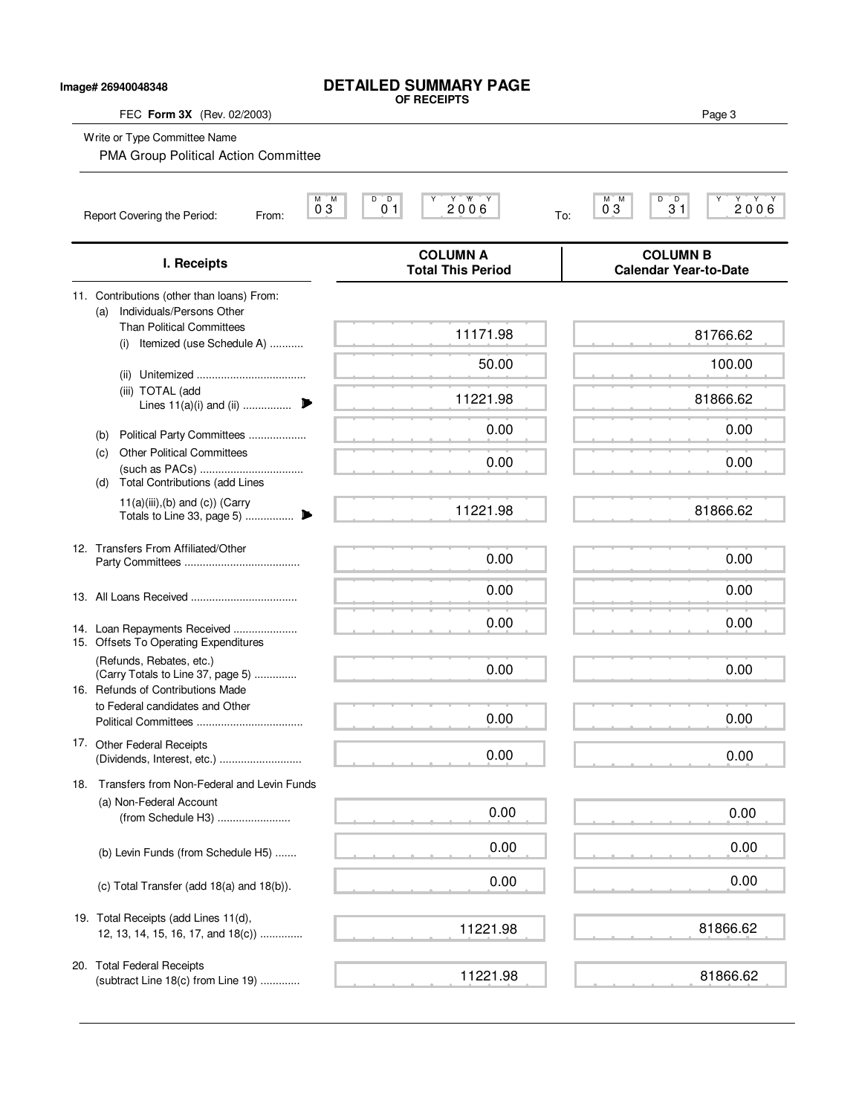## **DETAILED SUMMARY PAGE OF RECEIPTS**

**Image# 26940048348**

FEC **Form 3X** (Rev. 02/2003) Page 3

Write or Type Committee Name

PMA Group Political Action Committee

| M M<br>03<br>Report Covering the Period:<br>From:                                                  | $D^{\circ}D$<br>2006<br>01                  | D<br>D<br>M M<br>2006<br>31<br>0 <sub>3</sub><br>To: |
|----------------------------------------------------------------------------------------------------|---------------------------------------------|------------------------------------------------------|
| I. Receipts                                                                                        | <b>COLUMN A</b><br><b>Total This Period</b> | <b>COLUMN B</b><br><b>Calendar Year-to-Date</b>      |
| 11. Contributions (other than loans) From:<br>Individuals/Persons Other<br>(a)                     |                                             |                                                      |
| <b>Than Political Committees</b><br>Itemized (use Schedule A)<br>(i)                               | 11171.98                                    | 81766.62                                             |
|                                                                                                    | 50.00                                       | 100.00                                               |
| (ii)<br>(iii) TOTAL (add<br>Lines 11(a)(i) and (ii)                                                | 11221.98                                    | 81866.62                                             |
| Political Party Committees<br>(b)                                                                  | 0.00                                        | 0.00                                                 |
| <b>Other Political Committees</b><br>(c)<br><b>Total Contributions (add Lines</b><br>(d)           | 0.00                                        | 0.00                                                 |
| $11(a)(iii),(b)$ and $(c)$ ) (Carry                                                                | 11221.98                                    | 81866.62                                             |
| 12. Transfers From Affiliated/Other                                                                | 0.00                                        | 0.00                                                 |
|                                                                                                    | 0.00                                        | 0.00                                                 |
| 14. Loan Repayments Received<br>15. Offsets To Operating Expenditures                              | 0.00                                        | 0.00                                                 |
| (Refunds, Rebates, etc.)<br>(Carry Totals to Line 37, page 5)<br>16. Refunds of Contributions Made | 0.00                                        | 0.00                                                 |
| to Federal candidates and Other                                                                    | 0.00                                        | 0.00                                                 |
| 17. Other Federal Receipts                                                                         | 0.00                                        | 0.00                                                 |
| 18. Transfers from Non-Federal and Levin Funds                                                     |                                             |                                                      |
| (a) Non-Federal Account<br>(from Schedule H3)                                                      | 0.00                                        | 0.00                                                 |
| (b) Levin Funds (from Schedule H5)                                                                 | 0.00                                        | 0.00                                                 |
| (c) Total Transfer (add 18(a) and 18(b)).                                                          | 0.00                                        | 0.00                                                 |
| 19. Total Receipts (add Lines 11(d),<br>12, 13, 14, 15, 16, 17, and 18(c))                         | 11221.98                                    | 81866.62                                             |
| 20. Total Federal Receipts<br>(subtract Line 18(c) from Line 19)                                   | 11221.98                                    | 81866.62                                             |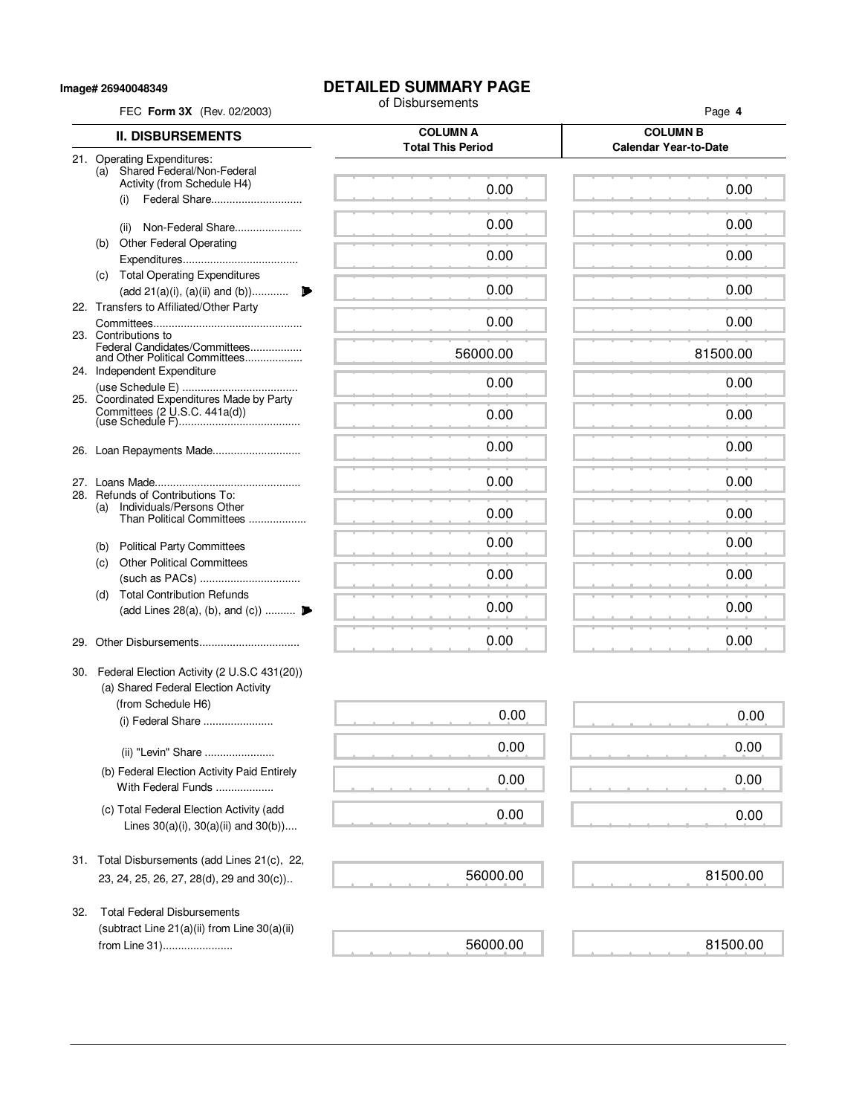**Image# 26940048349**

# **DETAILED SUMMARY PAGE**<br>of Disbursements

|     | FEC Form 3X (Rev. 02/2003)                                                 | of Disbursements                            | Page 4                                          |
|-----|----------------------------------------------------------------------------|---------------------------------------------|-------------------------------------------------|
|     | <b>II. DISBURSEMENTS</b>                                                   | <b>COLUMN A</b><br><b>Total This Period</b> | <b>COLUMN B</b><br><b>Calendar Year-to-Date</b> |
|     | 21. Operating Expenditures:<br>(a) Shared Federal/Non-Federal              |                                             |                                                 |
|     | Activity (from Schedule H4)                                                | 0.00                                        | 0.00                                            |
|     | Federal Share<br>(i)                                                       |                                             |                                                 |
|     | Non-Federal Share<br>(ii)                                                  | 0.00                                        | 0.00                                            |
|     | <b>Other Federal Operating</b><br>(b)                                      |                                             |                                                 |
|     |                                                                            | 0.00                                        | 0.00                                            |
|     | (c) Total Operating Expenditures                                           | 0.00                                        | 0.00                                            |
|     | (add 21(a)(i), (a)(ii) and (b))<br>22. Transfers to Affiliated/Other Party |                                             |                                                 |
|     |                                                                            | 0.00                                        | 0.00                                            |
|     | 23. Contributions to<br>Federal Candidates/Committees                      |                                             |                                                 |
|     | and Other Political Committees<br>24. Independent Expenditure              | 56000.00                                    | 81500.00                                        |
|     |                                                                            | 0.00                                        | 0.00                                            |
|     | 25. Coordinated Expenditures Made by Party                                 |                                             |                                                 |
|     | Committees $(2 \text{ U.S.C. } 441a(d))$                                   | 0.00                                        | 0.00                                            |
|     |                                                                            | 0.00                                        | 0.00                                            |
|     |                                                                            |                                             |                                                 |
|     |                                                                            | 0.00                                        | 0.00                                            |
|     | 28. Refunds of Contributions To:<br>Individuals/Persons Other<br>(a)       |                                             |                                                 |
|     | Than Political Committees                                                  | 0.00                                        | 0.00                                            |
|     | (b) Political Party Committees                                             | 0.00                                        | 0.00                                            |
|     | <b>Other Political Committees</b><br>(c)                                   |                                             |                                                 |
|     |                                                                            | 0.00                                        | 0.00                                            |
|     | <b>Total Contribution Refunds</b><br>(d)                                   | 0.00                                        | 0.00                                            |
|     | (add Lines 28(a), (b), and (c))                                            |                                             |                                                 |
| 29. |                                                                            | 0.00                                        | 0.00                                            |
|     | 30. Federal Election Activity (2 U.S.C 431(20))                            |                                             |                                                 |
|     | (a) Shared Federal Election Activity                                       |                                             |                                                 |
|     | (from Schedule H6)                                                         | 0.00                                        | 0.00                                            |
|     | (i) Federal Share                                                          |                                             |                                                 |
|     | (ii) "Levin" Share                                                         | 0.00                                        | 0.00                                            |
|     | (b) Federal Election Activity Paid Entirely                                | 0.00                                        | 0.00                                            |
|     | With Federal Funds                                                         |                                             |                                                 |
|     | (c) Total Federal Election Activity (add                                   | 0.00                                        | 0.00                                            |
|     | Lines $30(a)(i)$ , $30(a)(ii)$ and $30(b)$ )                               |                                             |                                                 |
|     | 31. Total Disbursements (add Lines 21(c), 22,                              |                                             |                                                 |
|     | 23, 24, 25, 26, 27, 28(d), 29 and 30(c))                                   | 56000.00                                    | 81500.00                                        |
|     |                                                                            |                                             |                                                 |
| 32. | <b>Total Federal Disbursements</b>                                         |                                             |                                                 |
|     | (subtract Line 21(a)(ii) from Line 30(a)(ii)                               |                                             |                                                 |
|     | from Line 31)                                                              | 56000.00                                    | 81500.00                                        |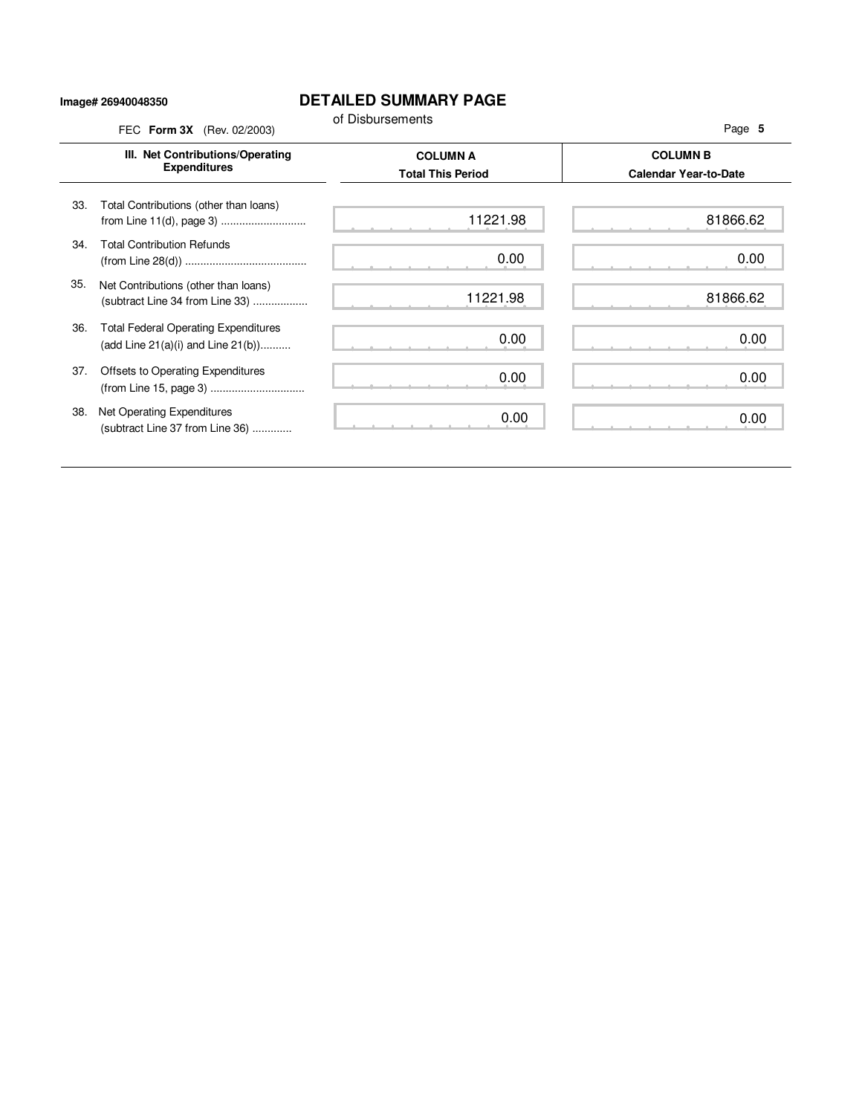#### **Image# 26940048350**

### **DETAILED SUMMARY PAGE**

|     | FEC Form 3X (Rev. 02/2003)                                                             | of Disbursements                            | Page 5                                          |
|-----|----------------------------------------------------------------------------------------|---------------------------------------------|-------------------------------------------------|
|     | III. Net Contributions/Operating<br><b>Expenditures</b>                                | <b>COLUMN A</b><br><b>Total This Period</b> | <b>COLUMN B</b><br><b>Calendar Year-to-Date</b> |
| 33. | Total Contributions (other than loans)                                                 | 11221.98                                    | 81866.62                                        |
| 34. | <b>Total Contribution Refunds</b>                                                      | 0.00                                        | 0.00                                            |
| 35. | Net Contributions (other than loans)<br>(subtract Line 34 from Line 33)                | 11221.98                                    | 81866.62                                        |
| 36. | <b>Total Federal Operating Expenditures</b><br>(add Line $21(a)(i)$ and Line $21(b)$ ) | 0.00                                        | 0.00                                            |
| 37. | Offsets to Operating Expenditures                                                      | 0.00                                        | 0.00                                            |
| 38. | Net Operating Expenditures<br>(subtract Line 37 from Line 36)                          | 0.00                                        | 0.00                                            |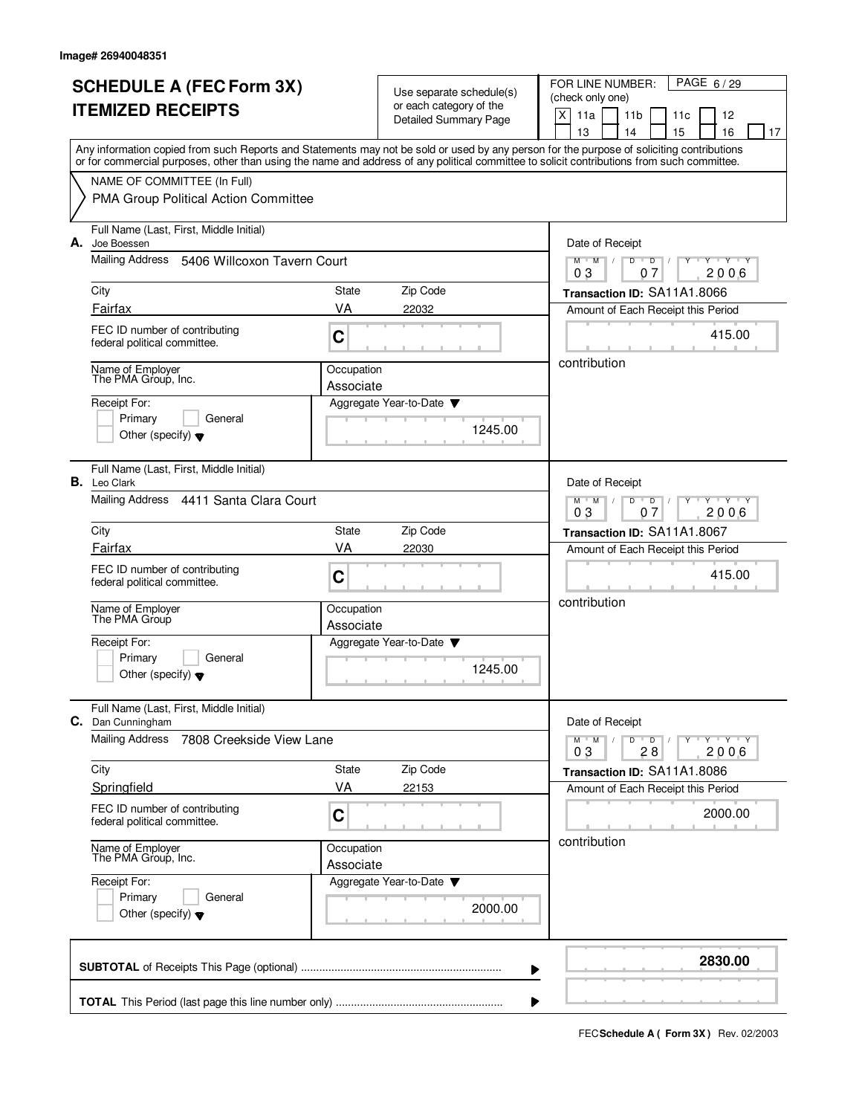| <b>SCHEDULE A (FEC Form 3X)</b>         |                                                                                                                                                                                                                                                                                         |                         | Use separate schedule(s)                                | PAGE 6/29<br>FOR LINE NUMBER:<br>(check only one)                          |  |  |
|-----------------------------------------|-----------------------------------------------------------------------------------------------------------------------------------------------------------------------------------------------------------------------------------------------------------------------------------------|-------------------------|---------------------------------------------------------|----------------------------------------------------------------------------|--|--|
|                                         | <b>ITEMIZED RECEIPTS</b>                                                                                                                                                                                                                                                                |                         | or each category of the<br><b>Detailed Summary Page</b> | X<br>11a<br>11 <sub>b</sub><br>11c<br>12                                   |  |  |
|                                         |                                                                                                                                                                                                                                                                                         |                         |                                                         | 13<br>14<br>15<br>16<br>17                                                 |  |  |
|                                         | Any information copied from such Reports and Statements may not be sold or used by any person for the purpose of soliciting contributions<br>or for commercial purposes, other than using the name and address of any political committee to solicit contributions from such committee. |                         |                                                         |                                                                            |  |  |
|                                         | NAME OF COMMITTEE (In Full)                                                                                                                                                                                                                                                             |                         |                                                         |                                                                            |  |  |
|                                         | PMA Group Political Action Committee                                                                                                                                                                                                                                                    |                         |                                                         |                                                                            |  |  |
| А.                                      | Full Name (Last, First, Middle Initial)<br>Joe Boessen                                                                                                                                                                                                                                  |                         |                                                         | Date of Receipt                                                            |  |  |
|                                         | Mailing Address<br>5406 Willcoxon Tavern Court                                                                                                                                                                                                                                          |                         |                                                         | <b>TEXT Y</b><br>$M$ $M$ /<br>D<br>$\overline{D}$<br>Y<br>2006<br>03<br>07 |  |  |
|                                         | City                                                                                                                                                                                                                                                                                    | State                   | Zip Code                                                | Transaction ID: SA11A1.8066                                                |  |  |
|                                         | Fairfax                                                                                                                                                                                                                                                                                 | VA                      | 22032                                                   | Amount of Each Receipt this Period                                         |  |  |
|                                         | FEC ID number of contributing<br>federal political committee.                                                                                                                                                                                                                           | C                       |                                                         | 415.00                                                                     |  |  |
|                                         | Name of Employer<br>The PMA Group, Inc.                                                                                                                                                                                                                                                 | Occupation<br>Associate |                                                         | contribution                                                               |  |  |
|                                         | Receipt For:                                                                                                                                                                                                                                                                            |                         | Aggregate Year-to-Date                                  |                                                                            |  |  |
|                                         | Primary<br>General                                                                                                                                                                                                                                                                      |                         |                                                         |                                                                            |  |  |
|                                         | Other (specify) $\blacktriangledown$                                                                                                                                                                                                                                                    |                         | 1245.00                                                 |                                                                            |  |  |
|                                         | Full Name (Last, First, Middle Initial)<br><b>B.</b> Leo Clark                                                                                                                                                                                                                          |                         |                                                         | Date of Receipt                                                            |  |  |
|                                         | Mailing Address 4411 Santa Clara Court                                                                                                                                                                                                                                                  |                         |                                                         | $M$ $M$<br>D<br>$Y + Y$<br>D<br>03<br>2006<br>07                           |  |  |
|                                         | City                                                                                                                                                                                                                                                                                    | State                   | Zip Code                                                | Transaction ID: SA11A1.8067                                                |  |  |
|                                         | Fairfax                                                                                                                                                                                                                                                                                 | VA                      | 22030                                                   | Amount of Each Receipt this Period                                         |  |  |
|                                         | FEC ID number of contributing<br>federal political committee.                                                                                                                                                                                                                           | C                       |                                                         | 415.00                                                                     |  |  |
|                                         | Name of Employer<br>The PMA Group                                                                                                                                                                                                                                                       | Occupation<br>Associate |                                                         | contribution                                                               |  |  |
|                                         | Receipt For:                                                                                                                                                                                                                                                                            |                         | Aggregate Year-to-Date $\blacktriangledown$             |                                                                            |  |  |
|                                         | Primary<br>General<br>Other (specify) $\blacktriangledown$                                                                                                                                                                                                                              |                         | 1245.00                                                 |                                                                            |  |  |
|                                         | Full Name (Last, First, Middle Initial)<br>C. Dan Cunningham                                                                                                                                                                                                                            |                         |                                                         | Date of Receipt                                                            |  |  |
|                                         | <b>Mailing Address</b><br>7808 Creekside View Lane                                                                                                                                                                                                                                      |                         |                                                         | Y Y Y Y<br>$M$ <sup>U</sup><br>M<br>$\sqrt{2}$<br>$D$ $D$                  |  |  |
|                                         |                                                                                                                                                                                                                                                                                         |                         |                                                         | 2006<br>03<br>28                                                           |  |  |
|                                         | City                                                                                                                                                                                                                                                                                    | State                   | Zip Code                                                | Transaction ID: SA11A1.8086                                                |  |  |
|                                         | Springfield                                                                                                                                                                                                                                                                             | VA                      | 22153                                                   | Amount of Each Receipt this Period                                         |  |  |
|                                         | FEC ID number of contributing<br>federal political committee.                                                                                                                                                                                                                           | 2000.00                 |                                                         |                                                                            |  |  |
| Name of Employer<br>The PMA Group, Inc. |                                                                                                                                                                                                                                                                                         | Occupation<br>Associate |                                                         | contribution                                                               |  |  |
|                                         | Receipt For:                                                                                                                                                                                                                                                                            |                         | Aggregate Year-to-Date ▼                                |                                                                            |  |  |
|                                         | Primary<br>General<br>Other (specify) $\blacktriangledown$                                                                                                                                                                                                                              |                         | 2000.00                                                 |                                                                            |  |  |
|                                         |                                                                                                                                                                                                                                                                                         |                         | ▶                                                       | 2830.00                                                                    |  |  |
|                                         |                                                                                                                                                                                                                                                                                         |                         |                                                         |                                                                            |  |  |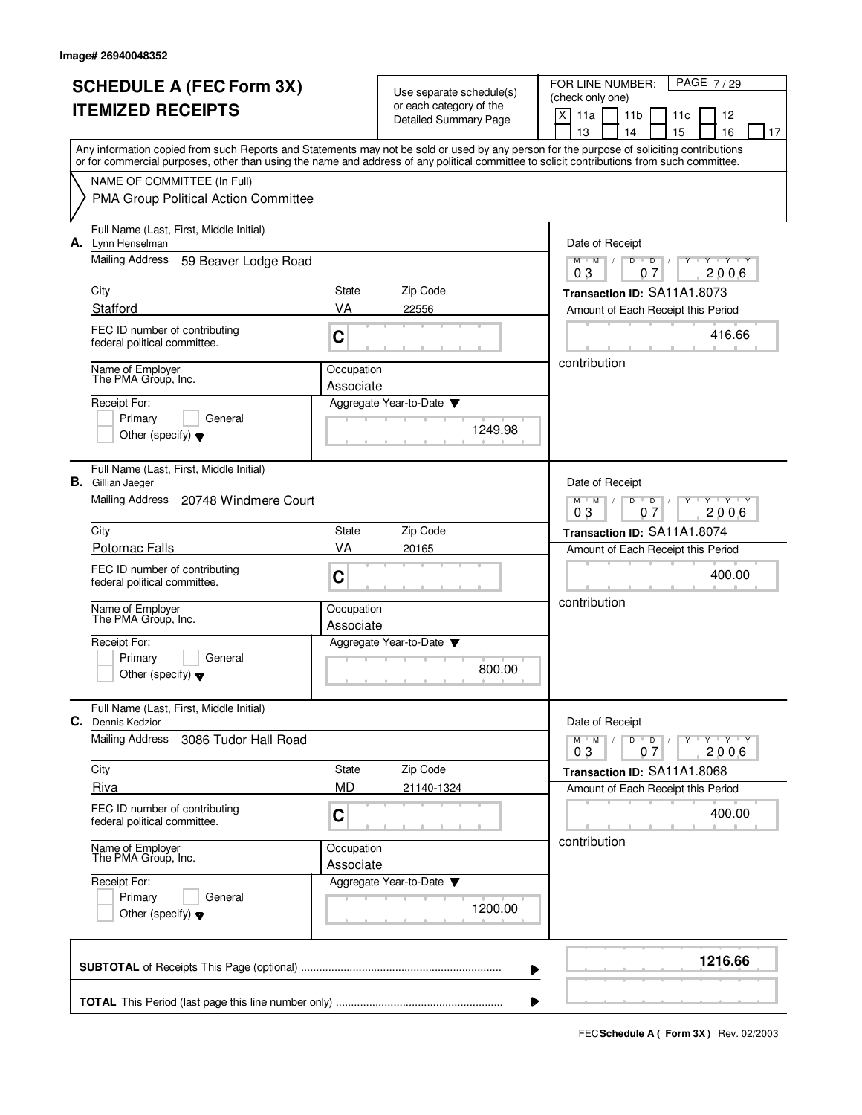| <b>SCHEDULE A (FEC Form 3X)</b><br><b>ITEMIZED RECEIPTS</b> |                                                                                                                                                                                                                                                                                         |                         | Use separate schedule(s)<br>or each category of the | PAGE 7/29<br>FOR LINE NUMBER:<br>(check only one)                         |  |  |
|-------------------------------------------------------------|-----------------------------------------------------------------------------------------------------------------------------------------------------------------------------------------------------------------------------------------------------------------------------------------|-------------------------|-----------------------------------------------------|---------------------------------------------------------------------------|--|--|
|                                                             |                                                                                                                                                                                                                                                                                         |                         | <b>Detailed Summary Page</b>                        | $\mathsf{X}$<br>11a<br>11 <sub>b</sub><br>12<br>11c<br>15<br>14           |  |  |
|                                                             | Any information copied from such Reports and Statements may not be sold or used by any person for the purpose of soliciting contributions<br>or for commercial purposes, other than using the name and address of any political committee to solicit contributions from such committee. |                         |                                                     | 13<br>16<br>17                                                            |  |  |
|                                                             | NAME OF COMMITTEE (In Full)                                                                                                                                                                                                                                                             |                         |                                                     |                                                                           |  |  |
|                                                             | PMA Group Political Action Committee                                                                                                                                                                                                                                                    |                         |                                                     |                                                                           |  |  |
|                                                             | Full Name (Last, First, Middle Initial)<br>A. Lynn Henselman                                                                                                                                                                                                                            |                         |                                                     | Date of Receipt                                                           |  |  |
|                                                             | Mailing Address<br>59 Beaver Lodge Road                                                                                                                                                                                                                                                 |                         |                                                     | $M$ $M$ $/$<br>$D$ $D$<br>Y Y Y Y<br>2006<br>03<br>07                     |  |  |
|                                                             | City                                                                                                                                                                                                                                                                                    | State                   | Zip Code                                            | Transaction ID: SA11A1.8073                                               |  |  |
|                                                             | Stafford                                                                                                                                                                                                                                                                                | VA                      | 22556                                               | Amount of Each Receipt this Period                                        |  |  |
|                                                             | FEC ID number of contributing<br>federal political committee.                                                                                                                                                                                                                           | C                       |                                                     | 416.66                                                                    |  |  |
|                                                             | Name of Employer<br>The PMA Group, Inc.                                                                                                                                                                                                                                                 | Occupation              |                                                     | contribution                                                              |  |  |
|                                                             | Receipt For:                                                                                                                                                                                                                                                                            | Associate               | Aggregate Year-to-Date                              |                                                                           |  |  |
|                                                             | Primary<br>General                                                                                                                                                                                                                                                                      |                         |                                                     |                                                                           |  |  |
|                                                             | Other (specify) $\blacktriangledown$                                                                                                                                                                                                                                                    |                         | 1249.98                                             |                                                                           |  |  |
|                                                             | Full Name (Last, First, Middle Initial)<br><b>B.</b> Gillian Jaeger                                                                                                                                                                                                                     |                         |                                                     | Date of Receipt                                                           |  |  |
|                                                             | Mailing Address 20748 Windmere Court                                                                                                                                                                                                                                                    |                         |                                                     | $M$ M<br>D<br>$T$ $Y$ $T$ $Y$<br>D<br>0 <sub>3</sub><br>2006<br>07        |  |  |
|                                                             | City                                                                                                                                                                                                                                                                                    | <b>State</b>            | Zip Code                                            | Transaction ID: SA11A1.8074                                               |  |  |
|                                                             | <b>Potomac Falls</b>                                                                                                                                                                                                                                                                    | VA                      | 20165                                               | Amount of Each Receipt this Period                                        |  |  |
|                                                             | FEC ID number of contributing<br>federal political committee.                                                                                                                                                                                                                           | C                       |                                                     | 400.00                                                                    |  |  |
|                                                             | Name of Employer<br>The PMA Group, Inc.                                                                                                                                                                                                                                                 | Occupation<br>Associate |                                                     | contribution                                                              |  |  |
|                                                             | Receipt For:                                                                                                                                                                                                                                                                            |                         | Aggregate Year-to-Date                              |                                                                           |  |  |
|                                                             | Primary<br>General<br>Other (specify) $\blacktriangledown$                                                                                                                                                                                                                              |                         | 800.00                                              |                                                                           |  |  |
| C.                                                          | Full Name (Last, First, Middle Initial)<br>Dennis Kedzior                                                                                                                                                                                                                               |                         |                                                     | Date of Receipt                                                           |  |  |
|                                                             | <b>Mailing Address</b><br>3086 Tudor Hall Road                                                                                                                                                                                                                                          |                         |                                                     | $Y - Y - Y$<br>$D$ $D$<br>$M$ <sup>-1</sup><br>M<br>Y<br>2006<br>03<br>07 |  |  |
|                                                             | City                                                                                                                                                                                                                                                                                    | State                   | Zip Code                                            | Transaction ID: SA11A1.8068                                               |  |  |
|                                                             | Riva                                                                                                                                                                                                                                                                                    | <b>MD</b>               | 21140-1324                                          | Amount of Each Receipt this Period                                        |  |  |
|                                                             | FEC ID number of contributing<br>federal political committee.                                                                                                                                                                                                                           | C                       |                                                     | 400.00                                                                    |  |  |
|                                                             | Name of Employer<br>The PMA Group, Inc.                                                                                                                                                                                                                                                 | Occupation<br>Associate |                                                     | contribution                                                              |  |  |
|                                                             | Receipt For:<br>Primary<br>General<br>Other (specify) $\blacktriangledown$                                                                                                                                                                                                              |                         | Aggregate Year-to-Date<br>1200.00                   |                                                                           |  |  |
|                                                             |                                                                                                                                                                                                                                                                                         |                         | ▶                                                   | 1216.66                                                                   |  |  |
|                                                             |                                                                                                                                                                                                                                                                                         |                         |                                                     |                                                                           |  |  |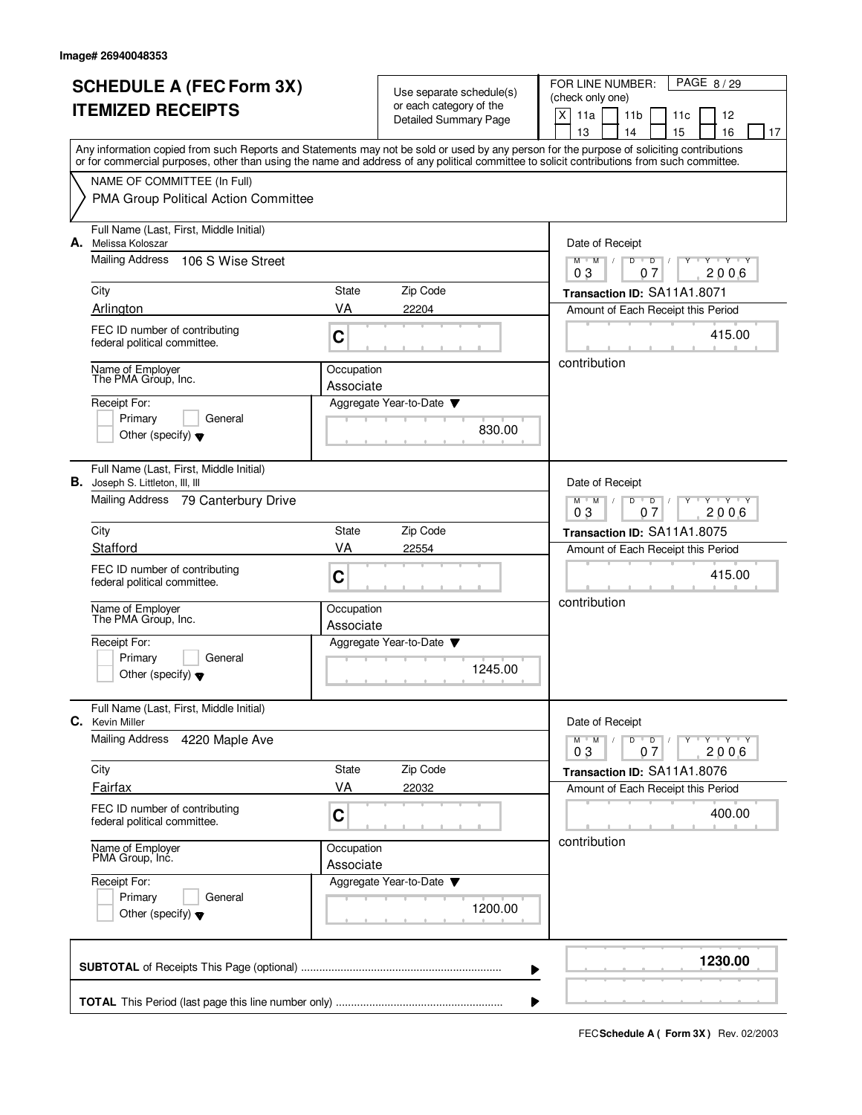|                          | <b>SCHEDULE A (FEC Form 3X)</b>                                                                                                                                                                                                                                                         |                         | Use separate schedule(s)                    | FOR LINE NUMBER:<br>PAGE 8/29                                                                         |  |  |
|--------------------------|-----------------------------------------------------------------------------------------------------------------------------------------------------------------------------------------------------------------------------------------------------------------------------------------|-------------------------|---------------------------------------------|-------------------------------------------------------------------------------------------------------|--|--|
| <b>ITEMIZED RECEIPTS</b> |                                                                                                                                                                                                                                                                                         |                         | or each category of the                     | (check only one)                                                                                      |  |  |
|                          |                                                                                                                                                                                                                                                                                         |                         | <b>Detailed Summary Page</b>                | X<br>11a<br>11 <sub>b</sub><br>11c<br>12<br>13<br>14<br>15<br>16<br>17                                |  |  |
|                          | Any information copied from such Reports and Statements may not be sold or used by any person for the purpose of soliciting contributions<br>or for commercial purposes, other than using the name and address of any political committee to solicit contributions from such committee. |                         |                                             |                                                                                                       |  |  |
|                          | NAME OF COMMITTEE (In Full)                                                                                                                                                                                                                                                             |                         |                                             |                                                                                                       |  |  |
|                          | PMA Group Political Action Committee                                                                                                                                                                                                                                                    |                         |                                             |                                                                                                       |  |  |
|                          | Full Name (Last, First, Middle Initial)<br>A. Melissa Koloszar                                                                                                                                                                                                                          |                         |                                             | Date of Receipt                                                                                       |  |  |
|                          | Mailing Address<br>106 S Wise Street                                                                                                                                                                                                                                                    |                         |                                             | $M^{\prime}$ M $\rightarrow$<br>$D$ $D$<br>$Y + Y + Y$<br>2006<br>03<br>07                            |  |  |
|                          | City                                                                                                                                                                                                                                                                                    | State                   | Zip Code                                    | Transaction ID: SA11A1.8071                                                                           |  |  |
|                          | Arlington                                                                                                                                                                                                                                                                               | VA                      | 22204                                       | Amount of Each Receipt this Period                                                                    |  |  |
|                          | FEC ID number of contributing<br>federal political committee.                                                                                                                                                                                                                           | C                       |                                             | 415.00                                                                                                |  |  |
|                          | Name of Employer<br>The PMA Group, Inc.                                                                                                                                                                                                                                                 | Occupation<br>Associate |                                             | contribution                                                                                          |  |  |
|                          | Receipt For:                                                                                                                                                                                                                                                                            |                         | Aggregate Year-to-Date                      |                                                                                                       |  |  |
|                          | Primary<br>General                                                                                                                                                                                                                                                                      |                         | 830.00                                      |                                                                                                       |  |  |
|                          | Other (specify) $\blacktriangledown$                                                                                                                                                                                                                                                    |                         |                                             |                                                                                                       |  |  |
| В.                       | Full Name (Last, First, Middle Initial)<br>Joseph S. Littleton, III, III                                                                                                                                                                                                                |                         |                                             | Date of Receipt                                                                                       |  |  |
|                          | Mailing Address<br>79 Canterbury Drive                                                                                                                                                                                                                                                  |                         |                                             | $M$ <sup>-1</sup><br>M<br>D<br>$\mathsf{T} \mathsf{Y} \mathsf{T} \mathsf{Y}$<br>D<br>2006<br>03<br>07 |  |  |
|                          | City                                                                                                                                                                                                                                                                                    | State                   | Zip Code                                    | Transaction ID: SA11A1.8075                                                                           |  |  |
|                          | Stafford                                                                                                                                                                                                                                                                                | VA                      | 22554                                       | Amount of Each Receipt this Period                                                                    |  |  |
|                          | FEC ID number of contributing<br>federal political committee.                                                                                                                                                                                                                           | C                       |                                             | 415.00                                                                                                |  |  |
|                          | Name of Employer<br>The PMA Group, Inc.                                                                                                                                                                                                                                                 | Occupation<br>Associate |                                             | contribution                                                                                          |  |  |
|                          | Receipt For:                                                                                                                                                                                                                                                                            |                         | Aggregate Year-to-Date $\blacktriangledown$ |                                                                                                       |  |  |
|                          | Primary<br>General<br>Other (specify) $\bullet$                                                                                                                                                                                                                                         |                         | 1245.00                                     |                                                                                                       |  |  |
| C.                       | Full Name (Last, First, Middle Initial)<br><b>Kevin Miller</b>                                                                                                                                                                                                                          |                         |                                             | Date of Receipt                                                                                       |  |  |
|                          | <b>Mailing Address</b><br>4220 Maple Ave                                                                                                                                                                                                                                                |                         |                                             | $Y - Y - Y$<br>$M$ <sup>-1</sup><br>M<br>$D$ $D$<br>Y<br>2006<br>03<br>07                             |  |  |
|                          | City                                                                                                                                                                                                                                                                                    | State                   | Zip Code                                    | Transaction ID: SA11A1.8076                                                                           |  |  |
|                          | Fairfax                                                                                                                                                                                                                                                                                 | VA                      | 22032                                       | Amount of Each Receipt this Period                                                                    |  |  |
|                          | FEC ID number of contributing<br>federal political committee.                                                                                                                                                                                                                           | C                       |                                             | 400.00                                                                                                |  |  |
|                          | Name of Employer<br>PMA Group, Inc.                                                                                                                                                                                                                                                     | Occupation<br>Associate |                                             | contribution                                                                                          |  |  |
|                          | Receipt For:                                                                                                                                                                                                                                                                            |                         | Aggregate Year-to-Date ▼                    |                                                                                                       |  |  |
|                          | Primary<br>General<br>Other (specify) $\blacktriangledown$                                                                                                                                                                                                                              |                         | 1200.00                                     |                                                                                                       |  |  |
|                          |                                                                                                                                                                                                                                                                                         |                         | ▶                                           | 1230.00                                                                                               |  |  |
|                          |                                                                                                                                                                                                                                                                                         |                         |                                             |                                                                                                       |  |  |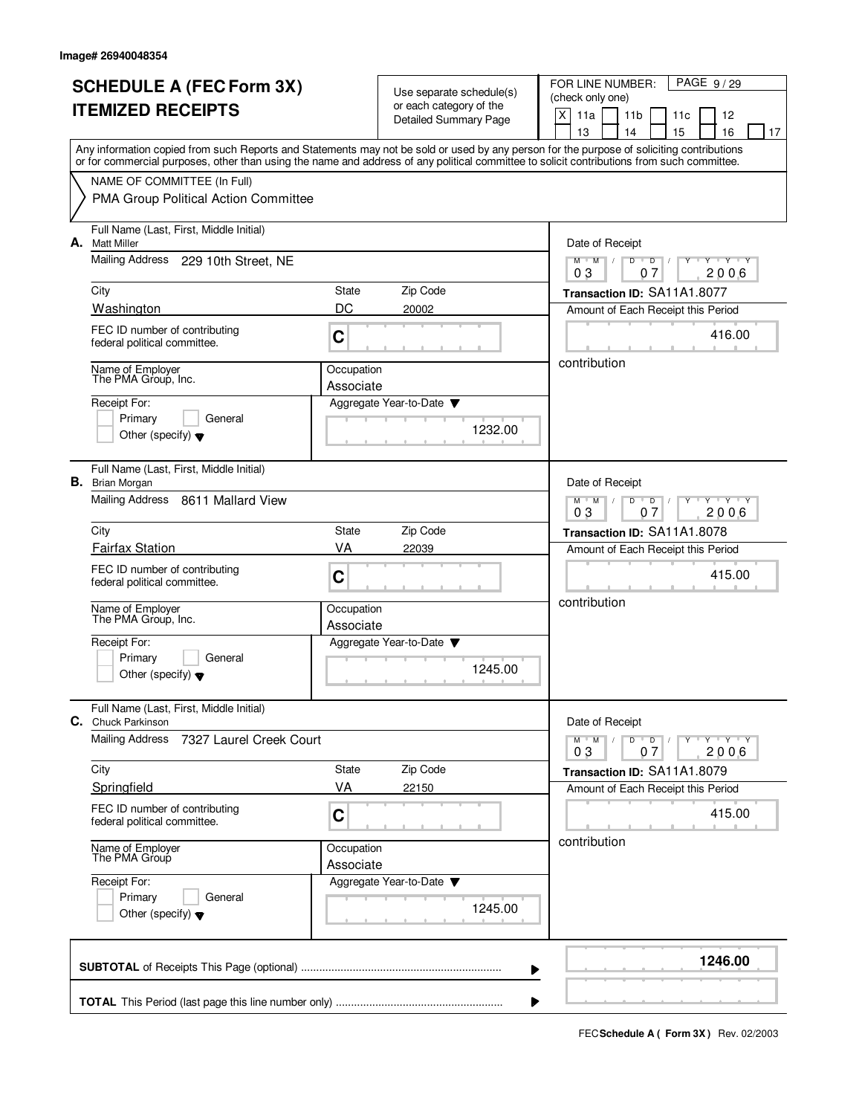|    | <b>SCHEDULE A (FEC Form 3X)</b><br><b>ITEMIZED RECEIPTS</b>                                                                                                                                                                                                                             |                         | Use separate schedule(s)<br>or each category of the | PAGE 9/29<br>FOR LINE NUMBER:<br>(check only one)<br>X<br>11a<br>11 <sub>b</sub><br>11c<br>12 |  |  |  |
|----|-----------------------------------------------------------------------------------------------------------------------------------------------------------------------------------------------------------------------------------------------------------------------------------------|-------------------------|-----------------------------------------------------|-----------------------------------------------------------------------------------------------|--|--|--|
|    |                                                                                                                                                                                                                                                                                         |                         | <b>Detailed Summary Page</b>                        | 13<br>14<br>15<br>16<br>17                                                                    |  |  |  |
|    | Any information copied from such Reports and Statements may not be sold or used by any person for the purpose of soliciting contributions<br>or for commercial purposes, other than using the name and address of any political committee to solicit contributions from such committee. |                         |                                                     |                                                                                               |  |  |  |
|    | NAME OF COMMITTEE (In Full)                                                                                                                                                                                                                                                             |                         |                                                     |                                                                                               |  |  |  |
|    | PMA Group Political Action Committee                                                                                                                                                                                                                                                    |                         |                                                     |                                                                                               |  |  |  |
| А. | Full Name (Last, First, Middle Initial)<br><b>Matt Miller</b>                                                                                                                                                                                                                           |                         |                                                     | Date of Receipt                                                                               |  |  |  |
|    | Mailing Address 229 10th Street, NE                                                                                                                                                                                                                                                     |                         |                                                     | $M$ $M$ /<br>D<br>$\overline{D}$<br>Y 'Y 'Y<br>2006<br>03<br>07                               |  |  |  |
|    | City                                                                                                                                                                                                                                                                                    | State                   | Zip Code                                            | Transaction ID: SA11A1.8077                                                                   |  |  |  |
|    | Washington                                                                                                                                                                                                                                                                              | DC                      | 20002                                               | Amount of Each Receipt this Period                                                            |  |  |  |
|    | FEC ID number of contributing<br>federal political committee.                                                                                                                                                                                                                           | C                       |                                                     | 416.00                                                                                        |  |  |  |
|    | Name of Employer<br>The PMA Group, Inc.                                                                                                                                                                                                                                                 | Occupation<br>Associate |                                                     | contribution                                                                                  |  |  |  |
|    | Receipt For:                                                                                                                                                                                                                                                                            |                         | Aggregate Year-to-Date                              |                                                                                               |  |  |  |
|    | Primary<br>General                                                                                                                                                                                                                                                                      |                         | 1232.00                                             |                                                                                               |  |  |  |
|    | Other (specify) $\blacktriangledown$                                                                                                                                                                                                                                                    |                         |                                                     |                                                                                               |  |  |  |
|    | Full Name (Last, First, Middle Initial)<br><b>B.</b> Brian Morgan                                                                                                                                                                                                                       |                         |                                                     | Date of Receipt                                                                               |  |  |  |
|    | Mailing Address<br>8611 Mallard View                                                                                                                                                                                                                                                    |                         |                                                     | $Y - Y - Y$<br>$M$ $M$ /<br>D<br>D<br>0 <sub>3</sub><br>2006<br>07                            |  |  |  |
|    | City                                                                                                                                                                                                                                                                                    | State                   | Zip Code                                            | Transaction ID: SA11A1.8078                                                                   |  |  |  |
|    | <b>Fairfax Station</b>                                                                                                                                                                                                                                                                  | VA                      | 22039                                               | Amount of Each Receipt this Period                                                            |  |  |  |
|    | FEC ID number of contributing<br>federal political committee.                                                                                                                                                                                                                           | C                       |                                                     | 415.00                                                                                        |  |  |  |
|    | Name of Employer<br>The PMA Group, Inc.                                                                                                                                                                                                                                                 | Occupation<br>Associate |                                                     | contribution                                                                                  |  |  |  |
|    | Receipt For:                                                                                                                                                                                                                                                                            |                         | Aggregate Year-to-Date $\blacktriangledown$         |                                                                                               |  |  |  |
|    | Primary<br>General<br>Other (specify) $\blacktriangledown$                                                                                                                                                                                                                              |                         | 1245.00                                             |                                                                                               |  |  |  |
|    | Full Name (Last, First, Middle Initial)<br>C. Chuck Parkinson                                                                                                                                                                                                                           |                         |                                                     | Date of Receipt                                                                               |  |  |  |
|    | <b>Mailing Address</b><br>7327 Laurel Creek Court                                                                                                                                                                                                                                       |                         |                                                     | $D$ $D$<br>Y Y Y Y<br>$M$ M<br>$\sqrt{ }$                                                     |  |  |  |
|    | City                                                                                                                                                                                                                                                                                    | State                   | Zip Code                                            | 2006<br>07<br>03<br>Transaction ID: SA11A1.8079                                               |  |  |  |
|    | Springfield                                                                                                                                                                                                                                                                             | VA                      | 22150                                               | Amount of Each Receipt this Period                                                            |  |  |  |
|    | FEC ID number of contributing<br>federal political committee.                                                                                                                                                                                                                           | C                       |                                                     | 415.00                                                                                        |  |  |  |
|    | Name of Employer<br>The PMA Group                                                                                                                                                                                                                                                       |                         | Occupation<br>Associate                             | contribution                                                                                  |  |  |  |
|    | Receipt For:<br>Primary<br>General<br>Other (specify) $\blacktriangledown$                                                                                                                                                                                                              |                         | Aggregate Year-to-Date ▼<br>1245.00                 |                                                                                               |  |  |  |
|    |                                                                                                                                                                                                                                                                                         |                         | ▶                                                   | 1246.00                                                                                       |  |  |  |
|    |                                                                                                                                                                                                                                                                                         |                         |                                                     |                                                                                               |  |  |  |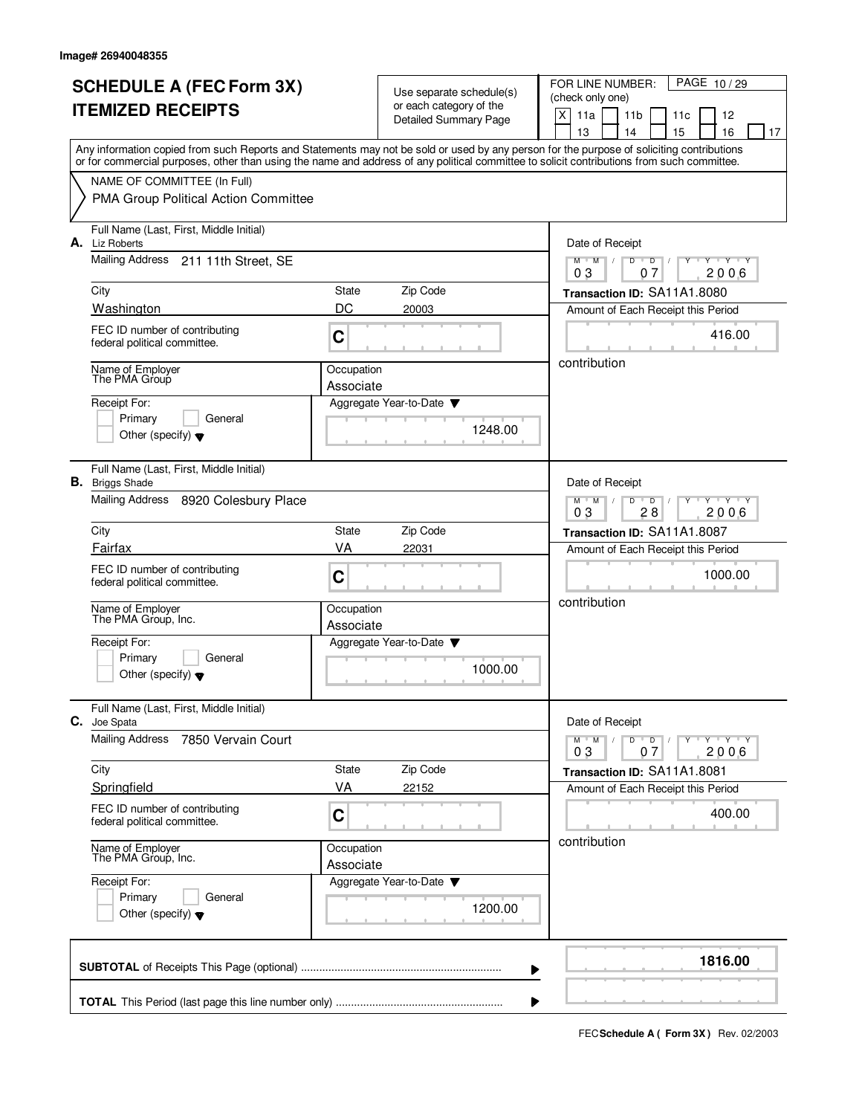| <b>SCHEDULE A (FEC Form 3X)</b><br><b>ITEMIZED RECEIPTS</b> |                                                                                                                                                                                                                                                                                         |                         | Use separate schedule(s)<br>or each category of the | PAGE 10/29<br>FOR LINE NUMBER:<br>(check only one)<br>X<br>11a<br>11 <sub>b</sub><br>12<br>11c |  |  |
|-------------------------------------------------------------|-----------------------------------------------------------------------------------------------------------------------------------------------------------------------------------------------------------------------------------------------------------------------------------------|-------------------------|-----------------------------------------------------|------------------------------------------------------------------------------------------------|--|--|
|                                                             |                                                                                                                                                                                                                                                                                         |                         | <b>Detailed Summary Page</b>                        | 15<br>13<br>14<br>16<br>17                                                                     |  |  |
|                                                             | Any information copied from such Reports and Statements may not be sold or used by any person for the purpose of soliciting contributions<br>or for commercial purposes, other than using the name and address of any political committee to solicit contributions from such committee. |                         |                                                     |                                                                                                |  |  |
|                                                             | NAME OF COMMITTEE (In Full)                                                                                                                                                                                                                                                             |                         |                                                     |                                                                                                |  |  |
|                                                             | PMA Group Political Action Committee                                                                                                                                                                                                                                                    |                         |                                                     |                                                                                                |  |  |
|                                                             | Full Name (Last, First, Middle Initial)<br>A. Liz Roberts                                                                                                                                                                                                                               |                         |                                                     | Date of Receipt                                                                                |  |  |
|                                                             | Mailing Address 211 11th Street, SE                                                                                                                                                                                                                                                     |                         |                                                     | $M = M$<br>$Y - Y - Y$<br>$D$ $D$<br>2006<br>03<br>07                                          |  |  |
|                                                             | City                                                                                                                                                                                                                                                                                    | State                   | Zip Code                                            | Transaction ID: SA11A1.8080                                                                    |  |  |
|                                                             | Washington                                                                                                                                                                                                                                                                              | DC                      | 20003                                               | Amount of Each Receipt this Period                                                             |  |  |
|                                                             | FEC ID number of contributing<br>federal political committee.                                                                                                                                                                                                                           | C                       |                                                     | 416.00                                                                                         |  |  |
|                                                             | Name of Employer<br>The PMA Group                                                                                                                                                                                                                                                       | Occupation<br>Associate |                                                     | contribution                                                                                   |  |  |
|                                                             | Receipt For:                                                                                                                                                                                                                                                                            |                         | Aggregate Year-to-Date                              |                                                                                                |  |  |
|                                                             | Primary<br>General                                                                                                                                                                                                                                                                      |                         | 1248.00                                             |                                                                                                |  |  |
|                                                             | Other (specify) $\blacktriangledown$                                                                                                                                                                                                                                                    |                         |                                                     |                                                                                                |  |  |
|                                                             | Full Name (Last, First, Middle Initial)<br><b>B.</b> Briggs Shade                                                                                                                                                                                                                       |                         |                                                     | Date of Receipt                                                                                |  |  |
|                                                             | Mailing Address<br>8920 Colesbury Place                                                                                                                                                                                                                                                 |                         |                                                     | $M$ M<br>D<br>$T$ $Y$ $T$ $Y$<br>D<br>2006<br>03<br>28                                         |  |  |
|                                                             | City                                                                                                                                                                                                                                                                                    | State                   | Zip Code                                            | Transaction ID: SA11A1.8087                                                                    |  |  |
|                                                             | Fairfax                                                                                                                                                                                                                                                                                 | VA                      | 22031                                               | Amount of Each Receipt this Period                                                             |  |  |
|                                                             | FEC ID number of contributing<br>federal political committee.                                                                                                                                                                                                                           | C                       |                                                     | 1000.00                                                                                        |  |  |
|                                                             | Name of Employer<br>The PMA Group, Inc.                                                                                                                                                                                                                                                 | Occupation<br>Associate |                                                     | contribution                                                                                   |  |  |
|                                                             | Receipt For:                                                                                                                                                                                                                                                                            |                         | Aggregate Year-to-Date $\blacktriangledown$         |                                                                                                |  |  |
|                                                             | Primary<br>General<br>Other (specify) $\blacktriangledown$                                                                                                                                                                                                                              |                         | 1000.00                                             |                                                                                                |  |  |
| C.                                                          | Full Name (Last, First, Middle Initial)<br>Joe Spata                                                                                                                                                                                                                                    |                         |                                                     | Date of Receipt                                                                                |  |  |
|                                                             | <b>Mailing Address</b><br>7850 Vervain Court                                                                                                                                                                                                                                            |                         |                                                     | Y Y Y Y<br>$D$ $D$<br>$M$ <sup>U</sup><br>M<br>Y<br>2006<br>03<br>07                           |  |  |
|                                                             | City                                                                                                                                                                                                                                                                                    | State                   | Zip Code                                            | Transaction ID: SA11A1.8081                                                                    |  |  |
|                                                             | Springfield                                                                                                                                                                                                                                                                             | VA                      | 22152                                               | Amount of Each Receipt this Period                                                             |  |  |
|                                                             | FEC ID number of contributing<br>federal political committee.                                                                                                                                                                                                                           | C                       |                                                     | 400.00                                                                                         |  |  |
|                                                             | Name of Employer<br>The PMA Group, Inc.                                                                                                                                                                                                                                                 | Occupation<br>Associate |                                                     | contribution                                                                                   |  |  |
|                                                             | Receipt For:<br>Primary<br>General<br>Other (specify) $\blacktriangledown$                                                                                                                                                                                                              |                         | Aggregate Year-to-Date ▼<br>1200.00                 |                                                                                                |  |  |
|                                                             |                                                                                                                                                                                                                                                                                         |                         | ▶                                                   | 1816.00                                                                                        |  |  |
|                                                             |                                                                                                                                                                                                                                                                                         |                         |                                                     |                                                                                                |  |  |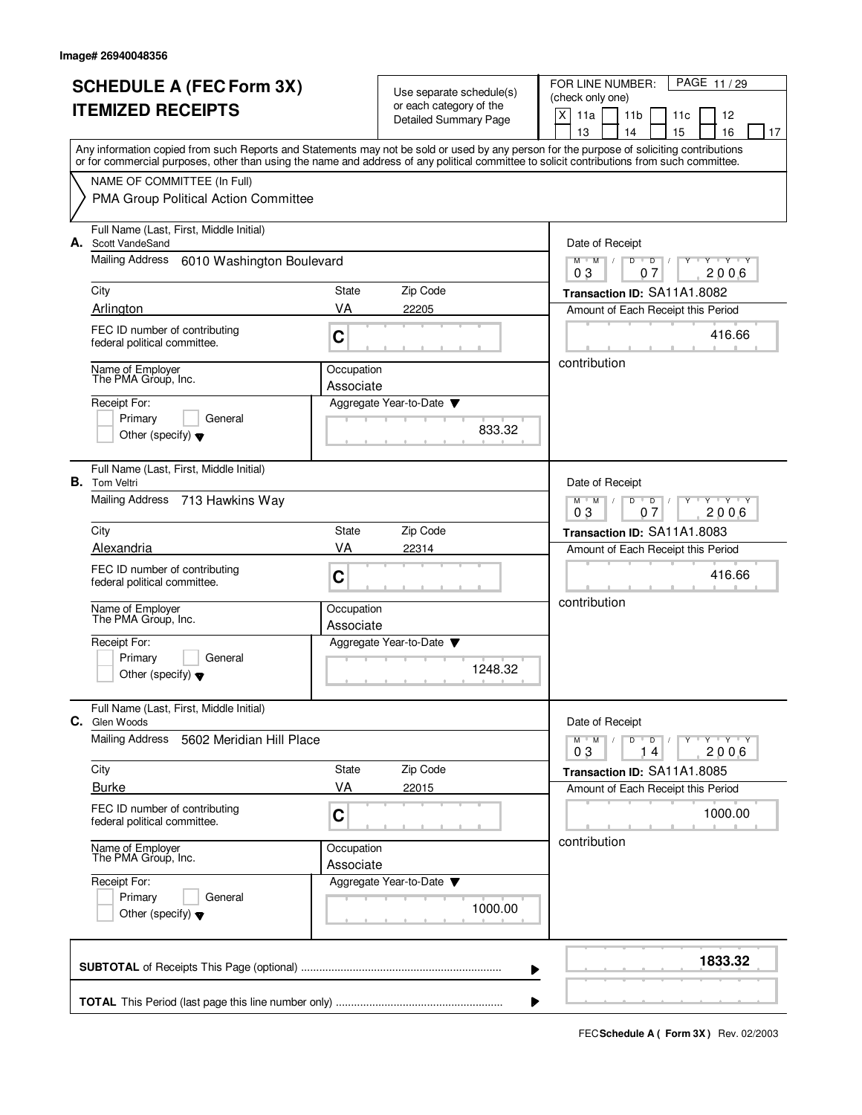|    | <b>SCHEDULE A (FEC Form 3X)</b><br><b>ITEMIZED RECEIPTS</b><br>Any information copied from such Reports and Statements may not be sold or used by any person for the purpose of soliciting contributions |                         | Use separate schedule(s)<br>or each category of the<br><b>Detailed Summary Page</b> | FOR LINE NUMBER:<br>PAGE 11/29<br>(check only one)<br>X<br>11a<br>11 <sub>b</sub><br>11c<br>12<br>13<br>14<br>15<br>16<br>17 |
|----|----------------------------------------------------------------------------------------------------------------------------------------------------------------------------------------------------------|-------------------------|-------------------------------------------------------------------------------------|------------------------------------------------------------------------------------------------------------------------------|
|    | or for commercial purposes, other than using the name and address of any political committee to solicit contributions from such committee.                                                               |                         |                                                                                     |                                                                                                                              |
|    | NAME OF COMMITTEE (In Full)<br>PMA Group Political Action Committee                                                                                                                                      |                         |                                                                                     |                                                                                                                              |
|    | Full Name (Last, First, Middle Initial)<br>A. Scott VandeSand                                                                                                                                            |                         |                                                                                     | Date of Receipt                                                                                                              |
|    | Mailing Address<br>6010 Washington Boulevard                                                                                                                                                             |                         |                                                                                     | Y Y Y Y<br>$M$ $M$ $/$<br>D<br>$\overline{D}$<br>07<br>2006<br>03                                                            |
|    | City                                                                                                                                                                                                     | <b>State</b>            | Zip Code                                                                            | Transaction ID: SA11A1.8082                                                                                                  |
|    | Arlington                                                                                                                                                                                                | VA                      | 22205                                                                               | Amount of Each Receipt this Period                                                                                           |
|    | FEC ID number of contributing<br>federal political committee.                                                                                                                                            | C                       |                                                                                     | 416.66                                                                                                                       |
|    | Name of Employer<br>The PMA Group, Inc.                                                                                                                                                                  | Occupation              |                                                                                     | contribution                                                                                                                 |
|    | Receipt For:                                                                                                                                                                                             | Associate               | Aggregate Year-to-Date ▼                                                            |                                                                                                                              |
|    | Primary<br>General                                                                                                                                                                                       |                         |                                                                                     |                                                                                                                              |
|    | Other (specify) $\blacktriangledown$                                                                                                                                                                     |                         | 833.32                                                                              |                                                                                                                              |
| В. | Full Name (Last, First, Middle Initial)<br><b>Tom Veltri</b>                                                                                                                                             |                         |                                                                                     | Date of Receipt                                                                                                              |
|    | Mailing Address<br>713 Hawkins Way                                                                                                                                                                       |                         |                                                                                     | $D$ $D$<br>$Y - Y - Y$<br>$M$ M<br>$\sqrt{ }$<br>03<br>07<br>2006                                                            |
|    | City                                                                                                                                                                                                     | <b>State</b>            | Zip Code                                                                            | Transaction ID: SA11A1.8083                                                                                                  |
|    | Alexandria                                                                                                                                                                                               | VA                      | 22314                                                                               | Amount of Each Receipt this Period                                                                                           |
|    | FEC ID number of contributing<br>federal political committee.                                                                                                                                            | C                       |                                                                                     | 416.66                                                                                                                       |
|    | Name of Employer<br>The PMA Group, Inc.                                                                                                                                                                  | Occupation<br>Associate |                                                                                     | contribution                                                                                                                 |
|    | Receipt For:                                                                                                                                                                                             |                         | Aggregate Year-to-Date                                                              |                                                                                                                              |
|    | Primary<br>General<br>Other (specify) $\blacktriangledown$                                                                                                                                               |                         | 1248.32                                                                             |                                                                                                                              |
| C. | Full Name (Last, First, Middle Initial)<br>Glen Woods                                                                                                                                                    |                         |                                                                                     | Date of Receipt                                                                                                              |
|    | Mailing Address<br>5602 Meridian Hill Place                                                                                                                                                              |                         |                                                                                     | $Y$ $Y$ $Y$<br>M<br>$\mathsf D$<br>$M$ <sup>U</sup><br>D<br>Y<br>τ<br>2006<br>03<br>14                                       |
|    | City                                                                                                                                                                                                     | State                   | Zip Code                                                                            | Transaction ID: SA11A1.8085                                                                                                  |
|    | <b>Burke</b>                                                                                                                                                                                             | VA                      | 22015                                                                               | Amount of Each Receipt this Period                                                                                           |
|    | FEC ID number of contributing<br>federal political committee.                                                                                                                                            | C                       |                                                                                     | 1000.00                                                                                                                      |
|    | Name of Employer<br>The PMA Group, Inc.                                                                                                                                                                  | Occupation<br>Associate |                                                                                     | contribution                                                                                                                 |
|    | Receipt For:                                                                                                                                                                                             |                         | Aggregate Year-to-Date ▼                                                            |                                                                                                                              |
|    | Primary<br>General<br>Other (specify) $\blacktriangledown$                                                                                                                                               |                         | 1000.00                                                                             |                                                                                                                              |
|    |                                                                                                                                                                                                          |                         |                                                                                     | 1833.32                                                                                                                      |
|    |                                                                                                                                                                                                          |                         |                                                                                     |                                                                                                                              |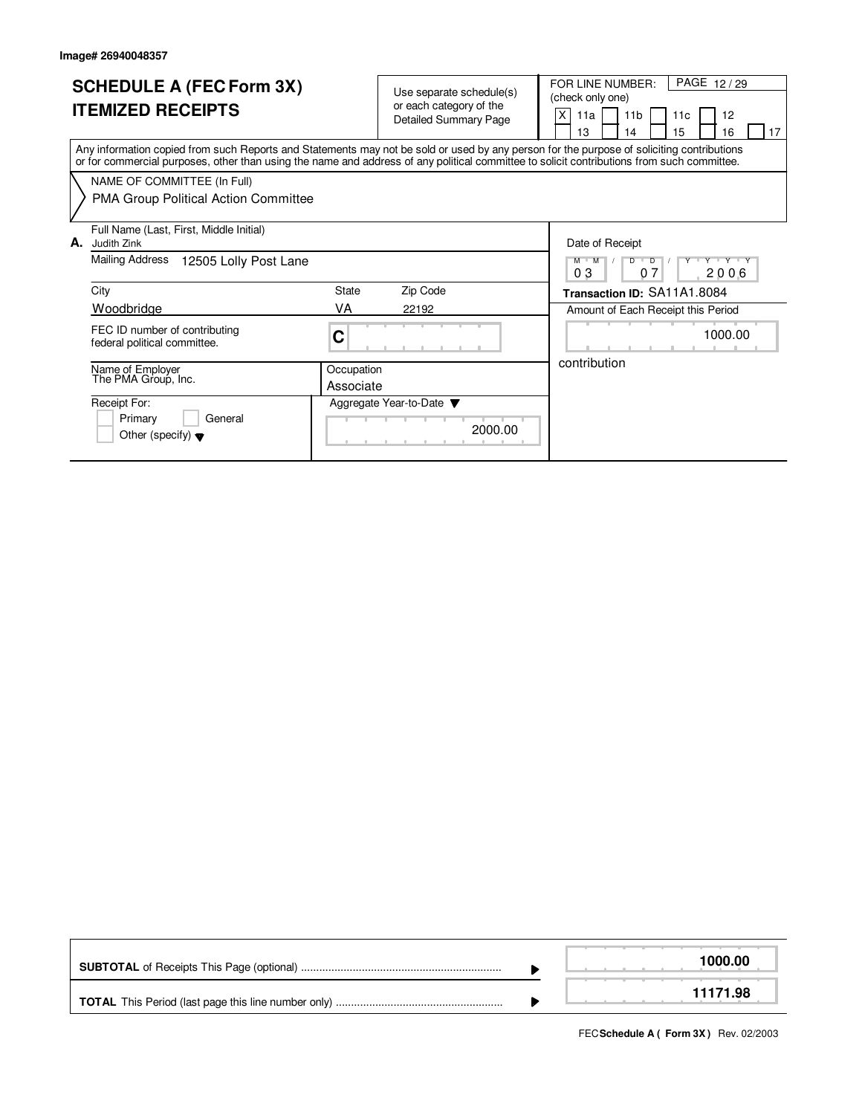| <b>SCHEDULE A (FEC Form 3X)</b><br><b>ITEMIZED RECEIPTS</b>                                                                                                                                                                                                                             | Use separate schedule(s)<br>or each category of the<br><b>Detailed Summary Page</b> | PAGE 12/29<br>FOR LINE NUMBER:<br>(check only one)<br>X<br>12<br>11 <sub>b</sub><br>11a<br>11c<br>15<br>13<br>16<br>14<br>17 |
|-----------------------------------------------------------------------------------------------------------------------------------------------------------------------------------------------------------------------------------------------------------------------------------------|-------------------------------------------------------------------------------------|------------------------------------------------------------------------------------------------------------------------------|
| Any information copied from such Reports and Statements may not be sold or used by any person for the purpose of soliciting contributions<br>or for commercial purposes, other than using the name and address of any political committee to solicit contributions from such committee. |                                                                                     |                                                                                                                              |
| NAME OF COMMITTEE (In Full)                                                                                                                                                                                                                                                             |                                                                                     |                                                                                                                              |
| <b>PMA Group Political Action Committee</b>                                                                                                                                                                                                                                             |                                                                                     |                                                                                                                              |
| Full Name (Last, First, Middle Initial)<br>А.<br>Judith Zink                                                                                                                                                                                                                            |                                                                                     | Date of Receipt                                                                                                              |
| Mailing Address<br>12505 Lolly Post Lane                                                                                                                                                                                                                                                |                                                                                     | Y Y Y Y Y Y<br>$M$ $M$<br>$\overline{D}$<br>D<br>03<br>2006<br>07                                                            |
| City                                                                                                                                                                                                                                                                                    | Zip Code<br>State                                                                   | Transaction ID: SA11A1.8084                                                                                                  |
| Woodbridge                                                                                                                                                                                                                                                                              | VA<br>22192                                                                         | Amount of Each Receipt this Period                                                                                           |
| FEC ID number of contributing<br>federal political committee.                                                                                                                                                                                                                           | C                                                                                   | 1000.00                                                                                                                      |
| Name of Employer<br>The PMA Group, Inc.                                                                                                                                                                                                                                                 | Occupation<br>Associate                                                             | contribution                                                                                                                 |
| Receipt For:<br>General<br>Primary<br>Other (specify) $\blacktriangledown$                                                                                                                                                                                                              | Aggregate Year-to-Date ▼<br>2000.00                                                 |                                                                                                                              |

|  | 1000.00  |
|--|----------|
|  | 11171.98 |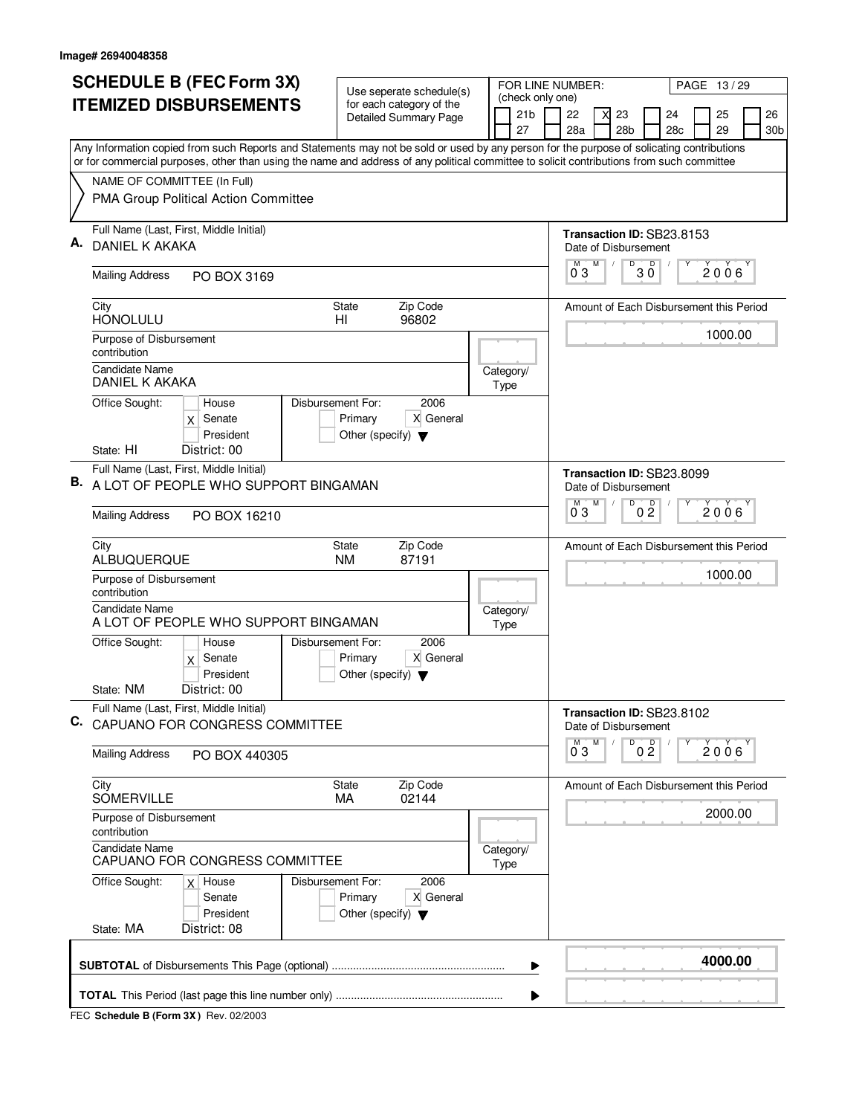|    | <b>SCHEDULE B (FEC Form 3X)</b>                                                                                                                                                                                                                                                        | Use seperate schedule(s)                                             |  |                                     | FOR LINE NUMBER:     |   |                 |                                         | PAGE 13/29   |                 |
|----|----------------------------------------------------------------------------------------------------------------------------------------------------------------------------------------------------------------------------------------------------------------------------------------|----------------------------------------------------------------------|--|-------------------------------------|----------------------|---|-----------------|-----------------------------------------|--------------|-----------------|
|    | <b>ITEMIZED DISBURSEMENTS</b>                                                                                                                                                                                                                                                          | for each category of the                                             |  | (check only one)<br>21 <sub>b</sub> | 22                   | X | 23              | 24                                      | 25           | 26              |
|    |                                                                                                                                                                                                                                                                                        | <b>Detailed Summary Page</b>                                         |  | 27                                  | 28a                  |   | 28 <sub>b</sub> | 28 <sub>c</sub>                         | 29           | 30 <sub>b</sub> |
|    | Any Information copied from such Reports and Statements may not be sold or used by any person for the purpose of solicating contributions<br>or for commercial purposes, other than using the name and address of any political committee to solicit contributions from such committee |                                                                      |  |                                     |                      |   |                 |                                         |              |                 |
|    | NAME OF COMMITTEE (In Full)                                                                                                                                                                                                                                                            |                                                                      |  |                                     |                      |   |                 |                                         |              |                 |
|    | PMA Group Political Action Committee                                                                                                                                                                                                                                                   |                                                                      |  |                                     |                      |   |                 |                                         |              |                 |
|    | Full Name (Last, First, Middle Initial)                                                                                                                                                                                                                                                |                                                                      |  |                                     |                      |   |                 | Transaction ID: SB23.8153               |              |                 |
|    | <b>DANIEL K AKAKA</b>                                                                                                                                                                                                                                                                  |                                                                      |  |                                     | Date of Disbursement | M | D               |                                         |              |                 |
|    | <b>Mailing Address</b><br>PO BOX 3169                                                                                                                                                                                                                                                  |                                                                      |  |                                     | $0^{\degree}3$       |   |                 | $30^{\circ}$                            | $2006^\circ$ |                 |
|    | City<br><b>HONOLULU</b>                                                                                                                                                                                                                                                                | Zip Code<br>State<br>HI<br>96802                                     |  |                                     |                      |   |                 | Amount of Each Disbursement this Period |              |                 |
|    | Purpose of Disbursement<br>contribution                                                                                                                                                                                                                                                |                                                                      |  |                                     |                      |   |                 |                                         | 1000.00      |                 |
|    | <b>Candidate Name</b><br>DANIEL K AKAKA                                                                                                                                                                                                                                                |                                                                      |  | Category/<br>Type                   |                      |   |                 |                                         |              |                 |
|    | Office Sought:<br>House<br>Disbursement For:<br>Senate<br>X<br>President                                                                                                                                                                                                               | 2006<br>Primary<br>X General<br>Other (specify) $\blacktriangledown$ |  |                                     |                      |   |                 |                                         |              |                 |
|    | State: HI<br>District: 00<br>Full Name (Last, First, Middle Initial)                                                                                                                                                                                                                   |                                                                      |  |                                     |                      |   |                 |                                         |              |                 |
|    | B. A LOT OF PEOPLE WHO SUPPORT BINGAMAN                                                                                                                                                                                                                                                |                                                                      |  |                                     | Date of Disbursement |   | D               | Transaction ID: SB23,8099               |              |                 |
|    | <b>Mailing Address</b><br>PO BOX 16210                                                                                                                                                                                                                                                 |                                                                      |  |                                     | M<br>03              | M |                 | 0 <sup>D</sup>                          | 2006         |                 |
|    | City<br>ALBUQUERQUE                                                                                                                                                                                                                                                                    | Zip Code<br><b>State</b><br>87191<br><b>NM</b>                       |  |                                     |                      |   |                 | Amount of Each Disbursement this Period |              |                 |
|    | Purpose of Disbursement<br>contribution                                                                                                                                                                                                                                                |                                                                      |  |                                     |                      |   |                 |                                         | 1000.00      |                 |
|    | <b>Candidate Name</b><br>A LOT OF PEOPLE WHO SUPPORT BINGAMAN                                                                                                                                                                                                                          |                                                                      |  | Category/<br>Type                   |                      |   |                 |                                         |              |                 |
|    | Office Sought:<br>House<br>Disbursement For:<br>$x$ Senate<br>President                                                                                                                                                                                                                | 2006<br>X General<br>Primary<br>Other (specify) $\blacktriangledown$ |  |                                     |                      |   |                 |                                         |              |                 |
|    | State: NM<br>District: 00                                                                                                                                                                                                                                                              |                                                                      |  |                                     |                      |   |                 |                                         |              |                 |
| C. | Full Name (Last, First, Middle Initial)<br>CAPUANO FOR CONGRESS COMMITTEE                                                                                                                                                                                                              |                                                                      |  |                                     | Date of Disbursement |   | D               | Transaction ID: SB23.8102               |              |                 |
|    | <b>Mailing Address</b><br>PO BOX 440305                                                                                                                                                                                                                                                |                                                                      |  |                                     | $0^{\overline{0}}3$  | М |                 | 0 <sup>0</sup>                          | 2006         |                 |
|    | City<br><b>SOMERVILLE</b>                                                                                                                                                                                                                                                              | Zip Code<br>State<br>MA<br>02144                                     |  |                                     |                      |   |                 | Amount of Each Disbursement this Period |              |                 |
|    | Purpose of Disbursement<br>contribution                                                                                                                                                                                                                                                |                                                                      |  |                                     |                      |   |                 |                                         | 2000.00      |                 |
|    | Candidate Name<br>CAPUANO FOR CONGRESS COMMITTEE                                                                                                                                                                                                                                       |                                                                      |  | Category/<br>Type                   |                      |   |                 |                                         |              |                 |
|    | Office Sought:<br>Disbursement For:<br>$x$ House<br>Senate<br>President                                                                                                                                                                                                                | 2006<br>X General<br>Primary<br>Other (specify) $\blacktriangledown$ |  |                                     |                      |   |                 |                                         |              |                 |
|    | State: MA<br>District: 08                                                                                                                                                                                                                                                              |                                                                      |  |                                     |                      |   |                 |                                         |              |                 |
|    |                                                                                                                                                                                                                                                                                        |                                                                      |  | ▶                                   |                      |   |                 |                                         | 4000.00      |                 |
|    |                                                                                                                                                                                                                                                                                        |                                                                      |  | ▶                                   |                      |   |                 |                                         |              |                 |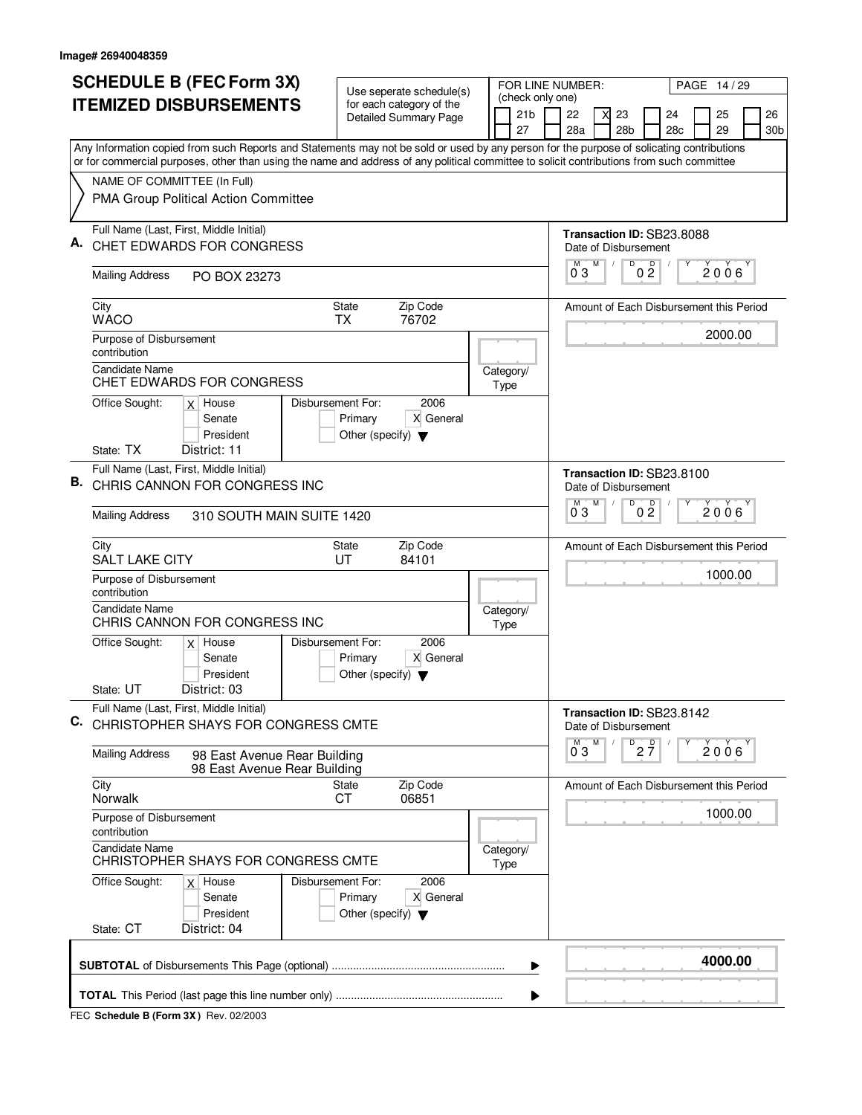|    | <b>SCHEDULE B (FEC Form 3X)</b>                                                                                                           |                                                                      | Use seperate schedule(s)                                 |  | FOR LINE NUMBER:                          |                           |                |                       |                                         |                       | PAGE 14 / 29 |                       |
|----|-------------------------------------------------------------------------------------------------------------------------------------------|----------------------------------------------------------------------|----------------------------------------------------------|--|-------------------------------------------|---------------------------|----------------|-----------------------|-----------------------------------------|-----------------------|--------------|-----------------------|
|    | <b>ITEMIZED DISBURSEMENTS</b>                                                                                                             |                                                                      | for each category of the<br><b>Detailed Summary Page</b> |  | (check only one)<br>21 <sub>b</sub><br>27 | 22<br>28a                 |                | 23<br>28 <sub>b</sub> |                                         | 24<br>28 <sub>c</sub> | 25<br>29     | 26<br>30 <sub>b</sub> |
|    | Any Information copied from such Reports and Statements may not be sold or used by any person for the purpose of solicating contributions |                                                                      |                                                          |  |                                           |                           |                |                       |                                         |                       |              |                       |
|    | or for commercial purposes, other than using the name and address of any political committee to solicit contributions from such committee |                                                                      |                                                          |  |                                           |                           |                |                       |                                         |                       |              |                       |
|    | NAME OF COMMITTEE (In Full)<br>PMA Group Political Action Committee                                                                       |                                                                      |                                                          |  |                                           |                           |                |                       |                                         |                       |              |                       |
|    | Full Name (Last, First, Middle Initial)<br>CHET EDWARDS FOR CONGRESS                                                                      |                                                                      |                                                          |  |                                           | Transaction ID: SB23.8088 |                |                       | Date of Disbursement                    |                       |              |                       |
|    | <b>Mailing Address</b><br>PO BOX 23273                                                                                                    |                                                                      |                                                          |  |                                           | M<br>03                   | M              | D                     | 0 <sup>D</sup>                          |                       | 2006         |                       |
|    | City<br><b>WACO</b>                                                                                                                       | State<br><b>TX</b>                                                   | Zip Code<br>76702                                        |  |                                           |                           |                |                       | Amount of Each Disbursement this Period |                       |              |                       |
|    | Purpose of Disbursement<br>contribution<br><b>Candidate Name</b>                                                                          |                                                                      |                                                          |  |                                           |                           |                |                       |                                         |                       | 2000.00      |                       |
|    | CHET EDWARDS FOR CONGRESS<br>Office Sought:<br>$x$ House                                                                                  | Disbursement For:                                                    | 2006                                                     |  | Category/<br>Type                         |                           |                |                       |                                         |                       |              |                       |
|    | Senate<br>President<br>District: 11<br>State: TX                                                                                          | X General<br>Other (specify) $\blacktriangledown$                    |                                                          |  |                                           |                           |                |                       |                                         |                       |              |                       |
|    | Full Name (Last, First, Middle Initial)                                                                                                   |                                                                      |                                                          |  | Transaction ID: SB23.8100                 |                           |                |                       |                                         |                       |              |                       |
| В. | CHRIS CANNON FOR CONGRESS INC                                                                                                             |                                                                      |                                                          |  | M                                         | M                         | $\overline{D}$ | Date of Disbursement  |                                         |                       |              |                       |
|    | <b>Mailing Address</b><br>310 SOUTH MAIN SUITE 1420                                                                                       |                                                                      |                                                          |  |                                           | 03                        |                |                       | 0 <sup>0</sup>                          |                       | 2006         |                       |
|    | City<br><b>SALT LAKE CITY</b>                                                                                                             | State<br>UT                                                          | Zip Code<br>84101                                        |  |                                           |                           |                |                       | Amount of Each Disbursement this Period |                       | 1000.00      |                       |
|    | Purpose of Disbursement<br>contribution                                                                                                   |                                                                      |                                                          |  |                                           |                           |                |                       |                                         |                       |              |                       |
|    | <b>Candidate Name</b><br>CHRIS CANNON FOR CONGRESS INC                                                                                    |                                                                      |                                                          |  | Category/<br>Type                         |                           |                |                       |                                         |                       |              |                       |
|    | Office Sought:<br>$x$ House<br>Senate<br>President                                                                                        | Disbursement For:<br>Primary<br>Other (specify) $\blacktriangledown$ | 2006<br>X General                                        |  |                                           |                           |                |                       |                                         |                       |              |                       |
|    | State: UT<br>District: 03<br>Full Name (Last, First, Middle Initial)                                                                      |                                                                      |                                                          |  |                                           |                           |                |                       |                                         |                       |              |                       |
| C. | CHRISTOPHER SHAYS FOR CONGRESS CMTE                                                                                                       |                                                                      |                                                          |  |                                           | Transaction ID: SB23.8142 | M              |                       | Date of Disbursement                    |                       |              |                       |
|    | <b>Mailing Address</b><br>98 East Avenue Rear Building<br>98 East Avenue Rear Building                                                    |                                                                      |                                                          |  |                                           | $\overline{0}^M$ 3        |                |                       | $D$ <sub>2</sub> $\frac{D}{7}$          |                       | 2006         |                       |
|    | City<br>Norwalk                                                                                                                           | <b>State</b><br>СT                                                   | Zip Code<br>06851                                        |  |                                           |                           |                |                       | Amount of Each Disbursement this Period |                       | 1000.00      |                       |
|    | Purpose of Disbursement<br>contribution                                                                                                   |                                                                      |                                                          |  |                                           |                           |                |                       |                                         |                       |              |                       |
|    | <b>Candidate Name</b><br>CHRISTOPHER SHAYS FOR CONGRESS CMTE                                                                              |                                                                      |                                                          |  | Category/<br>Type                         |                           |                |                       |                                         |                       |              |                       |
|    | Office Sought:<br>$x$ House<br>Senate<br>President<br>State: CT<br>District: 04                                                           | Disbursement For:<br>Primary<br>Other (specify) $\blacktriangledown$ | 2006<br>X General                                        |  |                                           |                           |                |                       |                                         |                       |              |                       |
|    |                                                                                                                                           |                                                                      |                                                          |  |                                           |                           |                |                       |                                         |                       | 4000.00      |                       |
|    |                                                                                                                                           |                                                                      |                                                          |  | ▶                                         |                           |                |                       |                                         |                       |              |                       |
|    |                                                                                                                                           |                                                                      |                                                          |  |                                           |                           |                |                       |                                         |                       |              |                       |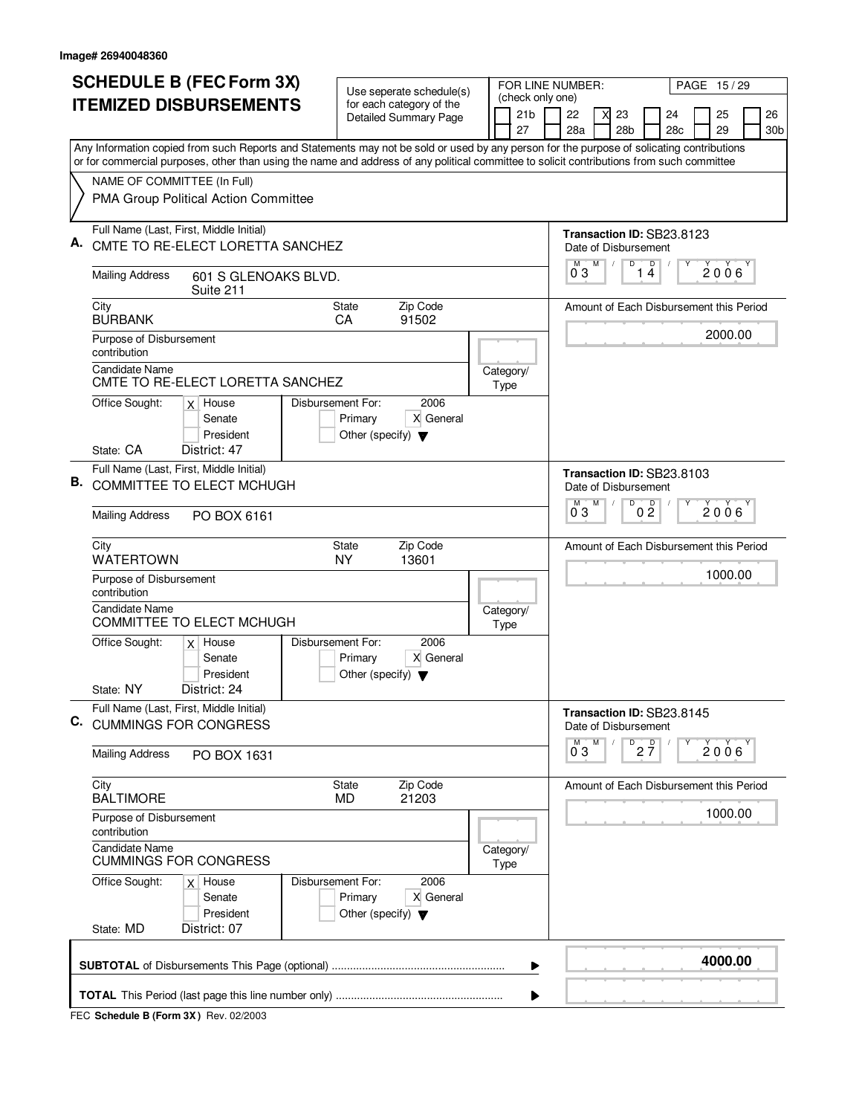|    | <b>SCHEDULE B (FEC Form 3X)</b>                                                                                                                                                                                                                                                        | Use seperate schedule(s)                                                                  |  |                                     | FOR LINE NUMBER:          |   |                 |                                |                                         |   | PAGE 15/29 |                 |
|----|----------------------------------------------------------------------------------------------------------------------------------------------------------------------------------------------------------------------------------------------------------------------------------------|-------------------------------------------------------------------------------------------|--|-------------------------------------|---------------------------|---|-----------------|--------------------------------|-----------------------------------------|---|------------|-----------------|
|    | <b>ITEMIZED DISBURSEMENTS</b>                                                                                                                                                                                                                                                          | for each category of the<br><b>Detailed Summary Page</b>                                  |  | (check only one)<br>21 <sub>b</sub> | 22                        | X | 23              |                                | 24                                      |   | 25         | 26              |
|    |                                                                                                                                                                                                                                                                                        |                                                                                           |  | 27                                  | 28a                       |   | 28 <sub>b</sub> |                                | 28c                                     |   | 29         | 30 <sub>b</sub> |
|    | Any Information copied from such Reports and Statements may not be sold or used by any person for the purpose of solicating contributions<br>or for commercial purposes, other than using the name and address of any political committee to solicit contributions from such committee |                                                                                           |  |                                     |                           |   |                 |                                |                                         |   |            |                 |
|    | NAME OF COMMITTEE (In Full)                                                                                                                                                                                                                                                            |                                                                                           |  |                                     |                           |   |                 |                                |                                         |   |            |                 |
|    | PMA Group Political Action Committee                                                                                                                                                                                                                                                   |                                                                                           |  |                                     |                           |   |                 |                                |                                         |   |            |                 |
|    | Full Name (Last, First, Middle Initial)                                                                                                                                                                                                                                                |                                                                                           |  |                                     |                           |   |                 |                                | Transaction ID: SB23.8123               |   |            |                 |
|    | CMTE TO RE-ELECT LORETTA SANCHEZ                                                                                                                                                                                                                                                       |                                                                                           |  |                                     | Date of Disbursement<br>М | M | D               |                                | D                                       | Υ |            |                 |
|    | <b>Mailing Address</b><br>601 S GLENOAKS BLVD.<br>Suite 211                                                                                                                                                                                                                            |                                                                                           |  |                                     | 03                        |   |                 | 14                             |                                         |   | 2006       |                 |
|    | City<br><b>BURBANK</b>                                                                                                                                                                                                                                                                 | <b>State</b><br>Zip Code<br>91502<br>CA                                                   |  |                                     |                           |   |                 |                                | Amount of Each Disbursement this Period |   |            |                 |
|    | Purpose of Disbursement<br>contribution                                                                                                                                                                                                                                                |                                                                                           |  |                                     |                           |   |                 |                                |                                         |   | 2000.00    |                 |
|    | <b>Candidate Name</b><br>CMTE TO RE-ELECT LORETTA SANCHEZ                                                                                                                                                                                                                              |                                                                                           |  | Category/<br>Type                   |                           |   |                 |                                |                                         |   |            |                 |
|    | Office Sought:<br>$x$ House<br>Senate<br>President                                                                                                                                                                                                                                     | 2006<br>Disbursement For:<br>X General<br>Primary<br>Other (specify) $\blacktriangledown$ |  |                                     |                           |   |                 |                                |                                         |   |            |                 |
|    | State: CA<br>District: 47                                                                                                                                                                                                                                                              |                                                                                           |  |                                     |                           |   |                 |                                |                                         |   |            |                 |
| В. | Full Name (Last, First, Middle Initial)<br>COMMITTEE TO ELECT MCHUGH                                                                                                                                                                                                                   |                                                                                           |  |                                     | Date of Disbursement      |   |                 |                                | Transaction ID: SB23.8103               |   |            |                 |
|    | <b>Mailing Address</b><br>PO BOX 6161                                                                                                                                                                                                                                                  |                                                                                           |  |                                     | M<br>03                   | M | D               | $0\frac{D}{2}$                 |                                         | Υ | 2006       |                 |
|    | City<br><b>WATERTOWN</b>                                                                                                                                                                                                                                                               | Zip Code<br><b>State</b><br><b>NY</b><br>13601                                            |  |                                     |                           |   |                 |                                | Amount of Each Disbursement this Period |   |            |                 |
|    | Purpose of Disbursement<br>contribution                                                                                                                                                                                                                                                |                                                                                           |  |                                     |                           |   |                 |                                |                                         |   | 1000.00    |                 |
|    | <b>Candidate Name</b><br><b>COMMITTEE TO ELECT MCHUGH</b>                                                                                                                                                                                                                              |                                                                                           |  | Category/<br>Type                   |                           |   |                 |                                |                                         |   |            |                 |
|    | Office Sought:<br>$x$ House<br>Senate<br>President                                                                                                                                                                                                                                     | Disbursement For:<br>2006<br>X General<br>Primary<br>Other (specify) $\blacktriangledown$ |  |                                     |                           |   |                 |                                |                                         |   |            |                 |
|    | State: NY<br>District: 24                                                                                                                                                                                                                                                              |                                                                                           |  |                                     |                           |   |                 |                                |                                         |   |            |                 |
| C. | Full Name (Last, First, Middle Initial)<br><b>CUMMINGS FOR CONGRESS</b>                                                                                                                                                                                                                |                                                                                           |  |                                     | Date of Disbursement      |   |                 |                                | Transaction ID: SB23.8145               |   |            |                 |
|    | <b>Mailing Address</b><br>PO BOX 1631                                                                                                                                                                                                                                                  |                                                                                           |  |                                     | $0^{M}$ 3                 | M |                 | $D$ <sub>2</sub> $\frac{D}{7}$ |                                         | Υ | 2006       |                 |
|    | City<br><b>BALTIMORE</b>                                                                                                                                                                                                                                                               | Zip Code<br>State<br><b>MD</b><br>21203                                                   |  |                                     |                           |   |                 |                                | Amount of Each Disbursement this Period |   |            |                 |
|    | Purpose of Disbursement<br>contribution                                                                                                                                                                                                                                                |                                                                                           |  |                                     |                           |   |                 |                                |                                         |   | 1000.00    |                 |
|    | Candidate Name<br><b>CUMMINGS FOR CONGRESS</b>                                                                                                                                                                                                                                         |                                                                                           |  | Category/<br>Type                   |                           |   |                 |                                |                                         |   |            |                 |
|    | Office Sought:<br>$x$ House<br>Senate<br>President                                                                                                                                                                                                                                     | Disbursement For:<br>2006<br>X General<br>Primary<br>Other (specify) $\blacktriangledown$ |  |                                     |                           |   |                 |                                |                                         |   |            |                 |
|    | State: MD<br>District: 07                                                                                                                                                                                                                                                              |                                                                                           |  |                                     |                           |   |                 |                                |                                         |   |            |                 |
|    |                                                                                                                                                                                                                                                                                        |                                                                                           |  | ▶                                   |                           |   |                 |                                |                                         |   | 4000.00    |                 |
|    |                                                                                                                                                                                                                                                                                        |                                                                                           |  |                                     |                           |   |                 |                                |                                         |   |            |                 |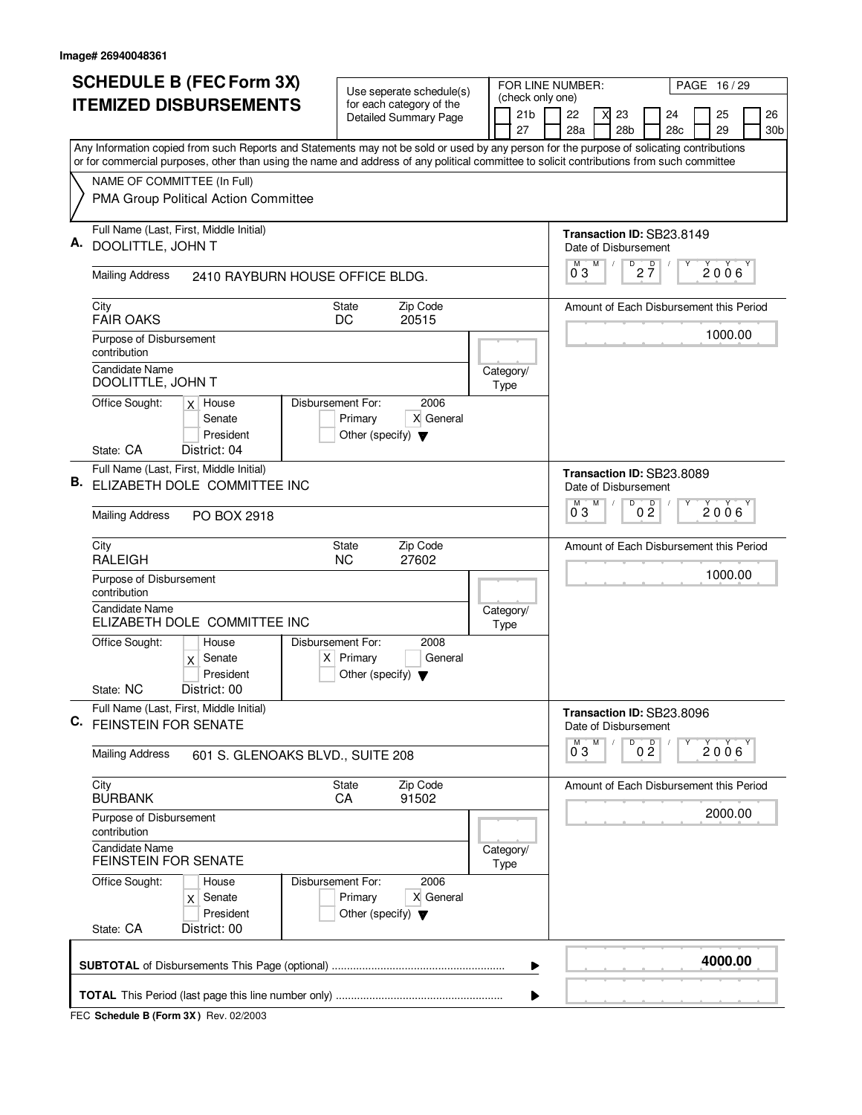|    |                                                                  | <b>SCHEDULE B (FEC Form 3X)</b>                                                                                                           |                                                                      |                                                     | Use seperate schedule(s)                                 |      | FOR LINE NUMBER:                          |                           |   |                                   |                                             |   | PAGE 16/29   |                       |
|----|------------------------------------------------------------------|-------------------------------------------------------------------------------------------------------------------------------------------|----------------------------------------------------------------------|-----------------------------------------------------|----------------------------------------------------------|------|-------------------------------------------|---------------------------|---|-----------------------------------|---------------------------------------------|---|--------------|-----------------------|
|    |                                                                  | <b>ITEMIZED DISBURSEMENTS</b>                                                                                                             |                                                                      |                                                     | for each category of the<br><b>Detailed Summary Page</b> |      | (check only one)<br>21 <sub>b</sub><br>27 | 22<br>28a                 | X | 23<br>28 <sub>b</sub>             | 24<br>28c                                   |   | 25<br>29     | 26<br>30 <sub>b</sub> |
|    |                                                                  | Any Information copied from such Reports and Statements may not be sold or used by any person for the purpose of solicating contributions |                                                                      |                                                     |                                                          |      |                                           |                           |   |                                   |                                             |   |              |                       |
|    | NAME OF COMMITTEE (In Full)                                      | or for commercial purposes, other than using the name and address of any political committee to solicit contributions from such committee |                                                                      |                                                     |                                                          |      |                                           |                           |   |                                   |                                             |   |              |                       |
|    |                                                                  | PMA Group Political Action Committee                                                                                                      |                                                                      |                                                     |                                                          |      |                                           |                           |   |                                   |                                             |   |              |                       |
| Α. | DOOLITTLE, JOHN T                                                | Full Name (Last, First, Middle Initial)                                                                                                   |                                                                      |                                                     |                                                          |      |                                           | Date of Disbursement      |   |                                   | Transaction ID: SB23.8149                   |   |              |                       |
|    | <b>Mailing Address</b>                                           | 2410 RAYBURN HOUSE OFFICE BLDG.                                                                                                           |                                                                      |                                                     |                                                          |      |                                           | $0^{M}$ 3                 | M | $D^D$ <sub>2</sub> $\overline{7}$ |                                             | Υ | $2006^\circ$ |                       |
|    | City<br><b>FAIR OAKS</b>                                         |                                                                                                                                           |                                                                      | <b>State</b><br>DC                                  | Zip Code<br>20515                                        |      |                                           |                           |   |                                   | Amount of Each Disbursement this Period     |   |              |                       |
|    | Purpose of Disbursement<br>contribution<br><b>Candidate Name</b> |                                                                                                                                           |                                                                      |                                                     |                                                          |      |                                           |                           |   |                                   |                                             |   | 1000.00      |                       |
|    | DOOLITTLE, JOHN T                                                |                                                                                                                                           |                                                                      |                                                     |                                                          | Type | Category/                                 |                           |   |                                   |                                             |   |              |                       |
|    | Office Sought:                                                   | $x$ House<br>Senate<br>President                                                                                                          | Disbursement For:                                                    | Primary<br>Other (specify) $\blacktriangledown$     | 2006<br>X General                                        |      |                                           |                           |   |                                   |                                             |   |              |                       |
|    | State: CA                                                        | District: 04                                                                                                                              |                                                                      |                                                     |                                                          |      |                                           |                           |   |                                   |                                             |   |              |                       |
| В. |                                                                  | Full Name (Last, First, Middle Initial)<br>ELIZABETH DOLE COMMITTEE INC                                                                   |                                                                      |                                                     |                                                          |      |                                           | Date of Disbursement<br>M | M | D                                 | Transaction ID: SB23.8089<br>$\overline{D}$ |   |              |                       |
|    | <b>Mailing Address</b>                                           | PO BOX 2918                                                                                                                               |                                                                      |                                                     |                                                          |      |                                           | 03                        |   |                                   | 0 <sub>2</sub>                              |   | 2006         |                       |
|    | City<br><b>RALEIGH</b>                                           |                                                                                                                                           |                                                                      | State<br><b>NC</b>                                  | Zip Code<br>27602                                        |      |                                           |                           |   |                                   | Amount of Each Disbursement this Period     |   |              |                       |
|    | Purpose of Disbursement<br>contribution                          |                                                                                                                                           |                                                                      |                                                     |                                                          |      |                                           |                           |   |                                   |                                             |   | 1000.00      |                       |
|    | <b>Candidate Name</b>                                            | ELIZABETH DOLE COMMITTEE INC                                                                                                              |                                                                      |                                                     |                                                          | Type | Category/                                 |                           |   |                                   |                                             |   |              |                       |
|    | Office Sought:                                                   | House<br>$x$ Senate<br>President                                                                                                          | Disbursement For:                                                    | $X$ Primary<br>Other (specify) $\blacktriangledown$ | 2008<br>General                                          |      |                                           |                           |   |                                   |                                             |   |              |                       |
|    | State: NC                                                        | District: 00                                                                                                                              |                                                                      |                                                     |                                                          |      |                                           |                           |   |                                   |                                             |   |              |                       |
| C. | <b>FEINSTEIN FOR SENATE</b>                                      | Full Name (Last, First, Middle Initial)                                                                                                   |                                                                      |                                                     |                                                          |      |                                           | Date of Disbursement      |   |                                   | Transaction ID: SB23.8096                   |   |              |                       |
|    | <b>Mailing Address</b>                                           | 601 S. GLENOAKS BLVD., SUITE 208                                                                                                          |                                                                      |                                                     |                                                          |      |                                           | $0^{\degree}3$            |   | D                                 | 0 <sup>0</sup>                              |   | 2006         |                       |
|    | City<br><b>BURBANK</b>                                           |                                                                                                                                           |                                                                      | State<br>CA                                         | Zip Code<br>91502                                        |      |                                           |                           |   |                                   | Amount of Each Disbursement this Period     |   |              |                       |
|    | Purpose of Disbursement<br>contribution                          |                                                                                                                                           |                                                                      |                                                     |                                                          |      |                                           |                           |   |                                   |                                             |   | 2000.00      |                       |
|    | <b>Candidate Name</b><br><b>FEINSTEIN FOR SENATE</b>             |                                                                                                                                           |                                                                      | Type                                                | Category/                                                |      |                                           |                           |   |                                   |                                             |   |              |                       |
|    | Office Sought:                                                   | House<br>$x$ Senate<br>President                                                                                                          | Disbursement For:<br>Primary<br>Other (specify) $\blacktriangledown$ | 2006<br>X General                                   |                                                          |      |                                           |                           |   |                                   |                                             |   |              |                       |
|    | State: CA                                                        | District: 00                                                                                                                              |                                                                      |                                                     |                                                          |      |                                           |                           |   |                                   |                                             |   |              |                       |
|    |                                                                  |                                                                                                                                           |                                                                      |                                                     |                                                          |      | ▶                                         |                           |   |                                   |                                             |   | 4000.00      |                       |
|    |                                                                  |                                                                                                                                           |                                                                      |                                                     |                                                          |      |                                           |                           |   |                                   |                                             |   |              |                       |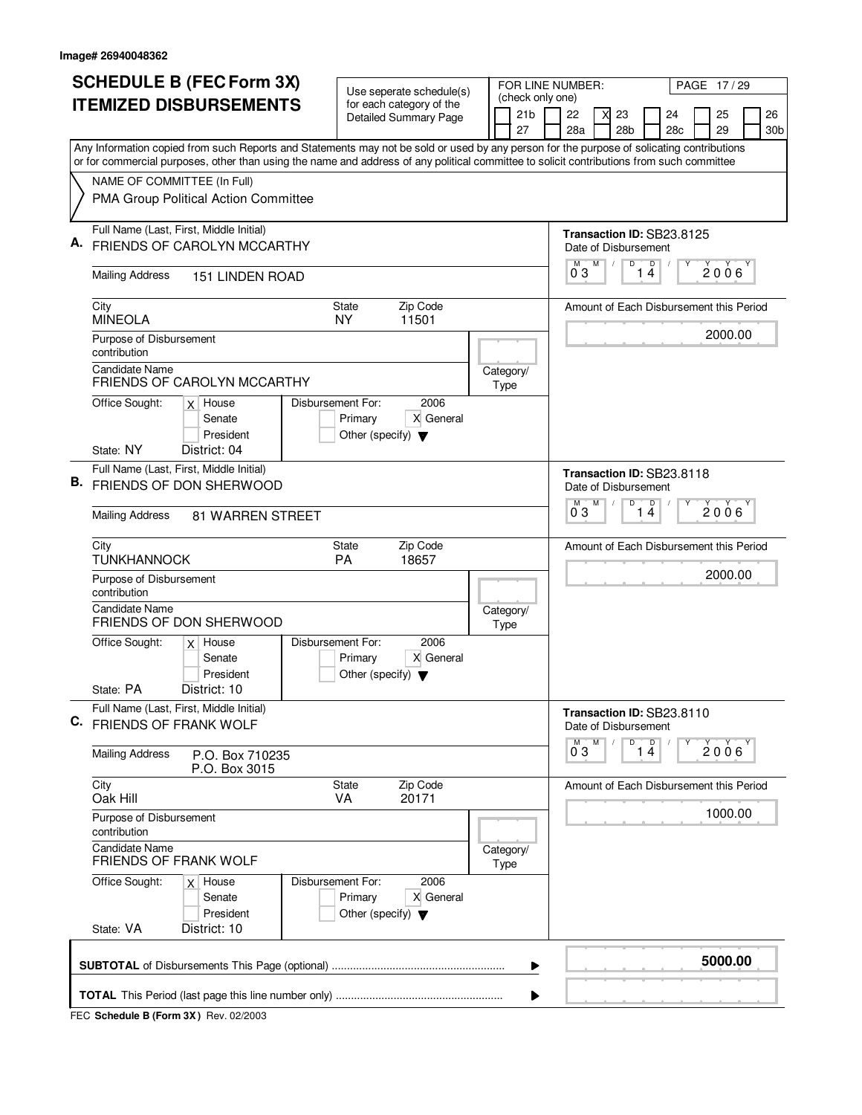|    | <b>SCHEDULE B (FEC Form 3X)</b>                                                                                                                                                                                                                                                        |                                                           |                   |                                                 | Use seperate schedule(s)                                 |  | FOR LINE NUMBER:                    |                                |   |                 |                                         |   | PAGE 17/29 |                 |
|----|----------------------------------------------------------------------------------------------------------------------------------------------------------------------------------------------------------------------------------------------------------------------------------------|-----------------------------------------------------------|-------------------|-------------------------------------------------|----------------------------------------------------------|--|-------------------------------------|--------------------------------|---|-----------------|-----------------------------------------|---|------------|-----------------|
|    | <b>ITEMIZED DISBURSEMENTS</b>                                                                                                                                                                                                                                                          |                                                           |                   |                                                 | for each category of the<br><b>Detailed Summary Page</b> |  | (check only one)<br>21 <sub>b</sub> | 22                             | X | 23              | 24                                      |   | 25         | 26              |
|    |                                                                                                                                                                                                                                                                                        |                                                           |                   |                                                 |                                                          |  | 27                                  | 28a                            |   | 28 <sub>b</sub> | 28c                                     |   | 29         | 30 <sub>b</sub> |
|    | Any Information copied from such Reports and Statements may not be sold or used by any person for the purpose of solicating contributions<br>or for commercial purposes, other than using the name and address of any political committee to solicit contributions from such committee |                                                           |                   |                                                 |                                                          |  |                                     |                                |   |                 |                                         |   |            |                 |
|    | NAME OF COMMITTEE (In Full)                                                                                                                                                                                                                                                            |                                                           |                   |                                                 |                                                          |  |                                     |                                |   |                 |                                         |   |            |                 |
|    | PMA Group Political Action Committee                                                                                                                                                                                                                                                   |                                                           |                   |                                                 |                                                          |  |                                     |                                |   |                 |                                         |   |            |                 |
|    | Full Name (Last, First, Middle Initial)                                                                                                                                                                                                                                                |                                                           |                   |                                                 |                                                          |  |                                     |                                |   |                 | Transaction ID: SB23.8125               |   |            |                 |
|    | FRIENDS OF CAROLYN MCCARTHY                                                                                                                                                                                                                                                            |                                                           |                   |                                                 |                                                          |  |                                     | Date of Disbursement<br>М<br>M |   | D               | $\mathsf D$                             | Υ |            |                 |
|    | <b>Mailing Address</b>                                                                                                                                                                                                                                                                 | <b>151 LINDEN ROAD</b>                                    |                   |                                                 |                                                          |  |                                     | 03                             |   |                 | 14                                      |   | 2006       |                 |
|    | City<br><b>MINEOLA</b>                                                                                                                                                                                                                                                                 |                                                           |                   | <b>State</b><br><b>NY</b>                       | Zip Code<br>11501                                        |  |                                     |                                |   |                 | Amount of Each Disbursement this Period |   |            |                 |
|    | Purpose of Disbursement<br>contribution                                                                                                                                                                                                                                                |                                                           |                   |                                                 |                                                          |  |                                     |                                |   |                 |                                         |   | 2000.00    |                 |
|    | <b>Candidate Name</b><br>FRIENDS OF CAROLYN MCCARTHY                                                                                                                                                                                                                                   |                                                           |                   |                                                 |                                                          |  | Category/<br>Type                   |                                |   |                 |                                         |   |            |                 |
|    | Office Sought:<br>$x$ House<br>Senate<br>President                                                                                                                                                                                                                                     | 2006<br>X General<br>Other (specify) $\blacktriangledown$ |                   |                                                 |                                                          |  |                                     |                                |   |                 |                                         |   |            |                 |
|    | State: NY<br>District: 04                                                                                                                                                                                                                                                              |                                                           |                   |                                                 |                                                          |  |                                     |                                |   |                 |                                         |   |            |                 |
|    | Full Name (Last, First, Middle Initial)<br><b>B.</b> FRIENDS OF DON SHERWOOD                                                                                                                                                                                                           |                                                           |                   | Date of Disbursement                            |                                                          |  | Transaction ID: SB23.8118           |                                |   |                 |                                         |   |            |                 |
|    | <b>Mailing Address</b>                                                                                                                                                                                                                                                                 | <b>81 WARREN STREET</b>                                   |                   |                                                 |                                                          |  |                                     | M<br>03                        | M | D<br>1.         | $\Box$<br>4                             | Υ | 2006       |                 |
|    | City<br><b>TUNKHANNOCK</b>                                                                                                                                                                                                                                                             |                                                           |                   | <b>State</b><br>PA                              | Zip Code<br>18657                                        |  |                                     |                                |   |                 | Amount of Each Disbursement this Period |   |            |                 |
|    | Purpose of Disbursement<br>contribution                                                                                                                                                                                                                                                |                                                           |                   |                                                 |                                                          |  |                                     |                                |   |                 |                                         |   | 2000.00    |                 |
|    | <b>Candidate Name</b><br><b>FRIENDS OF DON SHERWOOD</b>                                                                                                                                                                                                                                |                                                           |                   |                                                 |                                                          |  | Category/<br>Type                   |                                |   |                 |                                         |   |            |                 |
|    | Office Sought:<br>$x$ House                                                                                                                                                                                                                                                            | Senate<br>President                                       | Disbursement For: | Primary<br>Other (specify) $\blacktriangledown$ | 2006<br>X General                                        |  |                                     |                                |   |                 |                                         |   |            |                 |
|    | State: PA<br>District: 10                                                                                                                                                                                                                                                              |                                                           |                   |                                                 |                                                          |  |                                     |                                |   |                 |                                         |   |            |                 |
| C. | Full Name (Last, First, Middle Initial)<br>FRIENDS OF FRANK WOLF                                                                                                                                                                                                                       |                                                           |                   |                                                 |                                                          |  |                                     | Date of Disbursement           |   |                 | Transaction ID: SB23.8110               |   |            |                 |
|    | <b>Mailing Address</b>                                                                                                                                                                                                                                                                 | P.O. Box 710235<br>P.O. Box 3015                          |                   |                                                 |                                                          |  |                                     | $0^{M}$ 3                      | M |                 | $\overline{14}$                         | Υ | 2006       |                 |
|    | City<br>Oak Hill                                                                                                                                                                                                                                                                       |                                                           |                   | State<br><b>VA</b>                              | Zip Code<br>20171                                        |  |                                     |                                |   |                 | Amount of Each Disbursement this Period |   |            |                 |
|    | Purpose of Disbursement<br>contribution                                                                                                                                                                                                                                                |                                                           |                   |                                                 |                                                          |  |                                     |                                |   |                 |                                         |   | 1000.00    |                 |
|    | <b>Candidate Name</b><br><b>FRIENDS OF FRANK WOLF</b>                                                                                                                                                                                                                                  |                                                           |                   |                                                 |                                                          |  | Category/<br>Type                   |                                |   |                 |                                         |   |            |                 |
|    | Office Sought:<br>$x$ House                                                                                                                                                                                                                                                            | Senate<br>President                                       | Disbursement For: | Primary<br>Other (specify) $\blacktriangledown$ | 2006<br>X General                                        |  |                                     |                                |   |                 |                                         |   |            |                 |
|    | State: VA<br>District: 10                                                                                                                                                                                                                                                              |                                                           |                   |                                                 |                                                          |  |                                     |                                |   |                 |                                         |   |            |                 |
|    |                                                                                                                                                                                                                                                                                        |                                                           |                   |                                                 |                                                          |  | ▶                                   |                                |   |                 |                                         |   | 5000.00    |                 |
|    |                                                                                                                                                                                                                                                                                        |                                                           |                   |                                                 |                                                          |  |                                     |                                |   |                 |                                         |   |            |                 |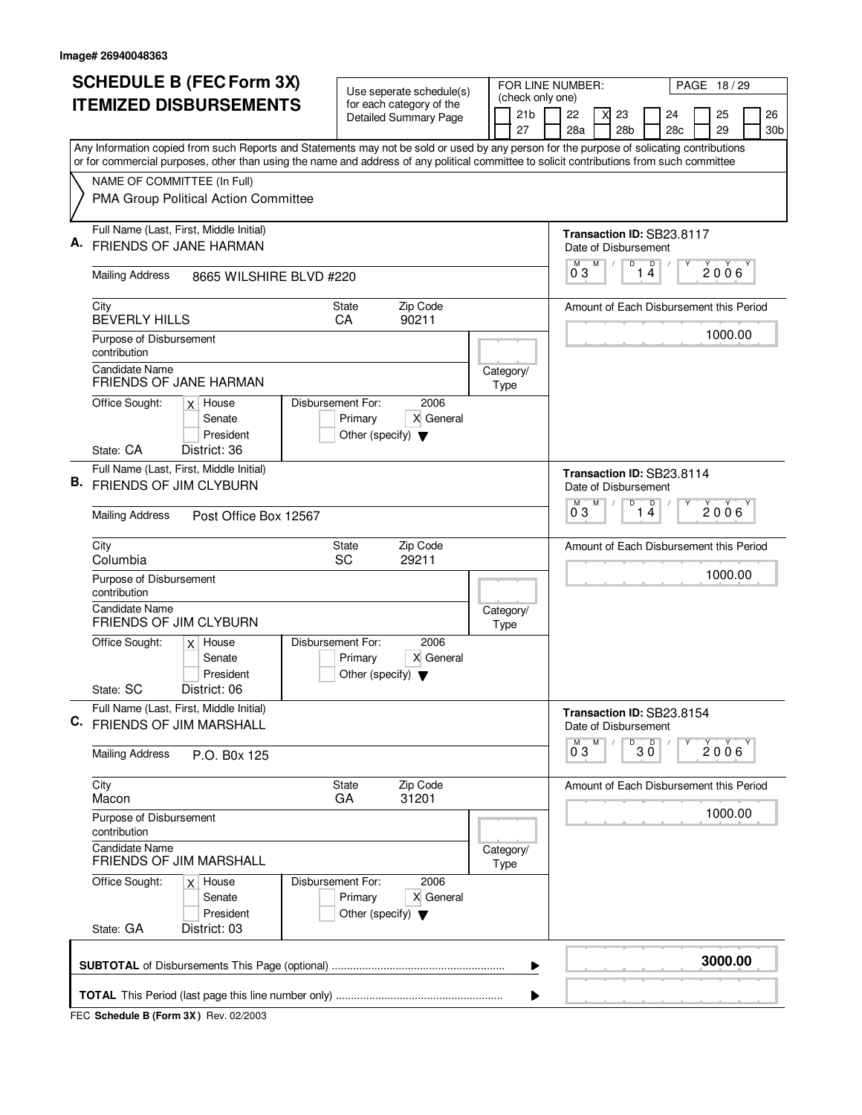|    | <b>SCHEDULE B (FEC Form 3X)</b>                                                                                                                                                                                                                                                        | Use seperate schedule(s)                                                                  |  |                       | FOR LINE NUMBER:              |   |                           |                                         |   | PAGE 18/29   |           |  |
|----|----------------------------------------------------------------------------------------------------------------------------------------------------------------------------------------------------------------------------------------------------------------------------------------|-------------------------------------------------------------------------------------------|--|-----------------------|-------------------------------|---|---------------------------|-----------------------------------------|---|--------------|-----------|--|
|    | <b>ITEMIZED DISBURSEMENTS</b>                                                                                                                                                                                                                                                          | for each category of the<br><b>Detailed Summary Page</b>                                  |  | 21 <sub>b</sub><br>27 | (check only one)<br>22<br>28a | X | 23<br>28 <sub>b</sub>     | 24<br>28c                               |   | 25<br>29     | 26<br>30b |  |
|    | Any Information copied from such Reports and Statements may not be sold or used by any person for the purpose of solicating contributions<br>or for commercial purposes, other than using the name and address of any political committee to solicit contributions from such committee |                                                                                           |  |                       |                               |   |                           |                                         |   |              |           |  |
|    | NAME OF COMMITTEE (In Full)                                                                                                                                                                                                                                                            |                                                                                           |  |                       |                               |   |                           |                                         |   |              |           |  |
|    | PMA Group Political Action Committee                                                                                                                                                                                                                                                   |                                                                                           |  |                       |                               |   |                           |                                         |   |              |           |  |
|    | Full Name (Last, First, Middle Initial)                                                                                                                                                                                                                                                |                                                                                           |  |                       |                               |   |                           | Transaction ID: SB23.8117               |   |              |           |  |
|    | FRIENDS OF JANE HARMAN                                                                                                                                                                                                                                                                 |                                                                                           |  |                       |                               | M | Date of Disbursement<br>D | $\mathsf D$                             | Υ |              |           |  |
|    | <b>Mailing Address</b><br>8665 WILSHIRE BLVD #220                                                                                                                                                                                                                                      |                                                                                           |  |                       | 03                            |   | 1                         | $\overline{4}$                          |   | $2006^\circ$ |           |  |
|    | City<br><b>BEVERLY HILLS</b>                                                                                                                                                                                                                                                           | Zip Code<br><b>State</b><br>90211<br>CA                                                   |  |                       |                               |   |                           | Amount of Each Disbursement this Period |   |              |           |  |
|    | Purpose of Disbursement                                                                                                                                                                                                                                                                |                                                                                           |  |                       |                               |   |                           |                                         |   | 1000.00      |           |  |
|    | contribution                                                                                                                                                                                                                                                                           |                                                                                           |  |                       |                               |   |                           |                                         |   |              |           |  |
|    | Candidate Name<br><b>FRIENDS OF JANE HARMAN</b>                                                                                                                                                                                                                                        |                                                                                           |  | Category/<br>Type     |                               |   |                           |                                         |   |              |           |  |
|    | Office Sought:<br>$x$ House                                                                                                                                                                                                                                                            | Disbursement For:<br>2006                                                                 |  |                       |                               |   |                           |                                         |   |              |           |  |
|    | Senate<br>President                                                                                                                                                                                                                                                                    | Primary<br>X General<br>Other (specify) $\blacktriangledown$                              |  |                       |                               |   |                           |                                         |   |              |           |  |
|    | State: CA<br>District: 36                                                                                                                                                                                                                                                              |                                                                                           |  |                       |                               |   |                           |                                         |   |              |           |  |
| В. | Full Name (Last, First, Middle Initial)<br><b>FRIENDS OF JIM CLYBURN</b>                                                                                                                                                                                                               |                                                                                           |  |                       |                               |   | Date of Disbursement      | Transaction ID: SB23.8114               |   |              |           |  |
|    |                                                                                                                                                                                                                                                                                        |                                                                                           |  |                       | M<br>03                       | M | D                         | D<br>14                                 |   | 2006         |           |  |
|    | <b>Mailing Address</b><br>Post Office Box 12567                                                                                                                                                                                                                                        |                                                                                           |  |                       |                               |   |                           |                                         |   |              |           |  |
|    | City<br>Columbia                                                                                                                                                                                                                                                                       | Zip Code<br>State<br>SC<br>29211                                                          |  |                       |                               |   |                           | Amount of Each Disbursement this Period |   |              |           |  |
|    | Purpose of Disbursement<br>contribution                                                                                                                                                                                                                                                |                                                                                           |  |                       |                               |   |                           |                                         |   | 1000.00      |           |  |
|    | <b>Candidate Name</b><br>FRIENDS OF JIM CLYBURN                                                                                                                                                                                                                                        |                                                                                           |  | Category/<br>Type     |                               |   |                           |                                         |   |              |           |  |
|    | Office Sought:<br>$x$ House<br>Senate                                                                                                                                                                                                                                                  | Disbursement For:<br>2006<br>X General<br>Primary                                         |  |                       |                               |   |                           |                                         |   |              |           |  |
|    | President<br>District: 06<br>State: SC                                                                                                                                                                                                                                                 | Other (specify) $\blacktriangledown$                                                      |  |                       |                               |   |                           |                                         |   |              |           |  |
| C. | Full Name (Last, First, Middle Initial)<br>FRIENDS OF JIM MARSHALL                                                                                                                                                                                                                     |                                                                                           |  |                       |                               |   | Date of Disbursement      | Transaction ID: SB23.8154               |   |              |           |  |
|    |                                                                                                                                                                                                                                                                                        |                                                                                           |  |                       | $0^{M}$ 3                     | M | D                         | $30^{\circ}$                            | Υ | 2006         |           |  |
|    | <b>Mailing Address</b><br>P.O. B0x 125                                                                                                                                                                                                                                                 |                                                                                           |  |                       |                               |   |                           |                                         |   |              |           |  |
|    | City<br>Macon                                                                                                                                                                                                                                                                          | State<br>Zip Code<br>GA<br>31201                                                          |  |                       |                               |   |                           | Amount of Each Disbursement this Period |   |              |           |  |
|    | Purpose of Disbursement<br>contribution                                                                                                                                                                                                                                                |                                                                                           |  |                       |                               |   |                           |                                         |   | 1000.00      |           |  |
|    | Candidate Name<br><b>FRIENDS OF JIM MARSHALL</b>                                                                                                                                                                                                                                       |                                                                                           |  | Category/<br>Type     |                               |   |                           |                                         |   |              |           |  |
|    | Office Sought:<br>$x$ House<br>Senate<br>President                                                                                                                                                                                                                                     | Disbursement For:<br>2006<br>X General<br>Primary<br>Other (specify) $\blacktriangledown$ |  |                       |                               |   |                           |                                         |   |              |           |  |
|    | State: GA<br>District: 03                                                                                                                                                                                                                                                              |                                                                                           |  |                       |                               |   |                           |                                         |   |              |           |  |
|    |                                                                                                                                                                                                                                                                                        |                                                                                           |  | ▶                     |                               |   |                           |                                         |   | 3000.00      |           |  |
|    |                                                                                                                                                                                                                                                                                        |                                                                                           |  |                       |                               |   |                           |                                         |   |              |           |  |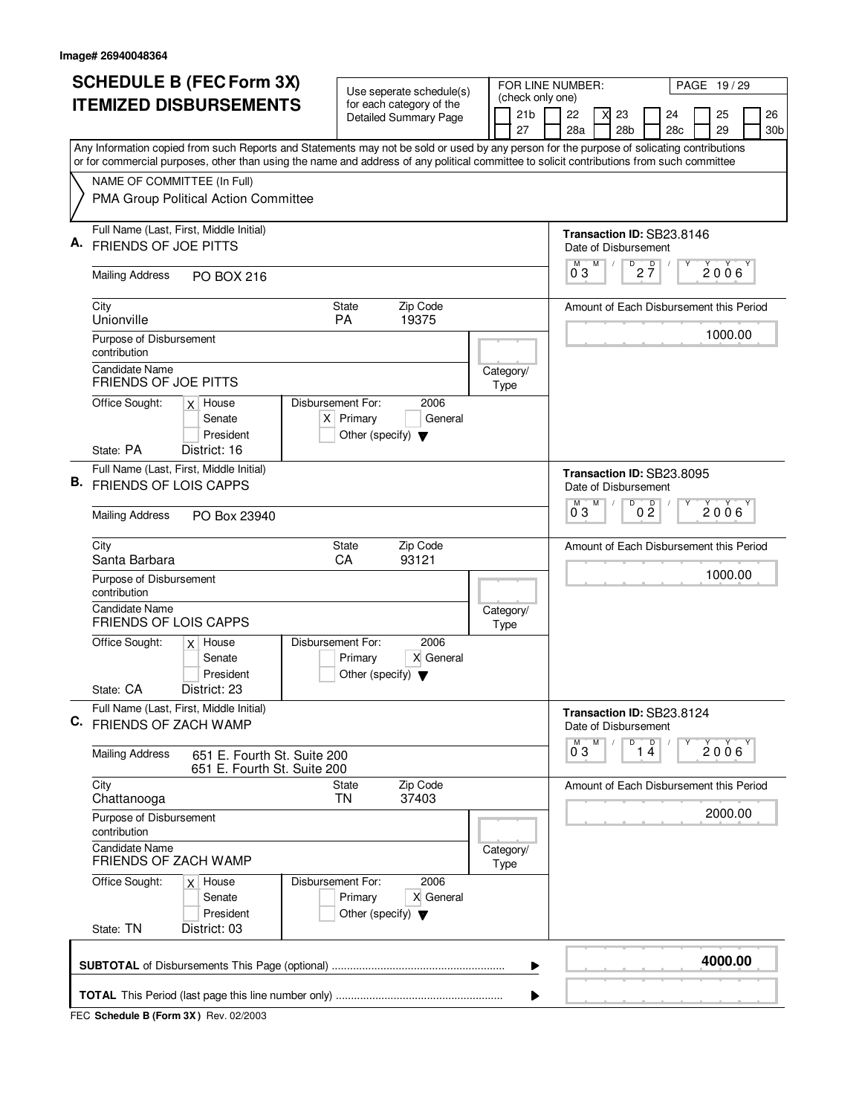|    | <b>SCHEDULE B (FEC Form 3X)</b>                                                                                                           | Use seperate schedule(s)                                                                    |  | FOR LINE NUMBER:                          |                      |   |                       |                                                                     | PAGE 19/29 |                       |
|----|-------------------------------------------------------------------------------------------------------------------------------------------|---------------------------------------------------------------------------------------------|--|-------------------------------------------|----------------------|---|-----------------------|---------------------------------------------------------------------|------------|-----------------------|
|    | <b>ITEMIZED DISBURSEMENTS</b>                                                                                                             | for each category of the<br><b>Detailed Summary Page</b>                                    |  | (check only one)<br>21 <sub>b</sub><br>27 | 22<br>28a            |   | 23<br>28 <sub>b</sub> | 24<br>28 <sub>c</sub>                                               | 25<br>29   | 26<br>30 <sub>b</sub> |
|    | Any Information copied from such Reports and Statements may not be sold or used by any person for the purpose of solicating contributions |                                                                                             |  |                                           |                      |   |                       |                                                                     |            |                       |
|    | or for commercial purposes, other than using the name and address of any political committee to solicit contributions from such committee |                                                                                             |  |                                           |                      |   |                       |                                                                     |            |                       |
|    | NAME OF COMMITTEE (In Full)<br>PMA Group Political Action Committee                                                                       |                                                                                             |  |                                           |                      |   |                       |                                                                     |            |                       |
|    | Full Name (Last, First, Middle Initial)<br><b>FRIENDS OF JOE PITTS</b>                                                                    |                                                                                             |  |                                           | М<br>03              | M | D                     | Transaction ID: SB23.8146<br>Date of Disbursement<br>$2\frac{D}{7}$ | 2006       |                       |
|    | <b>Mailing Address</b><br><b>PO BOX 216</b>                                                                                               |                                                                                             |  |                                           |                      |   |                       |                                                                     |            |                       |
|    | City<br>Unionville                                                                                                                        | Zip Code<br><b>State</b><br><b>PA</b><br>19375                                              |  |                                           |                      |   |                       | Amount of Each Disbursement this Period                             |            |                       |
|    | Purpose of Disbursement<br>contribution                                                                                                   |                                                                                             |  |                                           |                      |   |                       |                                                                     | 1000.00    |                       |
|    | <b>Candidate Name</b><br>FRIENDS OF JOE PITTS                                                                                             |                                                                                             |  | Category/<br>Type                         |                      |   |                       |                                                                     |            |                       |
|    | Office Sought:<br>$x$ House<br>Senate<br>President<br>State: PA<br>District: 16                                                           | Disbursement For:<br>2006<br>$X$ Primary<br>General<br>Other (specify) $\blacktriangledown$ |  |                                           |                      |   |                       |                                                                     |            |                       |
|    | Full Name (Last, First, Middle Initial)<br><b>B.</b> FRIENDS OF LOIS CAPPS                                                                |                                                                                             |  |                                           |                      |   |                       | Transaction ID: SB23.8095<br>Date of Disbursement                   |            |                       |
|    | <b>Mailing Address</b><br>PO Box 23940                                                                                                    |                                                                                             |  |                                           | M<br>03              | M | D                     | 0 <sup>0</sup>                                                      | 2006       |                       |
|    | City<br>Santa Barbara                                                                                                                     | Zip Code<br>State<br>CA<br>93121                                                            |  |                                           |                      |   |                       | Amount of Each Disbursement this Period                             |            |                       |
|    | Purpose of Disbursement<br>contribution                                                                                                   |                                                                                             |  |                                           |                      |   |                       |                                                                     | 1000.00    |                       |
|    | Candidate Name<br><b>FRIENDS OF LOIS CAPPS</b>                                                                                            |                                                                                             |  | Category/<br>Type                         |                      |   |                       |                                                                     |            |                       |
|    | Office Sought:<br>$x$ House<br>Senate<br>President                                                                                        | Disbursement For:<br>2006<br>X General<br>Primary<br>Other (specify) $\blacktriangledown$   |  |                                           |                      |   |                       |                                                                     |            |                       |
|    | District: 23<br>State: CA                                                                                                                 |                                                                                             |  |                                           |                      |   |                       |                                                                     |            |                       |
| C. | Full Name (Last, First, Middle Initial)<br>FRIENDS OF ZACH WAMP                                                                           |                                                                                             |  |                                           | Date of Disbursement |   |                       | Transaction ID: SB23.8124                                           |            |                       |
|    | <b>Mailing Address</b><br>651 E. Fourth St. Suite 200<br>651 E. Fourth St. Suite 200                                                      |                                                                                             |  |                                           | $\overline{0}^M$ 3   | M | D                     | 1 <sup>D</sup>                                                      | 2006       |                       |
|    | City<br>Chattanooga                                                                                                                       | Zip Code<br>State<br>37403<br>TN                                                            |  |                                           |                      |   |                       | Amount of Each Disbursement this Period                             |            |                       |
|    | Purpose of Disbursement<br>contribution                                                                                                   |                                                                                             |  |                                           |                      |   |                       |                                                                     | 2000.00    |                       |
|    | <b>Candidate Name</b><br><b>FRIENDS OF ZACH WAMP</b>                                                                                      |                                                                                             |  | Category/<br>Type                         |                      |   |                       |                                                                     |            |                       |
|    | Office Sought:<br>$x$ House<br>Senate<br>President                                                                                        | Disbursement For:<br>2006<br>Primary<br>X General<br>Other (specify) $\blacktriangledown$   |  |                                           |                      |   |                       |                                                                     |            |                       |
|    | State: TN<br>District: 03                                                                                                                 |                                                                                             |  |                                           |                      |   |                       |                                                                     |            |                       |
|    |                                                                                                                                           |                                                                                             |  | ▶                                         |                      |   |                       |                                                                     | 4000.00    |                       |
|    |                                                                                                                                           |                                                                                             |  |                                           |                      |   |                       |                                                                     |            |                       |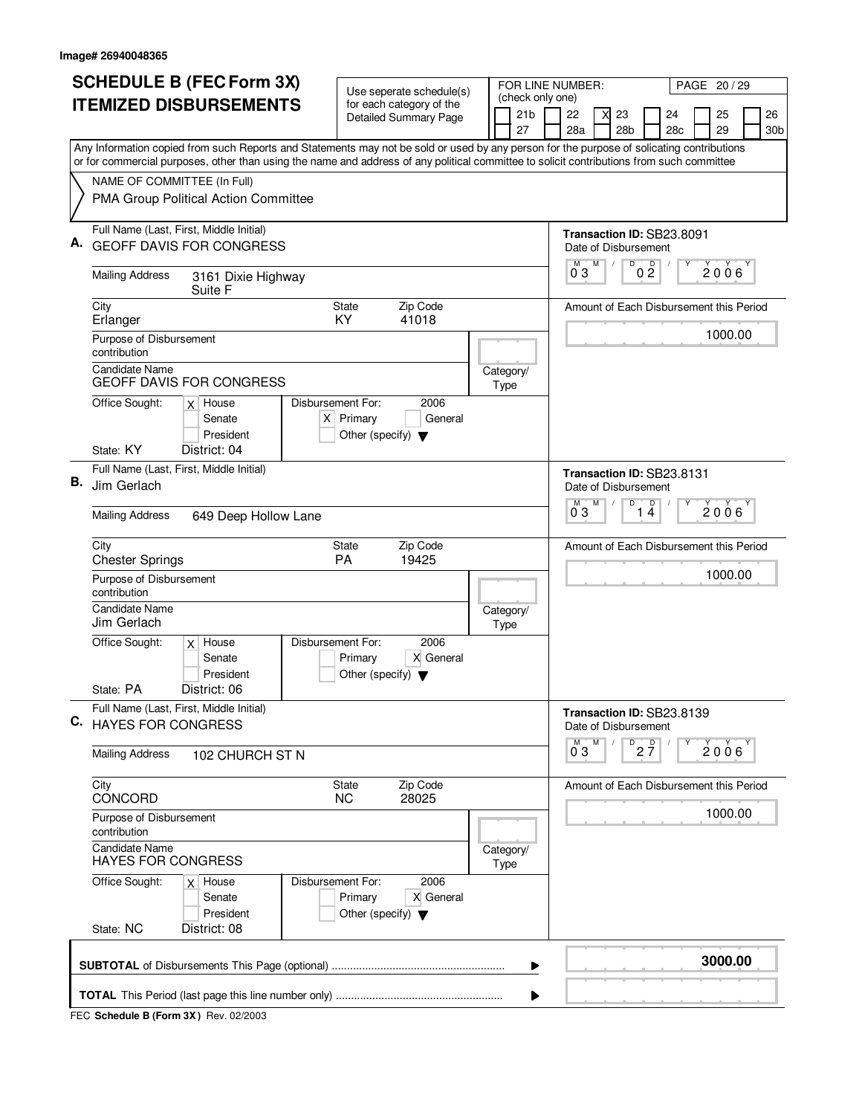|    | <b>SCHEDULE B (FEC Form 3X)</b>                                                                                                                                                                                                                                                        |                                                           | Use seperate schedule(s)                          |                   |                                     | FOR LINE NUMBER:                                  |   |                 |                                |                                         | PAGE 20 / 29   |                 |
|----|----------------------------------------------------------------------------------------------------------------------------------------------------------------------------------------------------------------------------------------------------------------------------------------|-----------------------------------------------------------|---------------------------------------------------|-------------------|-------------------------------------|---------------------------------------------------|---|-----------------|--------------------------------|-----------------------------------------|----------------|-----------------|
|    | <b>ITEMIZED DISBURSEMENTS</b>                                                                                                                                                                                                                                                          |                                                           | for each category of the<br>Detailed Summary Page |                   | (check only one)<br>21 <sub>b</sub> | 22                                                | X | 23              |                                | 24                                      | 25             | 26              |
|    |                                                                                                                                                                                                                                                                                        |                                                           |                                                   |                   | 27                                  | 28a                                               |   | 28 <sub>b</sub> |                                | 28 <sub>c</sub>                         | 29             | 30 <sub>b</sub> |
|    | Any Information copied from such Reports and Statements may not be sold or used by any person for the purpose of solicating contributions<br>or for commercial purposes, other than using the name and address of any political committee to solicit contributions from such committee |                                                           |                                                   |                   |                                     |                                                   |   |                 |                                |                                         |                |                 |
|    | NAME OF COMMITTEE (In Full)                                                                                                                                                                                                                                                            |                                                           |                                                   |                   |                                     |                                                   |   |                 |                                |                                         |                |                 |
|    | PMA Group Political Action Committee                                                                                                                                                                                                                                                   |                                                           |                                                   |                   |                                     |                                                   |   |                 |                                |                                         |                |                 |
|    | Full Name (Last, First, Middle Initial)                                                                                                                                                                                                                                                |                                                           |                                                   |                   |                                     |                                                   |   |                 |                                | Transaction ID: SB23.8091               |                |                 |
|    | <b>GEOFF DAVIS FOR CONGRESS</b>                                                                                                                                                                                                                                                        |                                                           |                                                   |                   |                                     | Date of Disbursement<br>М                         | M | D               |                                |                                         |                |                 |
|    | <b>Mailing Address</b><br>3161 Dixie Highway<br>Suite F                                                                                                                                                                                                                                |                                                           |                                                   |                   |                                     | $0^{\degree}3$                                    |   |                 | $0\frac{D}{2}$                 |                                         | $2006^{\circ}$ |                 |
|    | City                                                                                                                                                                                                                                                                                   | <b>State</b>                                              | Zip Code                                          |                   |                                     |                                                   |   |                 |                                | Amount of Each Disbursement this Period |                |                 |
|    | Erlanger<br>Purpose of Disbursement                                                                                                                                                                                                                                                    | KY.                                                       | 41018                                             |                   |                                     |                                                   |   |                 |                                |                                         | 1000.00        |                 |
|    | contribution                                                                                                                                                                                                                                                                           |                                                           |                                                   |                   |                                     |                                                   |   |                 |                                |                                         |                |                 |
|    | Candidate Name<br>GEOFF DAVIS FOR CONGRESS                                                                                                                                                                                                                                             |                                                           |                                                   |                   | Category/<br>Type                   |                                                   |   |                 |                                |                                         |                |                 |
|    | Disbursement For:<br>Office Sought:<br>$x$ House<br>Senate                                                                                                                                                                                                                             | $X$ Primary                                               | 2006<br>General                                   |                   |                                     |                                                   |   |                 |                                |                                         |                |                 |
|    | President                                                                                                                                                                                                                                                                              | Other (specify) $\blacktriangledown$                      |                                                   |                   |                                     |                                                   |   |                 |                                |                                         |                |                 |
|    | State: KY<br>District: 04                                                                                                                                                                                                                                                              |                                                           |                                                   |                   |                                     |                                                   |   |                 |                                |                                         |                |                 |
| В. | Full Name (Last, First, Middle Initial)<br>Jim Gerlach                                                                                                                                                                                                                                 |                                                           |                                                   |                   |                                     |                                                   |   |                 | Transaction ID: SB23.8131      |                                         |                |                 |
|    |                                                                                                                                                                                                                                                                                        |                                                           |                                                   |                   | Date of Disbursement<br>M           | М                                                 | D | D               |                                |                                         |                |                 |
|    | <b>Mailing Address</b><br>649 Deep Hollow Lane                                                                                                                                                                                                                                         |                                                           |                                                   |                   |                                     | 03                                                |   | 1.              | 4                              |                                         | 2006           |                 |
|    | City<br><b>Chester Springs</b>                                                                                                                                                                                                                                                         | <b>State</b><br>PA                                        | Zip Code<br>19425                                 |                   |                                     |                                                   |   |                 |                                | Amount of Each Disbursement this Period |                |                 |
|    | Purpose of Disbursement                                                                                                                                                                                                                                                                |                                                           |                                                   |                   |                                     |                                                   |   |                 |                                |                                         | 1000.00        |                 |
|    | contribution<br><b>Candidate Name</b>                                                                                                                                                                                                                                                  |                                                           |                                                   |                   | Category/                           |                                                   |   |                 |                                |                                         |                |                 |
|    | Jim Gerlach                                                                                                                                                                                                                                                                            |                                                           |                                                   |                   | Type                                |                                                   |   |                 |                                |                                         |                |                 |
|    | Office Sought:<br>Disbursement For:<br>$x$ House                                                                                                                                                                                                                                       |                                                           | 2006                                              |                   |                                     |                                                   |   |                 |                                |                                         |                |                 |
|    | Senate<br>President                                                                                                                                                                                                                                                                    | Primary<br>Other (specify) $\blacktriangledown$           | X General                                         |                   |                                     |                                                   |   |                 |                                |                                         |                |                 |
|    | State: PA<br>District: 06                                                                                                                                                                                                                                                              |                                                           |                                                   |                   |                                     |                                                   |   |                 |                                |                                         |                |                 |
| C. | Full Name (Last, First, Middle Initial)<br><b>HAYES FOR CONGRESS</b>                                                                                                                                                                                                                   |                                                           |                                                   |                   |                                     | Transaction ID: SB23.8139<br>Date of Disbursement |   |                 |                                |                                         |                |                 |
|    | <b>Mailing Address</b><br>102 CHURCH ST N                                                                                                                                                                                                                                              |                                                           |                                                   |                   |                                     | $0^{\overline{0}}3$                               | M |                 | $D$ <sub>2</sub> $\frac{D}{7}$ |                                         | 2006           |                 |
|    | City<br><b>CONCORD</b>                                                                                                                                                                                                                                                                 | State<br><b>NC</b>                                        | Zip Code<br>28025                                 |                   |                                     |                                                   |   |                 |                                | Amount of Each Disbursement this Period |                |                 |
|    | Purpose of Disbursement<br>contribution                                                                                                                                                                                                                                                |                                                           |                                                   |                   |                                     |                                                   |   |                 |                                |                                         | 1000.00        |                 |
|    | <b>Candidate Name</b><br><b>HAYES FOR CONGRESS</b>                                                                                                                                                                                                                                     |                                                           |                                                   | Category/<br>Type |                                     |                                                   |   |                 |                                |                                         |                |                 |
|    | Office Sought:<br>Disbursement For:<br>$x$ House<br>Senate<br>President                                                                                                                                                                                                                | 2006<br>X General<br>Other (specify) $\blacktriangledown$ |                                                   |                   |                                     |                                                   |   |                 |                                |                                         |                |                 |
|    | State: NC<br>District: 08                                                                                                                                                                                                                                                              |                                                           |                                                   |                   |                                     |                                                   |   |                 |                                |                                         |                |                 |
|    |                                                                                                                                                                                                                                                                                        |                                                           |                                                   |                   | ▶                                   |                                                   |   |                 |                                |                                         | 3000.00        |                 |
|    |                                                                                                                                                                                                                                                                                        |                                                           |                                                   |                   | ▶                                   |                                                   |   |                 |                                |                                         |                |                 |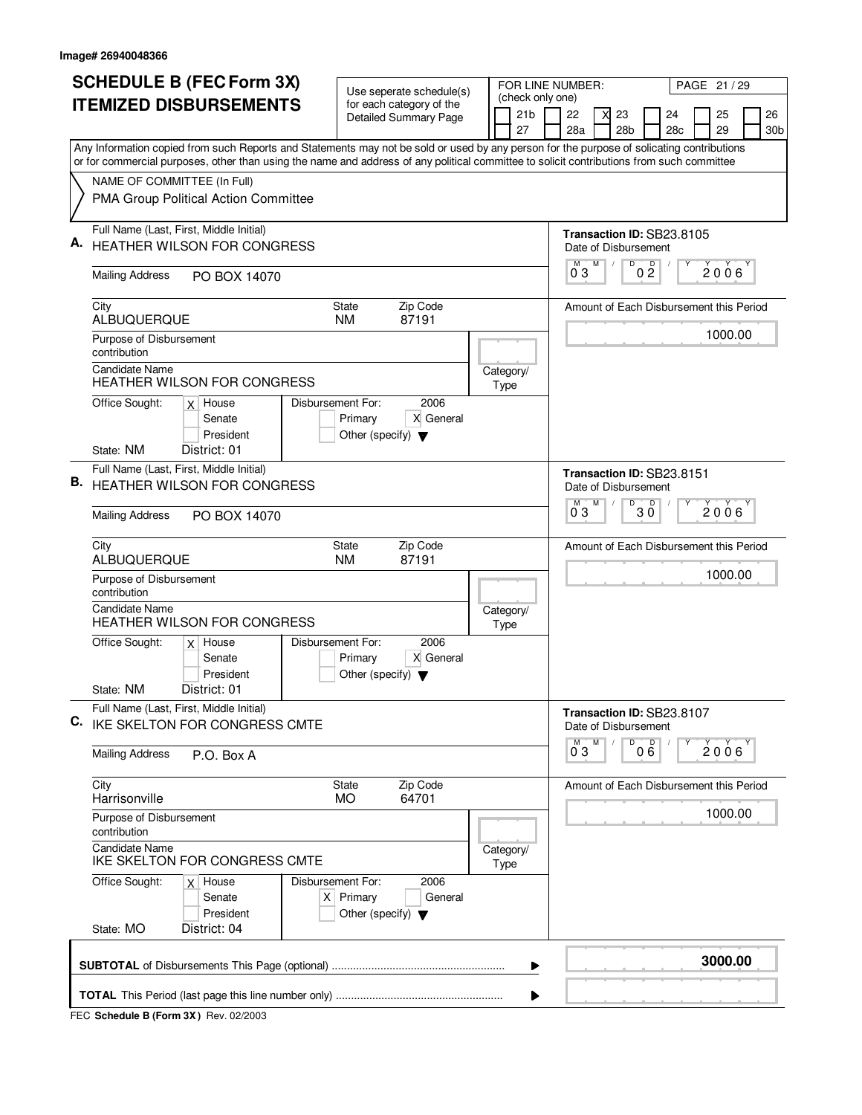|    | <b>SCHEDULE B (FEC Form 3X)</b>                                                                                                                                                                                                                                                        | Use seperate schedule(s)                                                                    |  |                   | FOR LINE NUMBER:                                            |                     |     | PAGE 21 / 29   |                 |
|----|----------------------------------------------------------------------------------------------------------------------------------------------------------------------------------------------------------------------------------------------------------------------------------------|---------------------------------------------------------------------------------------------|--|-------------------|-------------------------------------------------------------|---------------------|-----|----------------|-----------------|
|    | <b>ITEMIZED DISBURSEMENTS</b>                                                                                                                                                                                                                                                          | for each category of the                                                                    |  | 21 <sub>b</sub>   | (check only one)<br>22<br>23                                |                     | 24  | 25             | 26              |
|    |                                                                                                                                                                                                                                                                                        | Detailed Summary Page                                                                       |  | 27                | 28a<br>28b                                                  |                     | 28c | 29             | 30 <sub>b</sub> |
|    | Any Information copied from such Reports and Statements may not be sold or used by any person for the purpose of solicating contributions<br>or for commercial purposes, other than using the name and address of any political committee to solicit contributions from such committee |                                                                                             |  |                   |                                                             |                     |     |                |                 |
|    | NAME OF COMMITTEE (In Full)                                                                                                                                                                                                                                                            |                                                                                             |  |                   |                                                             |                     |     |                |                 |
|    | PMA Group Political Action Committee                                                                                                                                                                                                                                                   |                                                                                             |  |                   |                                                             |                     |     |                |                 |
| Α. | Full Name (Last, First, Middle Initial)<br><b>HEATHER WILSON FOR CONGRESS</b>                                                                                                                                                                                                          |                                                                                             |  |                   | Transaction ID: SB23.8105<br>Date of Disbursement           |                     |     |                |                 |
|    | <b>Mailing Address</b><br>PO BOX 14070                                                                                                                                                                                                                                                 |                                                                                             |  |                   | M<br>M<br>03                                                | D<br>0 <sup>0</sup> |     | $2006^{\circ}$ |                 |
|    | City<br>ALBUQUERQUE                                                                                                                                                                                                                                                                    | Zip Code<br><b>State</b><br>87191<br><b>NM</b>                                              |  |                   | Amount of Each Disbursement this Period                     |                     |     |                |                 |
|    | Purpose of Disbursement<br>contribution<br><b>Candidate Name</b>                                                                                                                                                                                                                       |                                                                                             |  |                   |                                                             |                     |     | 1000.00        |                 |
|    | <b>HEATHER WILSON FOR CONGRESS</b><br>Office Sought:<br>$x$ House                                                                                                                                                                                                                      | 2006<br>Disbursement For:                                                                   |  | Category/<br>Type |                                                             |                     |     |                |                 |
|    | Senate<br>President                                                                                                                                                                                                                                                                    | X General<br>Primary<br>Other (specify) $\blacktriangledown$                                |  |                   |                                                             |                     |     |                |                 |
|    | State: NM<br>District: 01<br>Full Name (Last, First, Middle Initial)                                                                                                                                                                                                                   |                                                                                             |  |                   |                                                             |                     |     |                |                 |
|    | <b>B.</b> HEATHER WILSON FOR CONGRESS                                                                                                                                                                                                                                                  |                                                                                             |  |                   | Transaction ID: SB23.8151<br>Date of Disbursement<br>м<br>M | D<br>$\mathsf D$    |     |                |                 |
|    | <b>Mailing Address</b><br>PO BOX 14070                                                                                                                                                                                                                                                 |                                                                                             |  |                   | 03                                                          | ЗŎ                  |     | 2006           |                 |
|    | City<br>ALBUQUERQUE                                                                                                                                                                                                                                                                    | Zip Code<br>State<br><b>NM</b><br>87191                                                     |  |                   | Amount of Each Disbursement this Period                     |                     |     |                |                 |
|    | Purpose of Disbursement<br>contribution                                                                                                                                                                                                                                                |                                                                                             |  |                   |                                                             |                     |     | 1000.00        |                 |
|    | <b>Candidate Name</b><br><b>HEATHER WILSON FOR CONGRESS</b>                                                                                                                                                                                                                            |                                                                                             |  | Category/<br>Type |                                                             |                     |     |                |                 |
|    | Office Sought:<br>$x$ House<br>Senate<br>President                                                                                                                                                                                                                                     | Disbursement For:<br>2006<br>X General<br>Primary<br>Other (specify) $\blacktriangledown$   |  |                   |                                                             |                     |     |                |                 |
|    | State: NM<br>District: 01                                                                                                                                                                                                                                                              |                                                                                             |  |                   |                                                             |                     |     |                |                 |
| C. | Full Name (Last, First, Middle Initial)<br>IKE SKELTON FOR CONGRESS CMTE                                                                                                                                                                                                               |                                                                                             |  |                   | Transaction ID: SB23.8107<br>Date of Disbursement<br>M      |                     |     |                |                 |
|    | <b>Mailing Address</b><br>P.O. Box A                                                                                                                                                                                                                                                   |                                                                                             |  |                   | $\overline{0}^M$ 3                                          | 000                 |     | 2006           |                 |
|    | City<br>Harrisonville                                                                                                                                                                                                                                                                  | Zip Code<br>State<br>64701<br><b>MO</b>                                                     |  |                   | Amount of Each Disbursement this Period                     |                     |     | 1000.00        |                 |
|    | Purpose of Disbursement<br>contribution                                                                                                                                                                                                                                                |                                                                                             |  |                   |                                                             |                     |     |                |                 |
|    | <b>Candidate Name</b><br>IKE SKELTON FOR CONGRESS CMTE                                                                                                                                                                                                                                 |                                                                                             |  | Category/<br>Type |                                                             |                     |     |                |                 |
|    | Office Sought:<br>$x$ House<br>Senate<br>President                                                                                                                                                                                                                                     | Disbursement For:<br>2006<br>$X$ Primary<br>General<br>Other (specify) $\blacktriangledown$ |  |                   |                                                             |                     |     |                |                 |
|    | State: MO<br>District: 04                                                                                                                                                                                                                                                              |                                                                                             |  |                   |                                                             |                     |     |                |                 |
|    |                                                                                                                                                                                                                                                                                        |                                                                                             |  | ▶                 |                                                             |                     |     | 3000.00        |                 |
|    |                                                                                                                                                                                                                                                                                        |                                                                                             |  |                   |                                                             |                     |     |                |                 |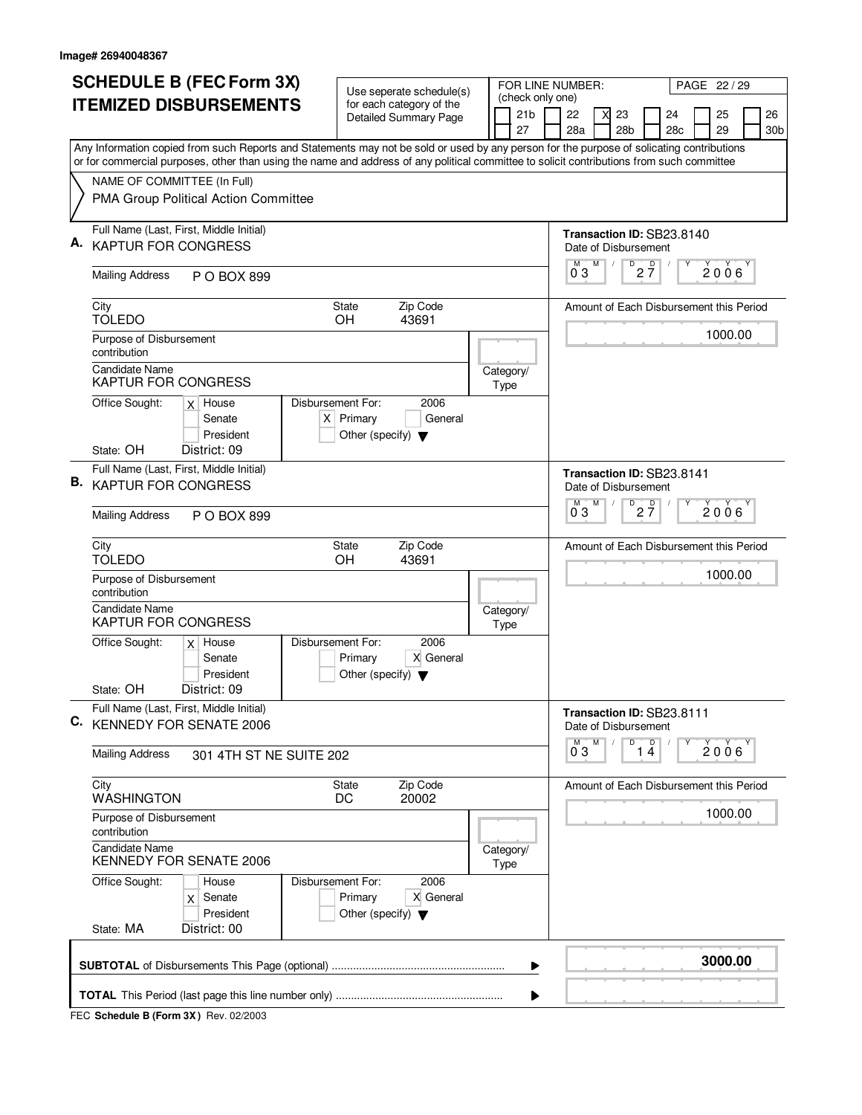| <b>SCHEDULE B (FEC Form 3X)</b>                                                                                                                                                                                                                                                        | Use seperate schedule(s)                                                                    |  |                   | FOR LINE NUMBER:       |   |   |                           |                 |                                         | PAGE 22 / 29 |                 |
|----------------------------------------------------------------------------------------------------------------------------------------------------------------------------------------------------------------------------------------------------------------------------------------|---------------------------------------------------------------------------------------------|--|-------------------|------------------------|---|---|---------------------------|-----------------|-----------------------------------------|--------------|-----------------|
| <b>ITEMIZED DISBURSEMENTS</b>                                                                                                                                                                                                                                                          | for each category of the<br><b>Detailed Summary Page</b>                                    |  | 21 <sub>b</sub>   | (check only one)<br>22 |   | X | 23                        |                 | 24                                      | 25           | 26              |
|                                                                                                                                                                                                                                                                                        |                                                                                             |  | 27                | 28a                    |   |   | 28 <sub>b</sub>           |                 | 28c                                     | 29           | 30 <sub>b</sub> |
| Any Information copied from such Reports and Statements may not be sold or used by any person for the purpose of solicating contributions<br>or for commercial purposes, other than using the name and address of any political committee to solicit contributions from such committee |                                                                                             |  |                   |                        |   |   |                           |                 |                                         |              |                 |
| NAME OF COMMITTEE (In Full)                                                                                                                                                                                                                                                            |                                                                                             |  |                   |                        |   |   |                           |                 |                                         |              |                 |
| PMA Group Political Action Committee                                                                                                                                                                                                                                                   |                                                                                             |  |                   |                        |   |   |                           |                 |                                         |              |                 |
| Full Name (Last, First, Middle Initial)                                                                                                                                                                                                                                                |                                                                                             |  |                   |                        |   |   |                           |                 | Transaction ID: SB23.8140               |              |                 |
| <b>KAPTUR FOR CONGRESS</b>                                                                                                                                                                                                                                                             |                                                                                             |  |                   | М                      | M |   | Date of Disbursement<br>D |                 |                                         |              |                 |
| <b>Mailing Address</b><br>P O BOX 899                                                                                                                                                                                                                                                  |                                                                                             |  |                   | 03                     |   |   |                           | $2\frac{D}{7}$  |                                         | 2006         |                 |
| City<br><b>TOLEDO</b>                                                                                                                                                                                                                                                                  | Zip Code<br><b>State</b><br><b>OH</b><br>43691                                              |  |                   |                        |   |   |                           |                 | Amount of Each Disbursement this Period |              |                 |
| Purpose of Disbursement<br>contribution                                                                                                                                                                                                                                                |                                                                                             |  |                   |                        |   |   |                           |                 |                                         | 1000.00      |                 |
| <b>Candidate Name</b><br><b>KAPTUR FOR CONGRESS</b>                                                                                                                                                                                                                                    |                                                                                             |  | Category/<br>Type |                        |   |   |                           |                 |                                         |              |                 |
| Office Sought:<br>$x$ House<br>Senate<br>President                                                                                                                                                                                                                                     | Disbursement For:<br>2006<br>$X$ Primary<br>General<br>Other (specify) $\blacktriangledown$ |  |                   |                        |   |   |                           |                 |                                         |              |                 |
| State: OH<br>District: 09                                                                                                                                                                                                                                                              |                                                                                             |  |                   |                        |   |   |                           |                 |                                         |              |                 |
| Full Name (Last, First, Middle Initial)<br><b>B.</b> KAPTUR FOR CONGRESS                                                                                                                                                                                                               |                                                                                             |  |                   |                        |   |   | Date of Disbursement      |                 | Transaction ID: SB23.8141               |              |                 |
| <b>Mailing Address</b><br>P O BOX 899                                                                                                                                                                                                                                                  |                                                                                             |  |                   | M<br>03                | M |   | D                         | $2\frac{D}{7}$  |                                         | 2006         |                 |
| City<br><b>TOLEDO</b>                                                                                                                                                                                                                                                                  | Zip Code<br><b>State</b><br>OH<br>43691                                                     |  |                   |                        |   |   |                           |                 | Amount of Each Disbursement this Period |              |                 |
| Purpose of Disbursement<br>contribution                                                                                                                                                                                                                                                |                                                                                             |  |                   |                        |   |   |                           |                 |                                         | 1000.00      |                 |
| <b>Candidate Name</b><br><b>KAPTUR FOR CONGRESS</b>                                                                                                                                                                                                                                    |                                                                                             |  | Category/<br>Type |                        |   |   |                           |                 |                                         |              |                 |
| Office Sought:<br>$x$ House<br>Senate<br>President                                                                                                                                                                                                                                     | Disbursement For:<br>2006<br>X General<br>Primary<br>Other (specify) $\blacktriangledown$   |  |                   |                        |   |   |                           |                 |                                         |              |                 |
| District: 09<br>State: OH                                                                                                                                                                                                                                                              |                                                                                             |  |                   |                        |   |   |                           |                 |                                         |              |                 |
| Full Name (Last, First, Middle Initial)<br>C. KENNEDY FOR SENATE 2006                                                                                                                                                                                                                  |                                                                                             |  |                   |                        |   |   | Date of Disbursement      |                 | Transaction ID: SB23.8111               |              |                 |
| Mailing Address<br>301 4TH ST NE SUITE 202                                                                                                                                                                                                                                             |                                                                                             |  |                   | $0^{M}$ 3              | M |   |                           | $\overline{14}$ | Υ                                       | 2006         |                 |
| City<br><b>WASHINGTON</b>                                                                                                                                                                                                                                                              | Zip Code<br>State<br>DC<br>20002                                                            |  |                   |                        |   |   |                           |                 | Amount of Each Disbursement this Period |              |                 |
| Purpose of Disbursement<br>contribution                                                                                                                                                                                                                                                |                                                                                             |  |                   |                        |   |   |                           |                 |                                         | 1000.00      |                 |
| <b>Candidate Name</b><br>KENNEDY FOR SENATE 2006                                                                                                                                                                                                                                       |                                                                                             |  | Category/<br>Type |                        |   |   |                           |                 |                                         |              |                 |
| Office Sought:<br>House<br>Senate<br>$\times$<br>President                                                                                                                                                                                                                             | Disbursement For:<br>2006<br>X General<br>Primary<br>Other (specify) $\blacktriangledown$   |  |                   |                        |   |   |                           |                 |                                         |              |                 |
| State: MA<br>District: 00                                                                                                                                                                                                                                                              |                                                                                             |  |                   |                        |   |   |                           |                 |                                         |              |                 |
|                                                                                                                                                                                                                                                                                        |                                                                                             |  | ▶                 |                        |   |   |                           |                 |                                         | 3000.00      |                 |
|                                                                                                                                                                                                                                                                                        |                                                                                             |  |                   |                        |   |   |                           |                 |                                         |              |                 |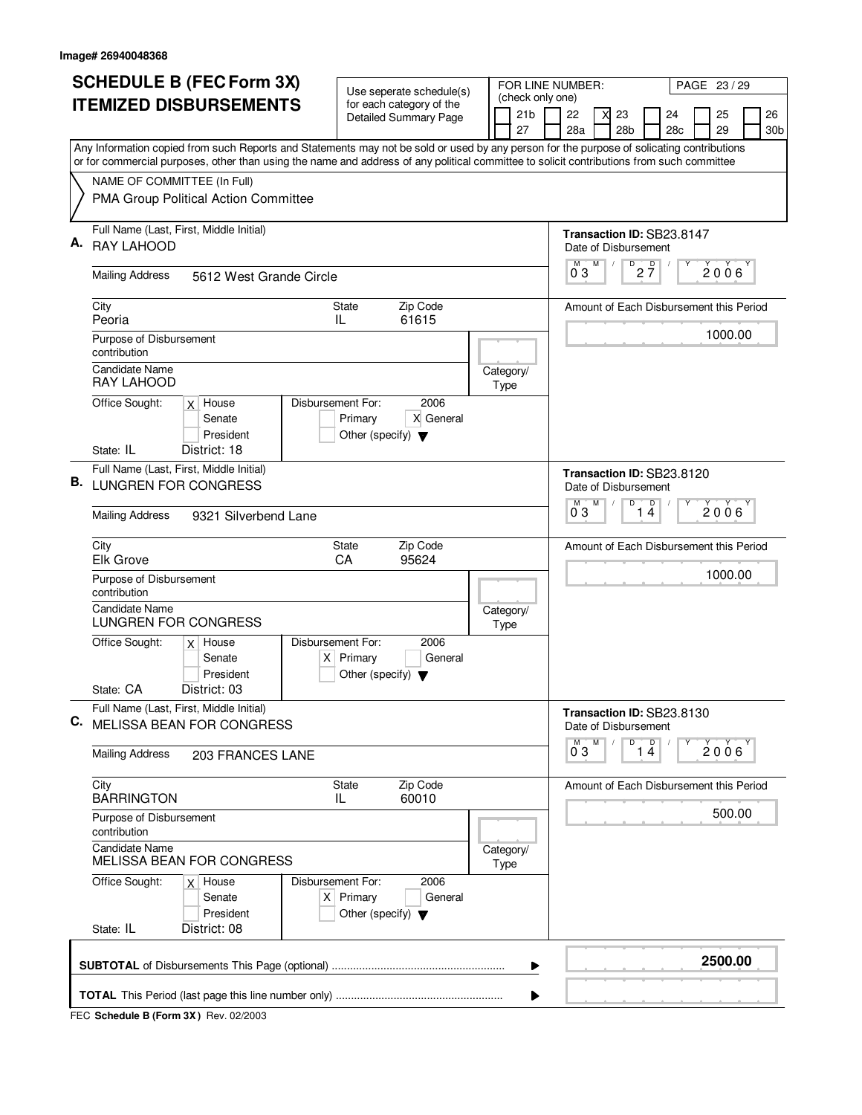|    | <b>SCHEDULE B (FEC Form 3X)</b>                                                                                                                                          | Use seperate schedule(s)                                                                    |  | FOR LINE NUMBER:                          |                                                                                                    |                    |   |                                        | PAGE 23 / 29        |                                         |   |          |                       |  |  |
|----|--------------------------------------------------------------------------------------------------------------------------------------------------------------------------|---------------------------------------------------------------------------------------------|--|-------------------------------------------|----------------------------------------------------------------------------------------------------|--------------------|---|----------------------------------------|---------------------|-----------------------------------------|---|----------|-----------------------|--|--|
|    | <b>ITEMIZED DISBURSEMENTS</b>                                                                                                                                            | for each category of the<br>Detailed Summary Page                                           |  | (check only one)<br>21 <sub>b</sub><br>27 | 22                                                                                                 | 28a                |   | 23<br>28 <sub>b</sub>                  |                     | 24<br>28 <sub>c</sub>                   |   | 25<br>29 | 26<br>30 <sub>b</sub> |  |  |
|    | Any Information copied from such Reports and Statements may not be sold or used by any person for the purpose of solicating contributions                                |                                                                                             |  |                                           |                                                                                                    |                    |   |                                        |                     |                                         |   |          |                       |  |  |
|    | or for commercial purposes, other than using the name and address of any political committee to solicit contributions from such committee<br>NAME OF COMMITTEE (In Full) |                                                                                             |  |                                           |                                                                                                    |                    |   |                                        |                     |                                         |   |          |                       |  |  |
|    | PMA Group Political Action Committee                                                                                                                                     |                                                                                             |  |                                           |                                                                                                    |                    |   |                                        |                     |                                         |   |          |                       |  |  |
| Α. | Full Name (Last, First, Middle Initial)<br><b>RAY LAHOOD</b>                                                                                                             |                                                                                             |  |                                           | Transaction ID: SB23.8147<br>Date of Disbursement<br>D<br>$2\frac{D}{7}$<br>M<br>M<br>$2006^\circ$ |                    |   |                                        |                     |                                         |   |          |                       |  |  |
|    | <b>Mailing Address</b><br>5612 West Grande Circle                                                                                                                        |                                                                                             |  |                                           |                                                                                                    | 03                 |   |                                        |                     |                                         |   |          |                       |  |  |
|    | City<br>Peoria                                                                                                                                                           | Zip Code<br><b>State</b><br>IL<br>61615                                                     |  |                                           |                                                                                                    |                    |   |                                        |                     | Amount of Each Disbursement this Period |   |          |                       |  |  |
|    | Purpose of Disbursement<br>contribution                                                                                                                                  |                                                                                             |  |                                           |                                                                                                    |                    |   |                                        |                     |                                         |   | 1000.00  |                       |  |  |
|    | <b>Candidate Name</b><br>RAY LAHOOD                                                                                                                                      |                                                                                             |  | Category/<br>Type                         |                                                                                                    |                    |   |                                        |                     |                                         |   |          |                       |  |  |
|    | Office Sought:<br>$x$ House<br>Senate<br>President                                                                                                                       | Disbursement For:<br>2006<br>X General<br>Primary<br>Other (specify) $\blacktriangledown$   |  |                                           |                                                                                                    |                    |   |                                        |                     |                                         |   |          |                       |  |  |
|    | District: 18<br>State: IL                                                                                                                                                |                                                                                             |  |                                           |                                                                                                    |                    |   |                                        |                     |                                         |   |          |                       |  |  |
|    | Full Name (Last, First, Middle Initial)<br><b>B.</b> LUNGREN FOR CONGRESS                                                                                                |                                                                                             |  |                                           |                                                                                                    |                    |   | Date of Disbursement                   |                     | Transaction ID: SB23.8120               |   |          |                       |  |  |
|    | <b>Mailing Address</b><br>9321 Silverbend Lane                                                                                                                           |                                                                                             |  |                                           |                                                                                                    | м<br>03            | M | D                                      | $\overline{4}$<br>1 | D                                       |   | 2006     |                       |  |  |
|    | City<br><b>Elk Grove</b>                                                                                                                                                 | Zip Code<br>State<br>95624<br>CA                                                            |  |                                           |                                                                                                    |                    |   |                                        |                     | Amount of Each Disbursement this Period |   |          |                       |  |  |
|    | Purpose of Disbursement<br>contribution                                                                                                                                  |                                                                                             |  |                                           |                                                                                                    |                    |   |                                        |                     |                                         |   | 1000.00  |                       |  |  |
|    | <b>Candidate Name</b><br>LUNGREN FOR CONGRESS                                                                                                                            |                                                                                             |  | Category/<br>Type                         |                                                                                                    |                    |   |                                        |                     |                                         |   |          |                       |  |  |
|    | Office Sought:<br>$x$ House<br>Senate<br>President                                                                                                                       | Disbursement For:<br>2006<br>$X$ Primary<br>General<br>Other (specify) $\blacktriangledown$ |  |                                           |                                                                                                    |                    |   |                                        |                     |                                         |   |          |                       |  |  |
|    | District: 03<br>State: CA                                                                                                                                                |                                                                                             |  |                                           |                                                                                                    |                    |   |                                        |                     |                                         |   |          |                       |  |  |
| C. | Full Name (Last, First, Middle Initial)<br><b>MELISSA BEAN FOR CONGRESS</b>                                                                                              |                                                                                             |  |                                           |                                                                                                    |                    |   | Date of Disbursement                   |                     | Transaction ID: SB23.8130               |   |          |                       |  |  |
|    | <b>Mailing Address</b><br><b>203 FRANCES LANE</b>                                                                                                                        |                                                                                             |  |                                           |                                                                                                    | $\overline{0}^M$ 3 | M | $\sqrt{\frac{D}{1}}\frac{\ddot{4}}{4}$ |                     |                                         | Υ | 2006     |                       |  |  |
|    | City<br><b>BARRINGTON</b>                                                                                                                                                | Zip Code<br>State<br>60010<br>IL                                                            |  |                                           |                                                                                                    |                    |   |                                        |                     | Amount of Each Disbursement this Period |   |          |                       |  |  |
|    | Purpose of Disbursement<br>contribution                                                                                                                                  |                                                                                             |  |                                           |                                                                                                    |                    |   |                                        |                     |                                         |   | 500.00   |                       |  |  |
|    | <b>Candidate Name</b><br>MELISSA BEAN FOR CONGRESS                                                                                                                       |                                                                                             |  | Category/<br>Type                         |                                                                                                    |                    |   |                                        |                     |                                         |   |          |                       |  |  |
|    | Office Sought:<br>$x$ House<br>Senate<br>President                                                                                                                       | Disbursement For:<br>2006<br>$X$ Primary<br>General<br>Other (specify) $\blacktriangledown$ |  |                                           |                                                                                                    |                    |   |                                        |                     |                                         |   |          |                       |  |  |
|    | District: 08<br>State: IL                                                                                                                                                |                                                                                             |  |                                           |                                                                                                    |                    |   |                                        |                     |                                         |   |          |                       |  |  |
|    |                                                                                                                                                                          |                                                                                             |  | ▶                                         |                                                                                                    |                    |   |                                        |                     |                                         |   | 2500.00  |                       |  |  |
|    |                                                                                                                                                                          |                                                                                             |  |                                           |                                                                                                    |                    |   |                                        |                     |                                         |   |          |                       |  |  |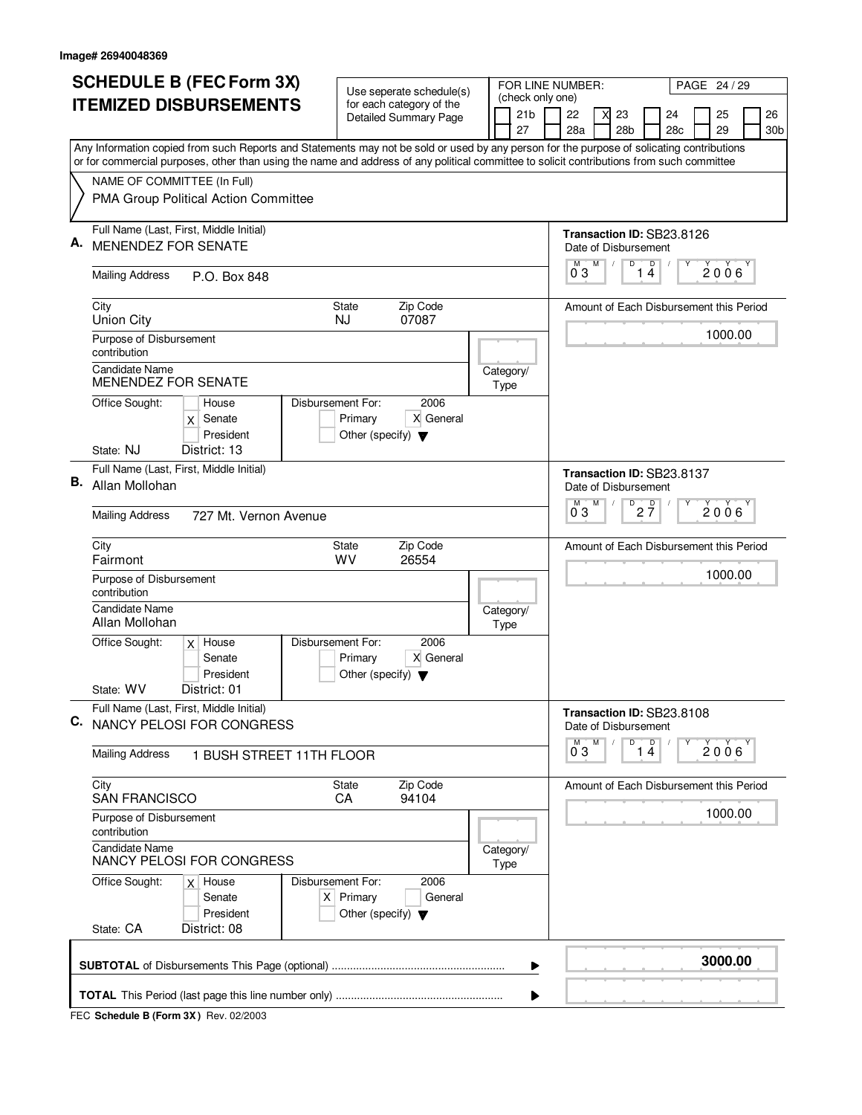|    | <b>SCHEDULE B (FEC Form 3X)</b>                                                                                                                                                                                                                                                        | Use seperate schedule(s)                                               |  | FOR LINE NUMBER:                    |                           |   |                 | PAGE 24 / 29                            |  |                |                 |  |  |
|----|----------------------------------------------------------------------------------------------------------------------------------------------------------------------------------------------------------------------------------------------------------------------------------------|------------------------------------------------------------------------|--|-------------------------------------|---------------------------|---|-----------------|-----------------------------------------|--|----------------|-----------------|--|--|
|    | <b>ITEMIZED DISBURSEMENTS</b>                                                                                                                                                                                                                                                          | for each category of the<br>Detailed Summary Page                      |  | (check only one)<br>21 <sub>b</sub> | 22                        |   | 23              | 24                                      |  | 25             | 26              |  |  |
|    |                                                                                                                                                                                                                                                                                        |                                                                        |  | 27                                  | 28a                       |   | 28 <sub>b</sub> | 28c                                     |  | 29             | 30 <sub>b</sub> |  |  |
|    | Any Information copied from such Reports and Statements may not be sold or used by any person for the purpose of solicating contributions<br>or for commercial purposes, other than using the name and address of any political committee to solicit contributions from such committee |                                                                        |  |                                     |                           |   |                 |                                         |  |                |                 |  |  |
|    | NAME OF COMMITTEE (In Full)                                                                                                                                                                                                                                                            |                                                                        |  |                                     |                           |   |                 |                                         |  |                |                 |  |  |
|    | PMA Group Political Action Committee                                                                                                                                                                                                                                                   |                                                                        |  |                                     |                           |   |                 |                                         |  |                |                 |  |  |
|    | Full Name (Last, First, Middle Initial)                                                                                                                                                                                                                                                |                                                                        |  |                                     |                           |   |                 | Transaction ID: SB23.8126               |  |                |                 |  |  |
| Α. | MENENDEZ FOR SENATE                                                                                                                                                                                                                                                                    |                                                                        |  |                                     | Date of Disbursement<br>М | M | D               |                                         |  |                |                 |  |  |
|    | <b>Mailing Address</b><br>P.O. Box 848                                                                                                                                                                                                                                                 |                                                                        |  |                                     | 03                        |   |                 | 1 <sup>D</sup>                          |  | $2006^{\circ}$ |                 |  |  |
|    | City<br><b>Union City</b>                                                                                                                                                                                                                                                              | Zip Code<br><b>State</b><br>07087<br>NJ                                |  |                                     |                           |   |                 | Amount of Each Disbursement this Period |  |                |                 |  |  |
|    | Purpose of Disbursement<br>contribution                                                                                                                                                                                                                                                |                                                                        |  |                                     |                           |   |                 |                                         |  | 1000.00        |                 |  |  |
|    | <b>Candidate Name</b><br>MENENDEZ FOR SENATE                                                                                                                                                                                                                                           |                                                                        |  | Category/<br>Type                   |                           |   |                 |                                         |  |                |                 |  |  |
|    | Disbursement For:<br>Office Sought:<br>House<br>Senate<br>X<br>President                                                                                                                                                                                                               | 2006<br>Primary<br>X General<br>Other (specify) $\blacktriangledown$   |  |                                     |                           |   |                 |                                         |  |                |                 |  |  |
|    | State: NJ<br>District: 13                                                                                                                                                                                                                                                              |                                                                        |  |                                     |                           |   |                 |                                         |  |                |                 |  |  |
| В. | Full Name (Last, First, Middle Initial)<br>Allan Mollohan                                                                                                                                                                                                                              |                                                                        |  |                                     | Date of Disbursement      |   |                 | Transaction ID: SB23.8137               |  |                |                 |  |  |
|    | <b>Mailing Address</b><br>727 Mt. Vernon Avenue                                                                                                                                                                                                                                        |                                                                        |  |                                     | M<br>03                   | M | D               | $2\frac{D}{7}$                          |  | $2006^{\circ}$ |                 |  |  |
|    | City<br>Fairmont                                                                                                                                                                                                                                                                       | Zip Code<br>State<br>WV<br>26554                                       |  |                                     |                           |   |                 | Amount of Each Disbursement this Period |  |                |                 |  |  |
|    | Purpose of Disbursement<br>contribution                                                                                                                                                                                                                                                |                                                                        |  |                                     |                           |   |                 |                                         |  | 1000.00        |                 |  |  |
|    | <b>Candidate Name</b><br>Allan Mollohan                                                                                                                                                                                                                                                |                                                                        |  | Category/<br>Type                   |                           |   |                 |                                         |  |                |                 |  |  |
|    | Office Sought:<br>Disbursement For:<br>$x$ House<br>Senate<br>President                                                                                                                                                                                                                | 2006<br>X General<br>Primary<br>Other (specify) $\blacktriangledown$   |  |                                     |                           |   |                 |                                         |  |                |                 |  |  |
|    | State: WV<br>District: 01                                                                                                                                                                                                                                                              |                                                                        |  |                                     |                           |   |                 |                                         |  |                |                 |  |  |
| C. | Full Name (Last, First, Middle Initial)<br>NANCY PELOSI FOR CONGRESS                                                                                                                                                                                                                   |                                                                        |  |                                     | Date of Disbursement      |   |                 | Transaction ID: SB23.8108               |  |                |                 |  |  |
|    | <b>Mailing Address</b><br>1 BUSH STREET 11TH FLOOR                                                                                                                                                                                                                                     |                                                                        |  |                                     | $0^{\circ}3$              | M | D               | 1 <sup>D</sup>                          |  | 2006           |                 |  |  |
|    | City<br><b>SAN FRANCISCO</b>                                                                                                                                                                                                                                                           | Zip Code<br>State<br>CA<br>94104                                       |  |                                     |                           |   |                 | Amount of Each Disbursement this Period |  |                |                 |  |  |
|    | Purpose of Disbursement<br>contribution                                                                                                                                                                                                                                                |                                                                        |  |                                     |                           |   |                 |                                         |  | 1000.00        |                 |  |  |
|    | <b>Candidate Name</b><br>NANCY PELOSI FOR CONGRESS                                                                                                                                                                                                                                     |                                                                        |  | Category/<br>Type                   |                           |   |                 |                                         |  |                |                 |  |  |
|    | Office Sought:<br>Disbursement For:<br>$x$ House<br>Senate<br>President                                                                                                                                                                                                                | 2006<br>$X$ Primary<br>General<br>Other (specify) $\blacktriangledown$ |  |                                     |                           |   |                 |                                         |  |                |                 |  |  |
|    | State: CA<br>District: 08                                                                                                                                                                                                                                                              |                                                                        |  |                                     |                           |   |                 |                                         |  |                |                 |  |  |
|    |                                                                                                                                                                                                                                                                                        |                                                                        |  | ▶                                   |                           |   |                 |                                         |  | 3000.00        |                 |  |  |
|    |                                                                                                                                                                                                                                                                                        |                                                                        |  | ▶                                   |                           |   |                 |                                         |  |                |                 |  |  |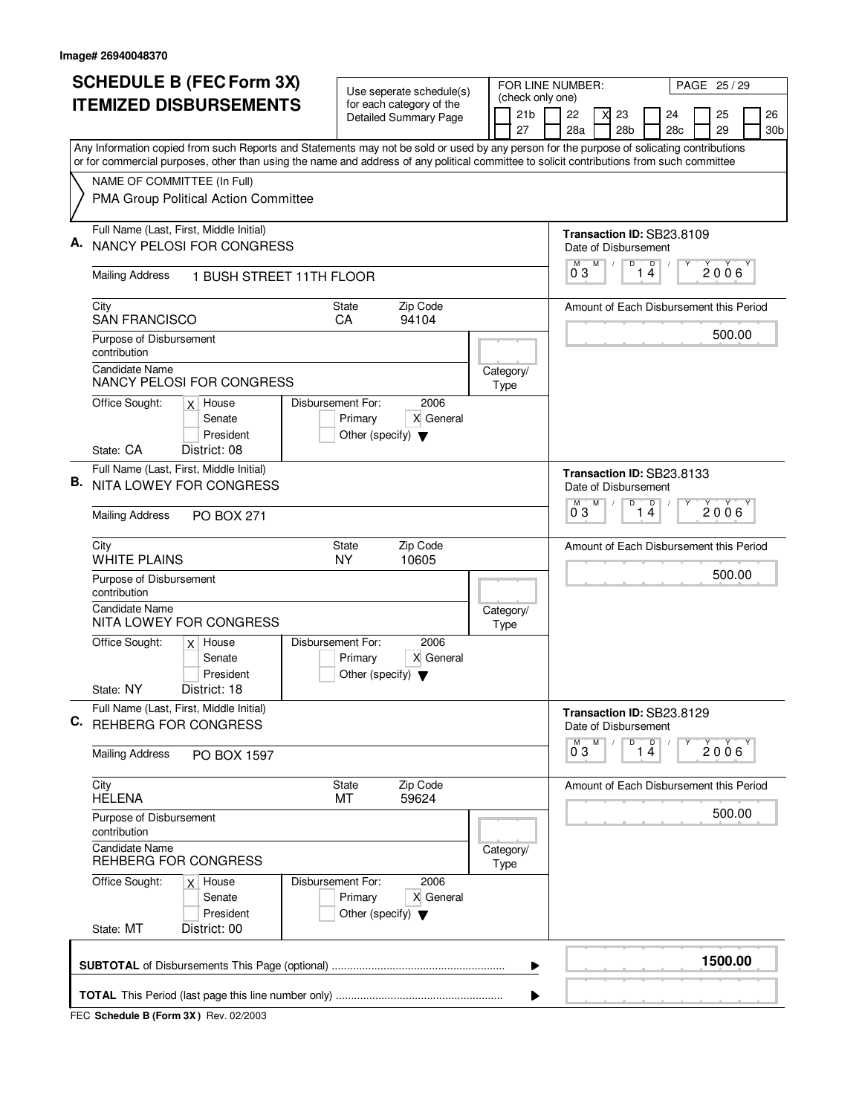| <b>SCHEDULE B (FEC Form 3X)</b> |                                                                                                                                                                                                                                                                                        | Use seperate schedule(s)                                                                  |  |  |                                     | FOR LINE NUMBER:          |   |                 | PAGE 25/29                              |  |              |  |     |  |
|---------------------------------|----------------------------------------------------------------------------------------------------------------------------------------------------------------------------------------------------------------------------------------------------------------------------------------|-------------------------------------------------------------------------------------------|--|--|-------------------------------------|---------------------------|---|-----------------|-----------------------------------------|--|--------------|--|-----|--|
|                                 | <b>ITEMIZED DISBURSEMENTS</b>                                                                                                                                                                                                                                                          | for each category of the<br><b>Detailed Summary Page</b>                                  |  |  | (check only one)<br>21 <sub>b</sub> | 22                        | X | 23              | 24                                      |  | 25           |  | 26  |  |
|                                 |                                                                                                                                                                                                                                                                                        |                                                                                           |  |  | 27                                  | 28a                       |   | 28 <sub>b</sub> | 28c                                     |  | 29           |  | 30b |  |
|                                 | Any Information copied from such Reports and Statements may not be sold or used by any person for the purpose of solicating contributions<br>or for commercial purposes, other than using the name and address of any political committee to solicit contributions from such committee |                                                                                           |  |  |                                     |                           |   |                 |                                         |  |              |  |     |  |
|                                 | NAME OF COMMITTEE (In Full)                                                                                                                                                                                                                                                            |                                                                                           |  |  |                                     |                           |   |                 |                                         |  |              |  |     |  |
|                                 | PMA Group Political Action Committee                                                                                                                                                                                                                                                   |                                                                                           |  |  |                                     |                           |   |                 |                                         |  |              |  |     |  |
|                                 | Full Name (Last, First, Middle Initial)                                                                                                                                                                                                                                                |                                                                                           |  |  |                                     |                           |   |                 | Transaction ID: SB23.8109               |  |              |  |     |  |
|                                 | <b>NANCY PELOSI FOR CONGRESS</b>                                                                                                                                                                                                                                                       |                                                                                           |  |  |                                     | Date of Disbursement      | M | D               | D<br>Υ                                  |  |              |  |     |  |
|                                 | <b>Mailing Address</b><br>1 BUSH STREET 11TH FLOOR                                                                                                                                                                                                                                     |                                                                                           |  |  |                                     | 03                        |   | 1               | $\overline{4}$                          |  | $2006^\circ$ |  |     |  |
|                                 | City                                                                                                                                                                                                                                                                                   | Zip Code<br><b>State</b>                                                                  |  |  |                                     |                           |   |                 | Amount of Each Disbursement this Period |  |              |  |     |  |
|                                 | <b>SAN FRANCISCO</b><br>Purpose of Disbursement                                                                                                                                                                                                                                        | CA<br>94104                                                                               |  |  |                                     |                           |   |                 |                                         |  | 500.00       |  |     |  |
|                                 | contribution                                                                                                                                                                                                                                                                           |                                                                                           |  |  |                                     |                           |   |                 |                                         |  |              |  |     |  |
|                                 | <b>Candidate Name</b><br>NANCY PELOSI FOR CONGRESS                                                                                                                                                                                                                                     |                                                                                           |  |  | Category/<br>Type                   |                           |   |                 |                                         |  |              |  |     |  |
|                                 | Office Sought:<br>$x$ House                                                                                                                                                                                                                                                            | Disbursement For:<br>2006                                                                 |  |  |                                     |                           |   |                 |                                         |  |              |  |     |  |
|                                 | Senate<br>President                                                                                                                                                                                                                                                                    | Primary<br>X General<br>Other (specify) $\blacktriangledown$                              |  |  |                                     |                           |   |                 |                                         |  |              |  |     |  |
|                                 | State: CA<br>District: 08                                                                                                                                                                                                                                                              |                                                                                           |  |  |                                     |                           |   |                 |                                         |  |              |  |     |  |
|                                 | Full Name (Last, First, Middle Initial)                                                                                                                                                                                                                                                |                                                                                           |  |  |                                     |                           |   |                 | Transaction ID: SB23.8133               |  |              |  |     |  |
| В.                              | NITA LOWEY FOR CONGRESS                                                                                                                                                                                                                                                                |                                                                                           |  |  |                                     | Date of Disbursement<br>M | M | D               | D                                       |  |              |  |     |  |
|                                 | <b>Mailing Address</b><br><b>PO BOX 271</b>                                                                                                                                                                                                                                            |                                                                                           |  |  |                                     | 03                        |   |                 | 14                                      |  | 2006         |  |     |  |
|                                 | City<br><b>WHITE PLAINS</b>                                                                                                                                                                                                                                                            | Zip Code<br>State<br><b>NY</b><br>10605                                                   |  |  |                                     |                           |   |                 | Amount of Each Disbursement this Period |  |              |  |     |  |
|                                 | Purpose of Disbursement<br>contribution                                                                                                                                                                                                                                                |                                                                                           |  |  |                                     |                           |   |                 |                                         |  | 500.00       |  |     |  |
|                                 | <b>Candidate Name</b><br>NITA LOWEY FOR CONGRESS                                                                                                                                                                                                                                       |                                                                                           |  |  | Category/<br>Type                   |                           |   |                 |                                         |  |              |  |     |  |
|                                 | Office Sought:<br>$x$ House<br>Senate<br>President                                                                                                                                                                                                                                     | Disbursement For:<br>2006<br>X General<br>Primary<br>Other (specify) $\blacktriangledown$ |  |  |                                     |                           |   |                 |                                         |  |              |  |     |  |
|                                 | State: NY<br>District: 18                                                                                                                                                                                                                                                              |                                                                                           |  |  |                                     |                           |   |                 |                                         |  |              |  |     |  |
| C.                              | Full Name (Last, First, Middle Initial)<br>REHBERG FOR CONGRESS                                                                                                                                                                                                                        |                                                                                           |  |  |                                     | Date of Disbursement      |   |                 | Transaction ID: SB23.8129               |  |              |  |     |  |
|                                 | <b>Mailing Address</b><br>PO BOX 1597                                                                                                                                                                                                                                                  |                                                                                           |  |  |                                     | $0^{M}$ 3                 | M | $\overline{14}$ | Υ                                       |  | 2006         |  |     |  |
|                                 | City<br><b>HELENA</b>                                                                                                                                                                                                                                                                  | State<br>Zip Code<br>МT<br>59624                                                          |  |  |                                     |                           |   |                 | Amount of Each Disbursement this Period |  |              |  |     |  |
|                                 | Purpose of Disbursement<br>contribution                                                                                                                                                                                                                                                |                                                                                           |  |  |                                     |                           |   |                 |                                         |  | 500.00       |  |     |  |
|                                 | <b>Candidate Name</b><br>REHBERG FOR CONGRESS                                                                                                                                                                                                                                          |                                                                                           |  |  | Category/<br>Type                   |                           |   |                 |                                         |  |              |  |     |  |
|                                 | Office Sought:<br>$x$ House<br>Senate<br>President                                                                                                                                                                                                                                     | Disbursement For:<br>2006<br>X General<br>Primary<br>Other (specify) $\blacktriangledown$ |  |  |                                     |                           |   |                 |                                         |  |              |  |     |  |
|                                 | State: MT<br>District: 00                                                                                                                                                                                                                                                              |                                                                                           |  |  |                                     |                           |   |                 |                                         |  |              |  |     |  |
|                                 |                                                                                                                                                                                                                                                                                        |                                                                                           |  |  | ▶                                   |                           |   |                 |                                         |  | 1500.00      |  |     |  |
|                                 |                                                                                                                                                                                                                                                                                        |                                                                                           |  |  |                                     |                           |   |                 |                                         |  |              |  |     |  |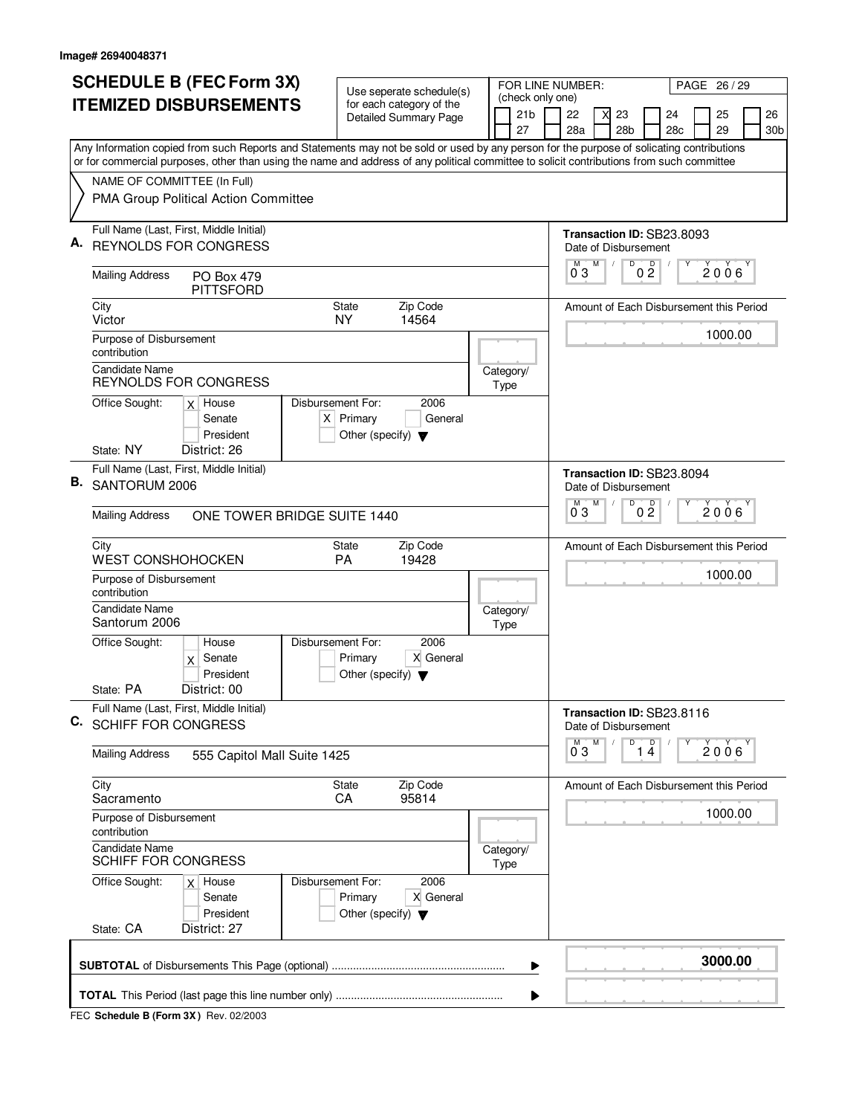|    | <b>SCHEDULE B (FEC Form 3X)</b>                                                                                                                                                                                                                                                        | Use seperate schedule(s)                                             |                   |  |  |                                     | FOR LINE NUMBER:<br>PAGE 26 / 29 |                                         |   |                 |                                         |  |         |                 |  |  |  |  |
|----|----------------------------------------------------------------------------------------------------------------------------------------------------------------------------------------------------------------------------------------------------------------------------------------|----------------------------------------------------------------------|-------------------|--|--|-------------------------------------|----------------------------------|-----------------------------------------|---|-----------------|-----------------------------------------|--|---------|-----------------|--|--|--|--|
|    | <b>ITEMIZED DISBURSEMENTS</b>                                                                                                                                                                                                                                                          | for each category of the<br>Detailed Summary Page                    |                   |  |  | (check only one)<br>21 <sub>b</sub> |                                  | 22                                      | X | 23              | 24                                      |  | 25      | 26              |  |  |  |  |
|    |                                                                                                                                                                                                                                                                                        |                                                                      |                   |  |  | 27                                  |                                  | 28a                                     |   | 28 <sub>b</sub> | 28 <sub>c</sub>                         |  | 29      | 30 <sub>b</sub> |  |  |  |  |
|    | Any Information copied from such Reports and Statements may not be sold or used by any person for the purpose of solicating contributions<br>or for commercial purposes, other than using the name and address of any political committee to solicit contributions from such committee |                                                                      |                   |  |  |                                     |                                  |                                         |   |                 |                                         |  |         |                 |  |  |  |  |
|    | NAME OF COMMITTEE (In Full)                                                                                                                                                                                                                                                            |                                                                      |                   |  |  |                                     |                                  |                                         |   |                 |                                         |  |         |                 |  |  |  |  |
|    | PMA Group Political Action Committee                                                                                                                                                                                                                                                   |                                                                      |                   |  |  |                                     |                                  |                                         |   |                 |                                         |  |         |                 |  |  |  |  |
| А. | Full Name (Last, First, Middle Initial)                                                                                                                                                                                                                                                |                                                                      |                   |  |  |                                     |                                  |                                         |   |                 | Transaction ID: SB23.8093               |  |         |                 |  |  |  |  |
|    | <b>REYNOLDS FOR CONGRESS</b>                                                                                                                                                                                                                                                           |                                                                      |                   |  |  |                                     |                                  | Date of Disbursement<br>м               | M | D               |                                         |  |         |                 |  |  |  |  |
|    | <b>Mailing Address</b><br>PO Box 479<br><b>PITTSFORD</b>                                                                                                                                                                                                                               |                                                                      |                   |  |  |                                     |                                  | $0^{\degree}3$                          |   |                 | 0 <sup>0</sup>                          |  | 2006    |                 |  |  |  |  |
|    | City<br>Victor                                                                                                                                                                                                                                                                         | <b>State</b><br>14564<br>NY.                                         | Zip Code          |  |  |                                     |                                  |                                         |   |                 | Amount of Each Disbursement this Period |  |         |                 |  |  |  |  |
|    | Purpose of Disbursement<br>contribution                                                                                                                                                                                                                                                |                                                                      |                   |  |  |                                     |                                  |                                         |   |                 |                                         |  | 1000.00 |                 |  |  |  |  |
|    | Candidate Name<br><b>REYNOLDS FOR CONGRESS</b>                                                                                                                                                                                                                                         |                                                                      |                   |  |  | Category/<br>Type                   |                                  |                                         |   |                 |                                         |  |         |                 |  |  |  |  |
|    | Office Sought:<br>$x$ House                                                                                                                                                                                                                                                            | Disbursement For:                                                    | 2006              |  |  |                                     |                                  |                                         |   |                 |                                         |  |         |                 |  |  |  |  |
|    | Senate<br>President                                                                                                                                                                                                                                                                    | $X$ Primary                                                          | General           |  |  |                                     |                                  |                                         |   |                 |                                         |  |         |                 |  |  |  |  |
|    | District: 26<br>State: NY                                                                                                                                                                                                                                                              | Other (specify) $\blacktriangledown$                                 |                   |  |  |                                     |                                  |                                         |   |                 |                                         |  |         |                 |  |  |  |  |
|    | Full Name (Last, First, Middle Initial)                                                                                                                                                                                                                                                |                                                                      |                   |  |  |                                     |                                  |                                         |   |                 | Transaction ID: SB23.8094               |  |         |                 |  |  |  |  |
| В. | SANTORUM 2006                                                                                                                                                                                                                                                                          |                                                                      |                   |  |  |                                     |                                  | Date of Disbursement                    |   |                 |                                         |  |         |                 |  |  |  |  |
|    | <b>Mailing Address</b><br>ONE TOWER BRIDGE SUITE 1440                                                                                                                                                                                                                                  |                                                                      |                   |  |  |                                     |                                  | М<br>03                                 | M | $\overline{D}$  | 0 <sup>0</sup>                          |  | 2006    |                 |  |  |  |  |
|    | City<br><b>WEST CONSHOHOCKEN</b>                                                                                                                                                                                                                                                       | Zip Code<br>State<br>PA<br>19428                                     |                   |  |  |                                     |                                  | Amount of Each Disbursement this Period |   |                 |                                         |  |         |                 |  |  |  |  |
|    | Purpose of Disbursement<br>contribution                                                                                                                                                                                                                                                |                                                                      |                   |  |  |                                     |                                  |                                         |   |                 |                                         |  | 1000.00 |                 |  |  |  |  |
|    | <b>Candidate Name</b><br>Santorum 2006                                                                                                                                                                                                                                                 |                                                                      |                   |  |  | Category/<br>Type                   |                                  |                                         |   |                 |                                         |  |         |                 |  |  |  |  |
|    | Office Sought:<br>House<br>Senate<br>$\mathsf{X}$<br>President                                                                                                                                                                                                                         | Disbursement For:<br>Primary<br>Other (specify) $\blacktriangledown$ | 2006<br>X General |  |  |                                     |                                  |                                         |   |                 |                                         |  |         |                 |  |  |  |  |
|    | State: PA<br>District: 00                                                                                                                                                                                                                                                              |                                                                      |                   |  |  |                                     |                                  |                                         |   |                 |                                         |  |         |                 |  |  |  |  |
| C. | Full Name (Last, First, Middle Initial)<br><b>SCHIFF FOR CONGRESS</b>                                                                                                                                                                                                                  |                                                                      |                   |  |  |                                     |                                  | Date of Disbursement                    |   |                 | Transaction ID: SB23.8116               |  |         |                 |  |  |  |  |
|    | <b>Mailing Address</b><br>555 Capitol Mall Suite 1425                                                                                                                                                                                                                                  |                                                                      |                   |  |  |                                     |                                  | $\overline{0}^M$ 3                      | М | D               | $\overline{1}$ <sup>D</sup>             |  | 2006    |                 |  |  |  |  |
|    | City<br>Sacramento                                                                                                                                                                                                                                                                     | State<br>CA<br>95814                                                 | Zip Code          |  |  |                                     |                                  |                                         |   |                 | Amount of Each Disbursement this Period |  |         |                 |  |  |  |  |
|    | Purpose of Disbursement<br>contribution                                                                                                                                                                                                                                                |                                                                      |                   |  |  |                                     |                                  |                                         |   |                 |                                         |  | 1000.00 |                 |  |  |  |  |
|    | <b>Candidate Name</b><br><b>SCHIFF FOR CONGRESS</b>                                                                                                                                                                                                                                    |                                                                      |                   |  |  | Category/<br>Type                   |                                  |                                         |   |                 |                                         |  |         |                 |  |  |  |  |
|    | Office Sought:<br>$x$ House<br>Senate<br>President<br>State: CA<br>District: 27                                                                                                                                                                                                        | Disbursement For:<br>Primary<br>Other (specify) $\blacktriangledown$ | 2006<br>X General |  |  |                                     |                                  |                                         |   |                 |                                         |  |         |                 |  |  |  |  |
|    |                                                                                                                                                                                                                                                                                        |                                                                      |                   |  |  | ▶                                   |                                  |                                         |   |                 |                                         |  | 3000.00 |                 |  |  |  |  |
|    |                                                                                                                                                                                                                                                                                        |                                                                      |                   |  |  |                                     |                                  |                                         |   |                 |                                         |  |         |                 |  |  |  |  |
|    |                                                                                                                                                                                                                                                                                        |                                                                      |                   |  |  |                                     |                                  |                                         |   |                 |                                         |  |         |                 |  |  |  |  |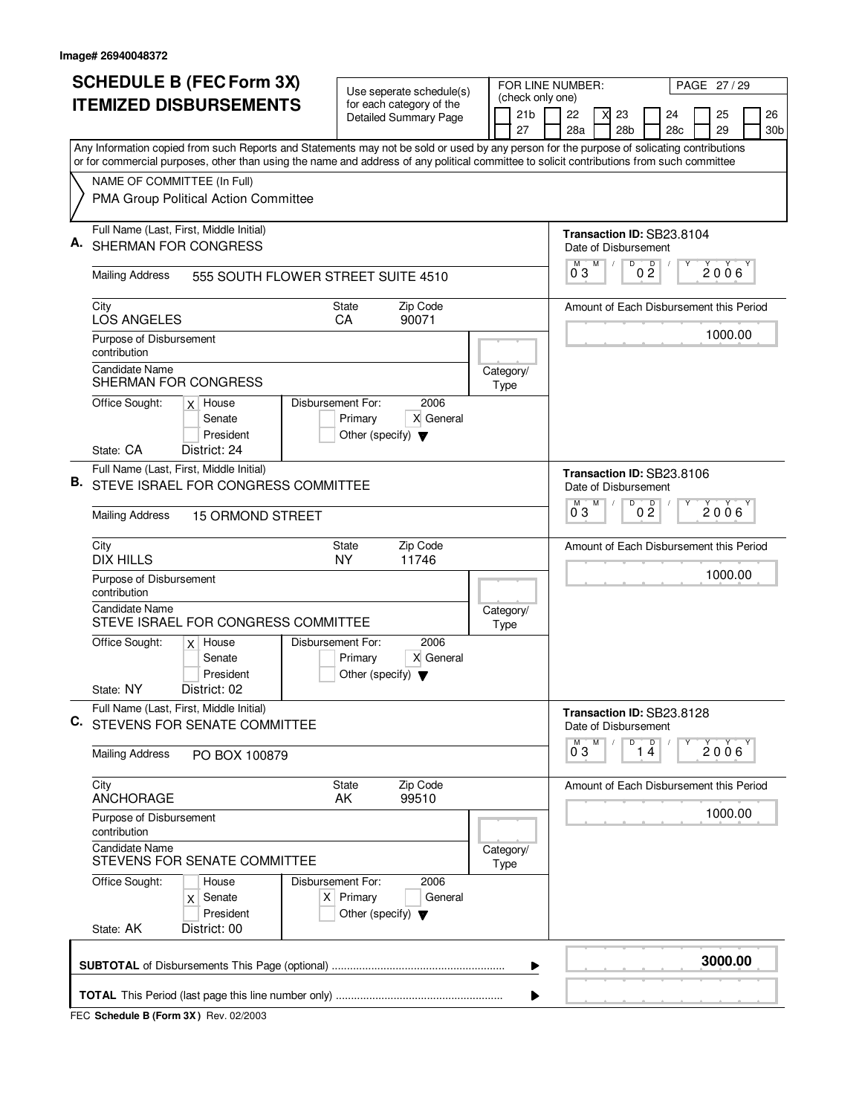| <b>SCHEDULE B (FEC Form 3X)</b> |                                                                                                                                                                                                                                                                                        | Use seperate schedule(s)                                                                    |                   |                                                                          | FOR LINE NUMBER:       |                           |                 | PAGE 27/29                              |  |         |                 |  |  |  |
|---------------------------------|----------------------------------------------------------------------------------------------------------------------------------------------------------------------------------------------------------------------------------------------------------------------------------------|---------------------------------------------------------------------------------------------|-------------------|--------------------------------------------------------------------------|------------------------|---------------------------|-----------------|-----------------------------------------|--|---------|-----------------|--|--|--|
| <b>ITEMIZED DISBURSEMENTS</b>   |                                                                                                                                                                                                                                                                                        | for each category of the<br>Detailed Summary Page                                           |                   | 21 <sub>b</sub>                                                          | (check only one)<br>22 | 23<br>X                   |                 | 24                                      |  | 25      | 26              |  |  |  |
|                                 |                                                                                                                                                                                                                                                                                        |                                                                                             | 27                |                                                                          | 28a                    |                           | 28 <sub>b</sub> | 28c                                     |  | 29      | 30 <sub>b</sub> |  |  |  |
|                                 | Any Information copied from such Reports and Statements may not be sold or used by any person for the purpose of solicating contributions<br>or for commercial purposes, other than using the name and address of any political committee to solicit contributions from such committee |                                                                                             |                   |                                                                          |                        |                           |                 |                                         |  |         |                 |  |  |  |
|                                 | NAME OF COMMITTEE (In Full)                                                                                                                                                                                                                                                            |                                                                                             |                   |                                                                          |                        |                           |                 |                                         |  |         |                 |  |  |  |
|                                 | PMA Group Political Action Committee                                                                                                                                                                                                                                                   |                                                                                             |                   |                                                                          |                        |                           |                 |                                         |  |         |                 |  |  |  |
|                                 | Full Name (Last, First, Middle Initial)<br>SHERMAN FOR CONGRESS                                                                                                                                                                                                                        |                                                                                             |                   |                                                                          |                        | Date of Disbursement      |                 | Transaction ID: SB23.8104               |  |         |                 |  |  |  |
|                                 | <b>Mailing Address</b><br>555 SOUTH FLOWER STREET SUITE 4510                                                                                                                                                                                                                           |                                                                                             |                   |                                                                          | M<br>$0^{\degree}3$    | M                         | D               | 0 <sup>0</sup>                          |  | 2006    |                 |  |  |  |
|                                 | City<br>LOS ANGELES                                                                                                                                                                                                                                                                    | Zip Code<br><b>State</b><br>90071<br><b>CA</b>                                              |                   |                                                                          |                        |                           |                 | Amount of Each Disbursement this Period |  |         |                 |  |  |  |
|                                 | Purpose of Disbursement<br>contribution                                                                                                                                                                                                                                                |                                                                                             |                   |                                                                          |                        |                           |                 |                                         |  | 1000.00 |                 |  |  |  |
|                                 | <b>Candidate Name</b><br>SHERMAN FOR CONGRESS                                                                                                                                                                                                                                          |                                                                                             | Category/<br>Type |                                                                          |                        |                           |                 |                                         |  |         |                 |  |  |  |
|                                 | Office Sought:<br>Disbursement For:<br>$x$ House<br>Senate<br>President<br>State: CA<br>District: 24                                                                                                                                                                                   | 2006<br>Primary<br>X General<br>Other (specify) $\blacktriangledown$                        |                   |                                                                          |                        |                           |                 |                                         |  |         |                 |  |  |  |
|                                 | Full Name (Last, First, Middle Initial)                                                                                                                                                                                                                                                |                                                                                             |                   |                                                                          |                        |                           |                 |                                         |  |         |                 |  |  |  |
| В.                              | STEVE ISRAEL FOR CONGRESS COMMITTEE                                                                                                                                                                                                                                                    |                                                                                             |                   |                                                                          |                        | Date of Disbursement<br>M | $\overline{D}$  | Transaction ID: SB23.8106<br>D          |  |         |                 |  |  |  |
|                                 | <b>Mailing Address</b><br><b>15 ORMOND STREET</b>                                                                                                                                                                                                                                      | Zip Code                                                                                    |                   | 2006<br>$0^{\degree}3$<br>0 Ž<br>Amount of Each Disbursement this Period |                        |                           |                 |                                         |  |         |                 |  |  |  |
|                                 | City<br><b>State</b><br><b>DIX HILLS</b><br><b>NY</b>                                                                                                                                                                                                                                  |                                                                                             |                   |                                                                          |                        |                           |                 | 1000.00                                 |  |         |                 |  |  |  |
|                                 | Purpose of Disbursement<br>contribution<br>Candidate Name                                                                                                                                                                                                                              |                                                                                             |                   |                                                                          |                        |                           |                 |                                         |  |         |                 |  |  |  |
|                                 | STEVE ISRAEL FOR CONGRESS COMMITTEE                                                                                                                                                                                                                                                    |                                                                                             | Category/<br>Type |                                                                          |                        |                           |                 |                                         |  |         |                 |  |  |  |
|                                 | Office Sought:<br>$x$ House<br>Senate<br>President<br>State: NY<br>District: 02                                                                                                                                                                                                        | 2006<br>Disbursement For:<br>X General<br>Primary<br>Other (specify) $\blacktriangledown$   |                   |                                                                          |                        |                           |                 |                                         |  |         |                 |  |  |  |
|                                 | Full Name (Last, First, Middle Initial)<br>C. STEVENS FOR SENATE COMMITTEE                                                                                                                                                                                                             |                                                                                             |                   |                                                                          |                        | Date of Disbursement      |                 | Transaction ID: SB23.8128               |  |         |                 |  |  |  |
|                                 | <b>Mailing Address</b><br>PO BOX 100879                                                                                                                                                                                                                                                |                                                                                             |                   |                                                                          | $0^{\degree}3$         | M                         | $\overline{14}$ |                                         |  | 2006    |                 |  |  |  |
|                                 | City<br><b>ANCHORAGE</b>                                                                                                                                                                                                                                                               | Zip Code<br>State<br>AK<br>99510                                                            |                   |                                                                          |                        |                           |                 | Amount of Each Disbursement this Period |  |         |                 |  |  |  |
|                                 | Purpose of Disbursement<br>contribution                                                                                                                                                                                                                                                |                                                                                             |                   |                                                                          |                        |                           |                 |                                         |  | 1000.00 |                 |  |  |  |
|                                 | <b>Candidate Name</b><br>STEVENS FOR SENATE COMMITTEE                                                                                                                                                                                                                                  |                                                                                             | Category/<br>Type |                                                                          |                        |                           |                 |                                         |  |         |                 |  |  |  |
|                                 | Office Sought:<br>House<br>$x$ Senate<br>President                                                                                                                                                                                                                                     | Disbursement For:<br>2006<br>$X$ Primary<br>General<br>Other (specify) $\blacktriangledown$ |                   |                                                                          |                        |                           |                 |                                         |  |         |                 |  |  |  |
|                                 | State: AK<br>District: 00                                                                                                                                                                                                                                                              |                                                                                             |                   |                                                                          |                        |                           |                 |                                         |  |         |                 |  |  |  |
|                                 |                                                                                                                                                                                                                                                                                        |                                                                                             |                   | ▶                                                                        |                        |                           |                 |                                         |  | 3000.00 |                 |  |  |  |
|                                 |                                                                                                                                                                                                                                                                                        |                                                                                             |                   | ▶                                                                        |                        |                           |                 |                                         |  |         |                 |  |  |  |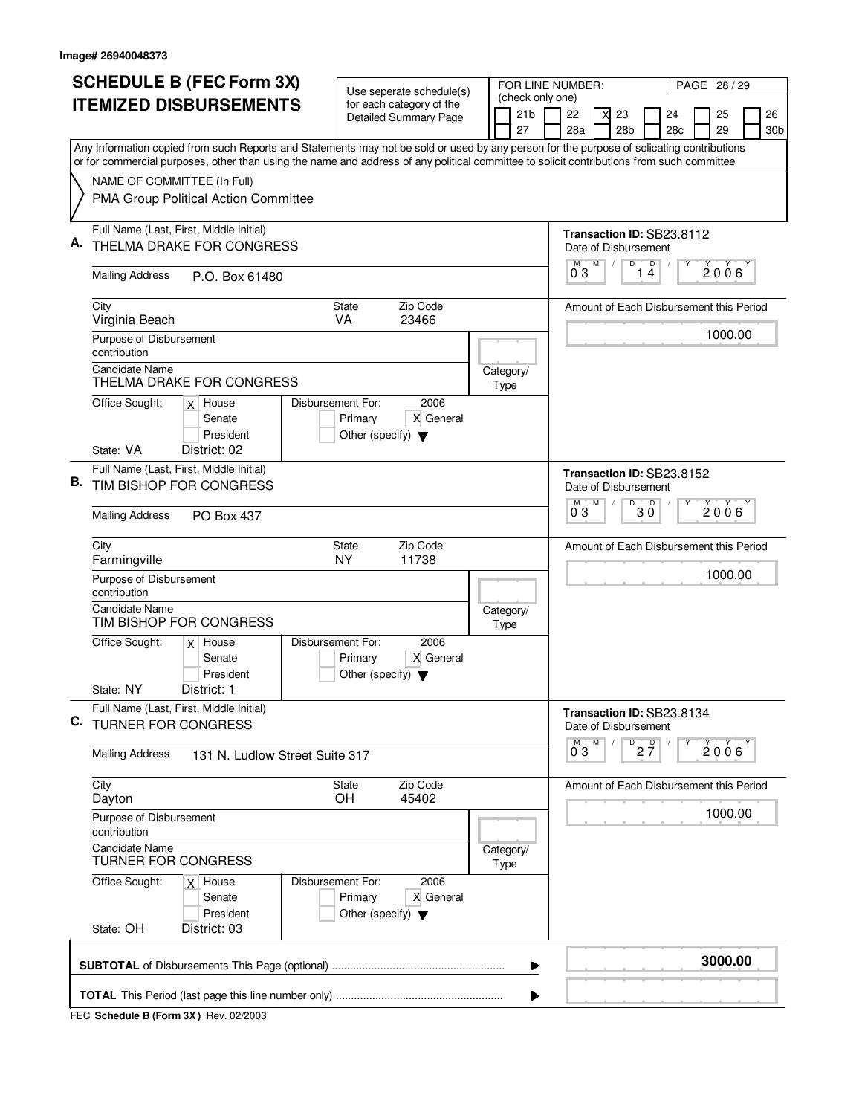|                               | <b>SCHEDULE B (FEC Form 3X)</b>                                                                                                                                                                                                                                                        | Use seperate schedule(s)                                             |                                                          | FOR LINE NUMBER: |                                     |                                                   |   | PAGE 28 / 29    |                                 |     |  |         |  |                 |
|-------------------------------|----------------------------------------------------------------------------------------------------------------------------------------------------------------------------------------------------------------------------------------------------------------------------------------|----------------------------------------------------------------------|----------------------------------------------------------|------------------|-------------------------------------|---------------------------------------------------|---|-----------------|---------------------------------|-----|--|---------|--|-----------------|
| <b>ITEMIZED DISBURSEMENTS</b> |                                                                                                                                                                                                                                                                                        |                                                                      | for each category of the<br><b>Detailed Summary Page</b> |                  | (check only one)<br>21 <sub>b</sub> | 22                                                | X | 23              |                                 | 24  |  | 25      |  | 26              |
|                               |                                                                                                                                                                                                                                                                                        |                                                                      |                                                          |                  | 27                                  | 28a                                               |   | 28 <sub>b</sub> |                                 | 28c |  | 29      |  | 30 <sub>b</sub> |
|                               | Any Information copied from such Reports and Statements may not be sold or used by any person for the purpose of solicating contributions<br>or for commercial purposes, other than using the name and address of any political committee to solicit contributions from such committee |                                                                      |                                                          |                  |                                     |                                                   |   |                 |                                 |     |  |         |  |                 |
|                               | NAME OF COMMITTEE (In Full)                                                                                                                                                                                                                                                            |                                                                      |                                                          |                  |                                     |                                                   |   |                 |                                 |     |  |         |  |                 |
|                               | PMA Group Political Action Committee                                                                                                                                                                                                                                                   |                                                                      |                                                          |                  |                                     |                                                   |   |                 |                                 |     |  |         |  |                 |
| А.                            | Full Name (Last, First, Middle Initial)                                                                                                                                                                                                                                                |                                                                      |                                                          |                  |                                     | Transaction ID: SB23.8112                         |   |                 |                                 |     |  |         |  |                 |
|                               | THELMA DRAKE FOR CONGRESS                                                                                                                                                                                                                                                              |                                                                      |                                                          |                  |                                     | Date of Disbursement<br>М                         | M | D               | $\mathsf D$                     |     |  |         |  |                 |
|                               | <b>Mailing Address</b><br>P.O. Box 61480                                                                                                                                                                                                                                               |                                                                      |                                                          |                  |                                     | 03                                                |   |                 | 14                              |     |  | 2006    |  |                 |
|                               | City<br>Virginia Beach                                                                                                                                                                                                                                                                 | State<br>VA.                                                         | Zip Code<br>23466                                        |                  |                                     | Amount of Each Disbursement this Period           |   |                 |                                 |     |  |         |  |                 |
|                               | Purpose of Disbursement<br>contribution                                                                                                                                                                                                                                                |                                                                      |                                                          |                  |                                     |                                                   |   |                 |                                 |     |  | 1000.00 |  |                 |
|                               | <b>Candidate Name</b><br>THELMA DRAKE FOR CONGRESS                                                                                                                                                                                                                                     |                                                                      |                                                          |                  | Category/<br>Type                   |                                                   |   |                 |                                 |     |  |         |  |                 |
|                               | Office Sought:<br>$x$ House<br>Senate<br>President                                                                                                                                                                                                                                     | Disbursement For:<br>Primary<br>Other (specify) $\blacktriangledown$ | 2006<br>X General                                        |                  |                                     |                                                   |   |                 |                                 |     |  |         |  |                 |
|                               | State: VA<br>District: 02                                                                                                                                                                                                                                                              |                                                                      |                                                          |                  |                                     |                                                   |   |                 |                                 |     |  |         |  |                 |
| В.                            | Full Name (Last, First, Middle Initial)<br>TIM BISHOP FOR CONGRESS                                                                                                                                                                                                                     |                                                                      |                                                          |                  |                                     | Transaction ID: SB23.8152<br>Date of Disbursement |   |                 |                                 |     |  |         |  |                 |
|                               | <b>Mailing Address</b><br><b>PO Box 437</b>                                                                                                                                                                                                                                            |                                                                      |                                                          |                  |                                     | M<br>03                                           | М | D               | $30^{\circ}$                    |     |  | 2006    |  |                 |
|                               | City<br>Farmingville                                                                                                                                                                                                                                                                   | State<br><b>NY</b>                                                   | Zip Code<br>11738                                        |                  |                                     | Amount of Each Disbursement this Period           |   |                 |                                 |     |  |         |  |                 |
|                               | Purpose of Disbursement<br>contribution                                                                                                                                                                                                                                                |                                                                      |                                                          |                  |                                     |                                                   |   |                 |                                 |     |  | 1000.00 |  |                 |
|                               | <b>Candidate Name</b><br>TIM BISHOP FOR CONGRESS                                                                                                                                                                                                                                       |                                                                      |                                                          |                  | Category/<br>Type                   |                                                   |   |                 |                                 |     |  |         |  |                 |
|                               | Office Sought:<br>$x$ House<br>Senate<br>President                                                                                                                                                                                                                                     | Disbursement For:<br>Primary<br>Other (specify) $\blacktriangledown$ | 2006<br>X General                                        |                  |                                     |                                                   |   |                 |                                 |     |  |         |  |                 |
|                               | State: NY<br>District: 1                                                                                                                                                                                                                                                               |                                                                      |                                                          |                  |                                     |                                                   |   |                 |                                 |     |  |         |  |                 |
| C.                            | Full Name (Last, First, Middle Initial)<br><b>TURNER FOR CONGRESS</b>                                                                                                                                                                                                                  |                                                                      |                                                          |                  |                                     | Transaction ID: SB23.8134<br>Date of Disbursement |   |                 |                                 |     |  |         |  |                 |
|                               | Mailing Address<br>131 N. Ludlow Street Suite 317                                                                                                                                                                                                                                      |                                                                      |                                                          |                  |                                     | $\overline{0}^M$ 3                                | M |                 | $\overline{P}$ 2 $\overline{7}$ |     |  | 2006    |  |                 |
|                               | City<br>Dayton                                                                                                                                                                                                                                                                         | State<br>OH                                                          | Zip Code<br>45402                                        |                  |                                     | Amount of Each Disbursement this Period           |   |                 |                                 |     |  |         |  |                 |
|                               | Purpose of Disbursement<br>contribution                                                                                                                                                                                                                                                |                                                                      |                                                          |                  |                                     |                                                   |   |                 |                                 |     |  | 1000.00 |  |                 |
|                               | <b>Candidate Name</b><br><b>TURNER FOR CONGRESS</b>                                                                                                                                                                                                                                    |                                                                      |                                                          |                  | Category/<br>Type                   |                                                   |   |                 |                                 |     |  |         |  |                 |
|                               | Office Sought:<br>$x$ House<br>Senate<br>President<br>State: OH<br>District: 03                                                                                                                                                                                                        | Disbursement For:<br>Primary<br>Other (specify) $\blacktriangledown$ | 2006<br>X General                                        |                  |                                     |                                                   |   |                 |                                 |     |  |         |  |                 |
|                               |                                                                                                                                                                                                                                                                                        |                                                                      |                                                          |                  |                                     |                                                   |   |                 |                                 |     |  |         |  |                 |
|                               |                                                                                                                                                                                                                                                                                        |                                                                      |                                                          |                  | ▶                                   |                                                   |   |                 |                                 |     |  | 3000.00 |  |                 |
|                               |                                                                                                                                                                                                                                                                                        |                                                                      |                                                          |                  |                                     |                                                   |   |                 |                                 |     |  |         |  |                 |